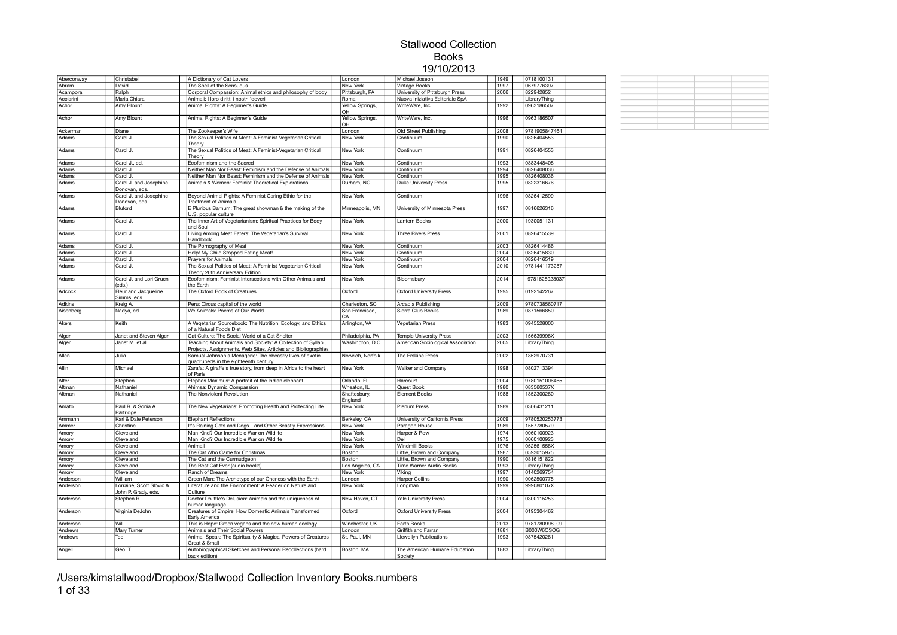| Aberconway | Christabel                                      | A Dictionary of Cat Lovers                |                                                                                                                               | London                |          | Michael Joseph                    | 1949         | 0718100131    |  |
|------------|-------------------------------------------------|-------------------------------------------|-------------------------------------------------------------------------------------------------------------------------------|-----------------------|----------|-----------------------------------|--------------|---------------|--|
| Abram      | David                                           | The Spell of the Sensuous                 |                                                                                                                               | New York              |          | Vintage Books                     | 1997         | 0679776397    |  |
| Acampora   | Ralph                                           |                                           | Corporal Compassion: Animal ethics and philosophy of body                                                                     | Pittsburgh, PA        |          | University of Pittsburgh Press    | 2006         | 822942852     |  |
| Acciarini  | Maria Chiara                                    | Animali: I loro diritti i nostri 'doveri  |                                                                                                                               | Roma                  |          | Nuova Iniziativa Editoriale SpA   |              | LibraryThing  |  |
| Achor      | Amy Blount                                      | Animal Rights: A Beginner's Guide         |                                                                                                                               | Yellow Springs,<br>OH |          | WriteWare, Inc.                   | 1992         | 0963186507    |  |
| Achor      | Amy Blount                                      | Animal Rights: A Beginner's Guide         |                                                                                                                               | Yellow Springs,<br>OH |          | WriteWare, Inc.                   | 1996         | 0963186507    |  |
| Ackerman   | Diane                                           | The Zookeeper's Wife                      |                                                                                                                               | London                |          | Old Street Publishing             | 2008         | 9781905847464 |  |
|            | Carol J.                                        |                                           |                                                                                                                               | New York              |          | Continuum                         | 1990         | 0826404553    |  |
| Adams      |                                                 | Theory                                    | The Sexual Politics of Meat: A Feminist-Vegetarian Critical                                                                   |                       |          |                                   |              |               |  |
| Adams      | Carol J.                                        | Theory                                    | The Sexual Politics of Meat: A Feminist-Vegetarian Critical                                                                   | New York              |          | Continuum                         | 1991         | 0826404553    |  |
| Adams      | Carol J., ed.                                   | Ecofeminism and the Sacred                |                                                                                                                               | New York              |          | Continuum                         | 1993         | 0883448408    |  |
| Adams      | Carol J.                                        |                                           | Neither Man Nor Beast: Feminism and the Defense of Animals                                                                    | New York              |          | Continuum                         | 1994         | 0826408036    |  |
| Adams      | Carol J.                                        |                                           | Neither Man Nor Beast: Feminism and the Defense of Animals                                                                    | New York              |          | Continuum                         | 1995         | 0826408036    |  |
| Adams      | Carol J. and Josephine                          |                                           | Animals & Women: Feminist Theoretical Explorations                                                                            | Durham, NC            |          | <b>Duke University Press</b>      | 1995         | 0822316676    |  |
| Adams      | Donovan, eds.<br>Carol J. and Josephine         |                                           | Beyond Animal Rights: A Feminist Caring Ethic for the                                                                         | New York              |          | Continuum                         | 1996         | 0826412599    |  |
|            | Donovan, eds.                                   | <b>Treatment of Animals</b>               |                                                                                                                               |                       |          |                                   | 1997         | 0816626316    |  |
| Adams      | Bluford                                         | U.S. popular culture                      | E Pluribus Barnum: The great showman & the making of the                                                                      | Minneapolis, MN       |          | University of Minnesota Press     |              |               |  |
| Adams      | Carol J.                                        | and Soul                                  | The Inner Art of Vegetarianism: Spiritual Practices for Body                                                                  | New York              |          | Lantern Books                     | 2000         | 1930051131    |  |
| Adams      | Carol J.                                        | Handbook                                  | Living Among Meat Eaters: The Vegetarian's Survival                                                                           | New York              |          | <b>Three Rivers Press</b>         | 2001         | 0826415539    |  |
| Adams      | Carol J.                                        | The Pornography of Meat                   |                                                                                                                               | New York              |          | Continuum                         | 2003         | 0826414486    |  |
| Adams      | Carol J.                                        | Help! My Child Stopped Eating Meat!       |                                                                                                                               | New York              |          | Continuum                         | 2004         | 0826415830    |  |
| Adams      | Carol J.                                        | Prayers for Animals                       |                                                                                                                               | New York              |          | Continuum                         | 2004         | 0826416519    |  |
| Adams      | Carol J.                                        |                                           | The Sexual Politics of Meat: A Feminist-Vegetarian Critical                                                                   | New York              |          | Continuum                         | 2010         | 9781441173287 |  |
| Adams      | Carol J. and Lori Gruen                         | Theory 20th Anniversary Edition           | Ecofeminism: Feminist Intersections with Other Animals and                                                                    | New York              |          | Bloomsbury                        | 2014         | 9781628928037 |  |
| Adcock     | (eds.)<br>Fleur and Jacqueline                  | the Earth<br>The Oxford Book of Creatures |                                                                                                                               | Oxford                |          | <b>Oxford University Press</b>    | 1995         | 0192142267    |  |
|            | Simms, eds.                                     |                                           |                                                                                                                               |                       |          |                                   |              |               |  |
| Adkins     | Kreig A.                                        | Peru: Circus capital of the world         |                                                                                                                               | Charleston, SC        |          | Arcadia Publishing                | 2009         | 9780738560717 |  |
| Aisenberg  | Nadya, ed.                                      | We Animals: Poems of Our World            |                                                                                                                               | San Francisco,<br>CA  |          | Sierra Club Books                 | 1989         | 0871566850    |  |
| Akers      | Keith                                           | of a Natural Foods Diet                   | A Vegetarian Sourcebook: The Nutrition, Ecology, and Ethics                                                                   | Arlington, VA         |          | Vegetarian Press                  | 1983         | 0945528000    |  |
| Alger      | Janet and Steven Alger                          |                                           | Cat Culture: The Social World of a Cat Shelter                                                                                | Philadelphia, PA      |          | Temple University Press           | 2003         | 156639998X    |  |
| Alger      | Janet M. et al                                  |                                           | Teaching About Animals and Society: A Collection of Syllabi,<br>Projects, Assignments, Web Sites, Articles and Bibliographies | Washington, D.C.      |          | American Sociological Association | 2005         | LibraryThing  |  |
| Allen      | Julia                                           | quadrupeds in the eighteenth century      | Samual Johnson's Menagerie: The bbeastly lives of exotic                                                                      | Norwich, Norfolk      |          | The Erskine Press                 | 2002         | 1852970731    |  |
| Allin      | Michael                                         | of Paris                                  | Zarafa: A giraffe's true story, from deep in Africa to the heart                                                              | New York              |          | Walker and Company                | 1998         | 0802713394    |  |
| Alter      | Stephen                                         |                                           | Elephas Maximus: A portrait of the Indian elephant                                                                            | Orlando, FL           | Harcourt |                                   | 2004         | 9780151006465 |  |
| Altman     | Nathaniel                                       | Ahimsa: Dynamic Compassion                |                                                                                                                               | Wheaton, IL           |          | Quest Book                        | 1980         | 083560537X    |  |
| Altman     | Nathaniel                                       | The Nonviolent Revolution                 |                                                                                                                               | Shaftesbury,          |          | <b>Element Books</b>              | 1988         | 1852300280    |  |
|            |                                                 |                                           |                                                                                                                               | England               |          |                                   |              |               |  |
| Amato      | Paul R. & Sonia A.<br>Partridge                 |                                           | The New Vegetarians: Promoting Health and Protecting Life                                                                     | New York              |          | Plenum Press                      | 1989         | 0306431211    |  |
| Ammann     | Karl & Dale Peterson                            | Elephant Reflections                      |                                                                                                                               | Berkeley, CA          |          | University of California Press    | 2009         | 9780520253773 |  |
| Ammer      | Christine                                       |                                           | It's Raining Cats and Dogsand Other Beastly Expressions                                                                       | New York              |          | Paragon House                     | 1989         | 1557780579    |  |
| Amory      | Cleveland                                       | Man Kind? Our Incredible War on Wildlife  |                                                                                                                               | <b>New York</b>       |          | Harper & Row                      | 1974         | 0060100923    |  |
| Amory      | Cleveland                                       | Man Kind? Our Incredible War on Wildlife  |                                                                                                                               | <b>New York</b>       | Dell     |                                   | 1975         | 0060100923    |  |
| Amory      | Cleveland                                       | Animail                                   |                                                                                                                               | New York              |          | <b>Windmill Books</b>             | 1976         | 052561558X    |  |
| Amory      | Cleveland                                       | The Cat Who Came for Christmas            |                                                                                                                               | Boston                |          | Little, Brown and Company         | 1987         | 0593015975    |  |
| Amory      | Cleveland                                       | The Cat and the Curmudgeon                |                                                                                                                               | Boston                |          | Little, Brown and Company         | 1990         | 0816151822    |  |
| Amory      | Cleveland                                       | The Best Cat Ever (audio books)           |                                                                                                                               | Los Angeles, CA       |          | Time Warner Audio Books           | 1993         | LibraryThing  |  |
|            | Cleveland                                       | Ranch of Dreams                           |                                                                                                                               | New York              | Viking   |                                   | 1997         | 0140269754    |  |
| Amory      |                                                 |                                           |                                                                                                                               |                       |          |                                   |              |               |  |
| Anderson   | William                                         |                                           | Green Man: The Archetype of our Oneness with the Earth                                                                        | London                |          | <b>Harper Collins</b>             | 1990<br>1999 | 0062500775    |  |
| Anderson   | Lorraine, Scott Slovic &<br>John P. Grady, eds. | Culture                                   | Literature and the Environment: A Reader on Nature and                                                                        | New York              | Longman  |                                   |              | 999080107X    |  |
| Anderson   | Stephen R.                                      | human language                            | Doctor Dolittle's Delusion: Animals and the uniqueness of                                                                     | New Haven, CT         |          | <b>Yale University Press</b>      | 2004         | 0300115253    |  |
| Anderson   | Virginia DeJohn                                 | Early America                             | Creatures of Empire: How Domestic Animals Transformed                                                                         | Oxford                |          | <b>Oxford University Press</b>    | 2004         | 0195304462    |  |
| Anderson   | Will                                            |                                           | This is Hope: Green vegans and the new human ecology                                                                          | Winchester, UK        |          | Earth Books                       | 2013         | 9781780998909 |  |
| Andrews    | Mary Turner                                     | Animals and Their Social Powers           |                                                                                                                               | London                |          | Griffith and Farran               | 1881         | B000W6OSOG    |  |
| Andrews    | Ted                                             |                                           | Animal-Speak: The Spirituality & Magical Powers of Creatures                                                                  | St. Paul. MN          |          | Llewellyn Publications            | 1993         | 0875420281    |  |
| Angell     | Geo. T.                                         | Great & Small                             | Autobiographical Sketches and Personal Recollections (hard                                                                    | Boston, MA            |          | The American Humane Education     | 1883         | LibraryThing  |  |
|            |                                                 | back edition)                             |                                                                                                                               |                       | Society  |                                   |              |               |  |
|            |                                                 |                                           |                                                                                                                               |                       |          |                                   |              |               |  |

/Users/kimstallwood/Dropbox/Stallwood Collection Inventory Books.numbers 1 of 33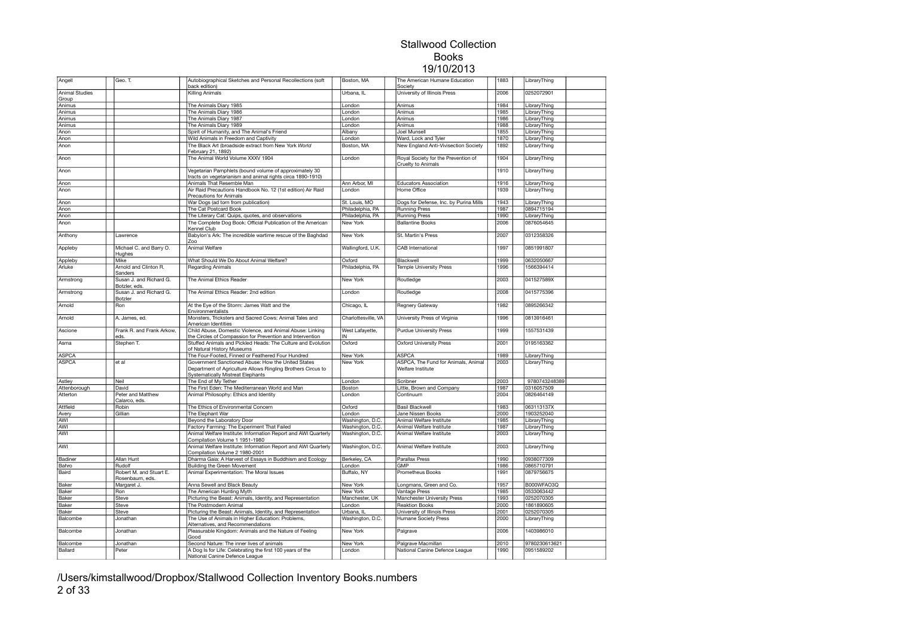| Angell                | Geo. T.                                    | Autobiographical Sketches and Personal Recollections (soft<br>back edition)                                                                                    | Boston, MA          | The American Humane Education<br>Society                  | 1883 | LibraryThing  |  |
|-----------------------|--------------------------------------------|----------------------------------------------------------------------------------------------------------------------------------------------------------------|---------------------|-----------------------------------------------------------|------|---------------|--|
| <b>Animal Studies</b> |                                            | Killing Animals                                                                                                                                                | Urbana, IL          | University of Illinois Press                              | 2006 | 0252072901    |  |
| Group                 |                                            |                                                                                                                                                                |                     |                                                           |      |               |  |
| Animus                |                                            | The Animals Diary 1985                                                                                                                                         | London              | Animus                                                    | 1984 | LibraryThing  |  |
| Animus                |                                            | The Animals Diary 1986                                                                                                                                         | London              | Animus                                                    | 1985 | LibraryThing  |  |
| Animus                |                                            | The Animals Diary 1987                                                                                                                                         | London              | Animus                                                    | 1986 | LibraryThing  |  |
| Animus                |                                            | The Animals Diary 1989                                                                                                                                         | London              | Animus                                                    | 1988 | LibraryThing  |  |
| Anon                  |                                            | Spirit of Humanity, and The Animal's Friend                                                                                                                    | Albany              | Joel Munsell                                              | 1855 | LibraryThing  |  |
| Anon                  |                                            | Wild Animals in Freedom and Captivity                                                                                                                          | London              | Ward, Lock and Tyler                                      | 1870 | LibraryThing  |  |
| Anon                  |                                            | The Black Art (broadside extract from New York World<br>February 21, 1892)                                                                                     | Boston, MA          | New England Anti-Vivisection Society                      | 1892 | LibraryThing  |  |
| Anon                  |                                            | The Animal World Volume XXXV 1904                                                                                                                              | London              | Royal Society for the Prevention of<br>Cruelty to Animals | 1904 | LibraryThing  |  |
| Anon                  |                                            | Vegetarian Pamphlets (bound volume of approximately 30<br>tracts on vegetarianism and animal rights circa 1890-1910)                                           |                     |                                                           | 1910 | LibraryThing  |  |
| Anon                  |                                            | Animals That Resemble Man                                                                                                                                      | Ann Arbor, MI       | <b>Educators Association</b>                              | 1916 | LibraryThing  |  |
| Anon                  |                                            | Air Raid Precautions Handbook No. 12 (1st edition) Air Raid<br>Precautions for Animals                                                                         | London              | Home Office                                               | 1939 | LibraryThing  |  |
| Anon                  |                                            | War Dogs (ad torn from publication)                                                                                                                            | St. Louis, MO       | Dogs for Defense, Inc. by Purina Mills                    | 1943 | LibraryThing  |  |
| Anon                  |                                            | The Cat Postcard Book                                                                                                                                          | Philadelphia, PA    | <b>Running Press</b>                                      | 1987 | 0894715194    |  |
| Anon                  |                                            | The Literary Cat: Quips, quotes, and observations                                                                                                              | Philadelphia, PA    | <b>Running Press</b>                                      | 1990 | LibraryThing  |  |
| Anon                  |                                            | The Complete Dog Book: Official Publication of the American<br>Kennel Club                                                                                     | New York            | <b>Ballantine Books</b>                                   | 2006 | 0876054645    |  |
| Anthony               | Lawrence                                   | Babylon's Ark: The incredible wartime rescue of the Baghdad<br>Zoo                                                                                             | New York            | St. Martin's Press                                        | 2007 | 0312358326    |  |
| Appleby               | Michael C. and Barry O.<br>Hughes          | Animal Welfare                                                                                                                                                 | Wallingford, U.K.   | CAB International                                         | 1997 | 0851991807    |  |
| Appleby               | Mike                                       | What Should We Do About Animal Welfare?                                                                                                                        | Oxford              | Blackwell                                                 | 1999 | 0632050667    |  |
| Arluke                | Arnold and Clinton R.                      | <b>Regarding Animals</b>                                                                                                                                       | Philadelphia, PA    | <b>Temple University Press</b>                            | 1996 | 1566394414    |  |
| Armstrong             | Sanders<br>Susan J. and Richard G.         | The Animal Ethics Reader                                                                                                                                       | New York            | Routledge                                                 | 2003 | 041527589X    |  |
| Armstrong             | Botzler, eds.<br>Susan J. and Richard G.   | The Animal Ethics Reader: 2nd edition                                                                                                                          | London              | Routledge                                                 | 2008 | 0415775396    |  |
| Arnold                | Botzler<br>Ron                             | At the Eye of the Storm: James Watt and the                                                                                                                    | Chicago, IL         | Regnery Gateway                                           | 1982 | 0895266342    |  |
| Arnold                | A. James, ed.                              | Environmentalists<br>Monsters, Tricksters and Sacred Cows: Animal Tales and                                                                                    | Charlottesville, VA | University Press of Virginia                              | 1996 | 0813916461    |  |
| Ascione               | Frank R. and Frank Arkow,                  | American Identities<br>Child Abuse, Domestic Violence, and Animal Abuse: Linking                                                                               | West Lafayette,     | <b>Purdue University Press</b>                            | 1999 | 1557531439    |  |
| Asma                  | eds.<br>Stephen T.                         | the Circles of Compassion for Prevention and Intervention<br>Stuffed Animals and Pickled Heads: The Culture and Evolution                                      | IN<br>Oxford        | <b>Oxford University Press</b>                            | 2001 | 0195163362    |  |
| <b>ASPCA</b>          |                                            | of Natural History Museums<br>The Four-Footed, Finned or Feathered Four Hundred                                                                                | New York            | <b>ASPCA</b>                                              | 1989 | LibraryThing  |  |
| <b>ASPCA</b>          | et al                                      | Government Sanctioned Abuse: How the United States<br>Department of Agriculture Allows Ringling Brothers Circus to<br><b>Systematically Mistreat Elephants</b> | New York            | ASPCA, The Fund for Animals, Animal<br>Welfare Institute  | 2003 | LibraryThing  |  |
| Astley                | Neil                                       | The End of My Tether                                                                                                                                           | London              | Scribner                                                  | 2003 | 9780743248389 |  |
| Attenborough          | David                                      | The First Eden: The Mediterranean World and Man                                                                                                                | Boston              | Little, Brown and Company                                 | 1987 | 0316057509    |  |
| Atterton              | Peter and Matthew<br>Calarco, eds.         | Animal Philosophy: Ethics and Identity                                                                                                                         | London              | Continuum                                                 | 2004 | 0826464149    |  |
| Attfield              | Robin                                      | The Ethics of Environmental Concern                                                                                                                            | Oxford              | <b>Basil Blackwell</b>                                    | 1983 | 063113137X    |  |
| Avery                 | Gillian                                    | The Elephant War                                                                                                                                               | London              | Jane Nissen Books                                         | 2000 | 1903252040    |  |
| AWI                   |                                            | Beyond the Laboratory Door                                                                                                                                     | Washington, D.C.    | Animal Welfare Institute                                  | 1985 | LibraryThing  |  |
| AWI                   |                                            | Factory Farming: The Experiment That Failed                                                                                                                    | Washington, D.C.    | Animal Welfare Institute                                  | 1987 | LibraryThing  |  |
| AWI                   |                                            | Animal Welfare Institute: Information Report and AWI Quarterly<br>Compilation Volume 1 1951-1980                                                               | Washington, D.C.    | Animal Welfare Institute                                  | 2003 | LibraryThing  |  |
| AWI                   |                                            | Animal Welfare Institute: Information Report and AWI Quarterly<br>Compilation Volume 2 1980-2001                                                               | Washington, D.C.    | Animal Welfare Institute                                  | 2003 | LibraryThing  |  |
| Badiner               | Allan Hunt                                 | Dharma Gaia: A Harvest of Essays in Buddhism and Ecology                                                                                                       | Berkeley, CA        | Parallax Press                                            | 1990 | 0938077309    |  |
| Bahro                 | Rudolf                                     | Building the Green Movement                                                                                                                                    | London              | <b>GMP</b>                                                | 1986 | 0865710791    |  |
| Baird                 | Robert M. and Stuart E.<br>Rosenbaum, eds. | Animal Experimentation: The Moral Issues                                                                                                                       | Buffalo, NY         | Prometheus Books                                          | 1991 | 0879756675    |  |
| Baker                 | Margaret J.                                | Anna Sewell and Black Beauty                                                                                                                                   | New York            | Longmans, Green and Co.                                   | 1957 | B000WFAO3Q    |  |
| Baker                 | Ron                                        | The American Hunting Myth                                                                                                                                      | New York            | Vantage Press                                             | 1985 | 0533063442    |  |
| Baker                 | Steve                                      | Picturing the Beast: Animals, Identity, and Representation                                                                                                     | Manchester, UK      | Manchester University Press                               | 1993 | 0252070305    |  |
| Baker                 | Steve                                      | The Postmodern Animal                                                                                                                                          | London              | Reaktion Books                                            | 2000 | 1861890605    |  |
| Baker                 | Steve                                      | Picturing the Beast: Animals, Identity, and Representation                                                                                                     | Urbana, IL          | University of Illinois Press                              | 2001 | 0252070305    |  |
| Balcombe              | Jonathan                                   | The Use of Animals in Higher Education: Problems,<br>Alternatives, and Recommendations                                                                         | Washington, D.C.    | Humane Society Press                                      | 2000 | LibraryThing  |  |
| Balcombe              | Jonathan                                   | Pleasurable Kingdom: Animals and the Nature of Feeling<br>Good                                                                                                 | New York            | Palgrave                                                  | 2006 | 1403986010    |  |
| Balcombe              | Jonathan                                   | Second Nature: The inner lives of animals                                                                                                                      | New York            | Palgrave Macmillan                                        | 2010 | 9780230613621 |  |
| Ballard               | Peter                                      | A Dog Is for Life: Celebrating the first 100 years of the<br>National Canine Defence League                                                                    | London              | National Canine Defence League                            | 1990 | 0951589202    |  |

/Users/kimstallwood/Dropbox/Stallwood Collection Inventory Books.numbers 2 of 33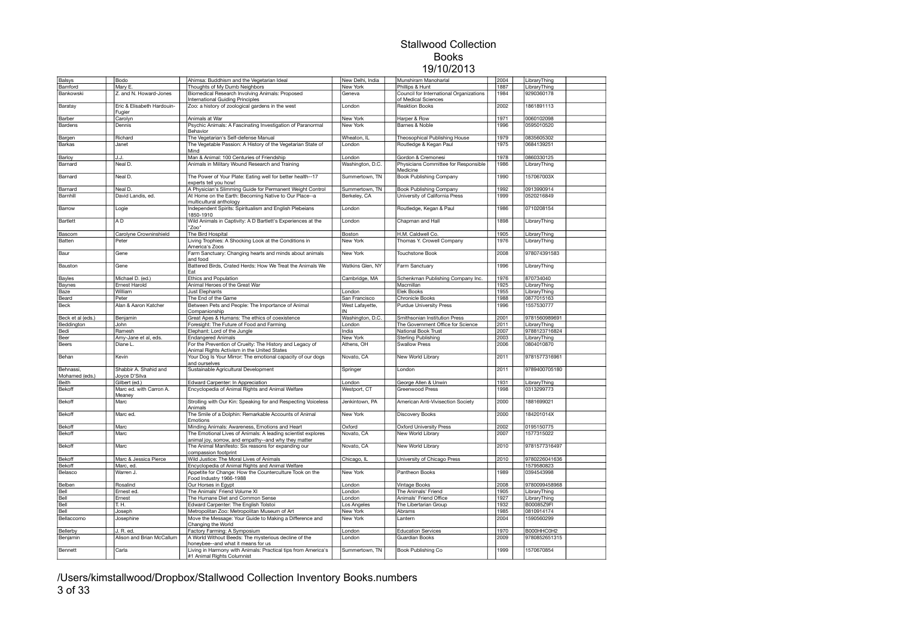| Balsys                      | Bodo                                   | Ahimsa: Buddhism and the Vegetarian Ideal                                                                            | New Delhi, India | Munshiram Manoharlal                                           | 2004 | LibraryThing  |  |
|-----------------------------|----------------------------------------|----------------------------------------------------------------------------------------------------------------------|------------------|----------------------------------------------------------------|------|---------------|--|
| Bamford                     | Mary E.                                | Thoughts of My Dumb Neighbors                                                                                        | New York         | Phillips & Hunt                                                | 1887 | LibraryThing  |  |
| Bankowski                   | Z. and N. Howard-Jones                 | Biomedical Research Involving Animals: Proposed<br>International Guiding Principles                                  | Geneva           | Council for International Organizations<br>of Medical Sciences | 1984 | 9290360178    |  |
| Baratay                     | Eric & Elisabeth Hardouin-<br>Fugier   | Zoo: a history of zoological gardens in the west                                                                     | London           | <b>Reaktion Books</b>                                          | 2002 | 1861891113    |  |
| Barber                      | Carolyn                                | Animals at War                                                                                                       | New York         | Harper & Row                                                   | 1971 | 0060102098    |  |
| Bardens                     | Dennis                                 | Psychic Animals: A Fascinating Investigation of Paranormal<br>Behavior                                               | New York         | Barnes & Noble                                                 | 1996 | 0595010520    |  |
| Bargen                      | Richard                                | The Vegetarian's Self-defense Manual                                                                                 | Wheaton, IL      | Theosophical Publishing House                                  | 1979 | 0835605302    |  |
| Barkas                      | Janet                                  | The Vegetable Passion: A History of the Vegetarian State of                                                          | London           | Routledge & Kegan Paul                                         | 1975 | 0684139251    |  |
|                             |                                        | Mind                                                                                                                 |                  |                                                                |      |               |  |
| Barloy                      | J.J.                                   | Man & Animal: 100 Centuries of Friendship                                                                            | London           | Gordon & Cremonesi                                             | 1978 | 0860330125    |  |
| Barnard                     | Neal D.                                | Animals in Military Wound Research and Training                                                                      | Washington, D.C. | Physicians Committee for Responsible<br>Medicine               | 1986 | LibraryThing  |  |
| Barnard                     | Neal D.                                | The Power of Your Plate: Eating well for better health--17<br>experts tell you how!                                  | Summertown, TN   | Book Publishing Company                                        | 1990 | 157067003X    |  |
| Barnard                     | Neal D.                                | A Physician's Slimming Guide for Permanent Weight Control                                                            | Summertown, TN   | <b>Book Publishing Company</b>                                 | 1992 | 0913990914    |  |
| Barnhill                    | David Landis, ed.                      | At Home on the Earth: Becoming Native to Our Place--a<br>multicultural anthology                                     | Berkeley, CA     | University of California Press                                 | 1999 | 0520216849    |  |
| Barrow                      | Logie                                  | Independent Spirits: Spiritualism and English Plebeians                                                              | London           | Routledge, Kegan & Paul                                        | 1986 | 0710208154    |  |
| Bartlett                    | AD                                     | 1850-1910<br>Wild Animals in Captivity: A D Bartlett's Experiences at the                                            | London           | Chapman and Hall                                               | 1898 | LibraryThing  |  |
|                             |                                        | "Zoo"                                                                                                                |                  |                                                                |      |               |  |
| Bascom                      | Carolyne Crowninshield                 | The Bird Hospital                                                                                                    | Boston           | H.M. Caldwell Co.                                              | 1905 | LibraryThing  |  |
| Batten                      | Peter                                  | Living Trophies: A Shocking Look at the Conditions in<br>America's Zoos                                              | New York         | Thomas Y. Crowell Company                                      | 1976 | LibraryThing  |  |
| Baur                        | Gene                                   | Farm Sanctuary: Changing hearts and minds about animals<br>and food                                                  | New York         | Touchstone Book                                                | 2008 | 978074391583  |  |
| Bauston                     | Gene                                   | Battered Birds, Crated Herds: How We Treat the Animals We<br>Fat                                                     | Watkins Glen, NY | Farm Sanctuary                                                 | 1996 | LibraryThing  |  |
| Bayles                      | Michael D. (ed.)                       | <b>Ethics and Population</b>                                                                                         | Cambridge, MA    | Schenkman Publishing Company Inc.                              | 1976 | 870734040     |  |
| Baynes                      | Ernest Harold                          | Animal Heroes of the Great War                                                                                       |                  | Macmillan                                                      | 1925 | LibraryThing  |  |
| Baze                        | William                                | Just Elephants                                                                                                       | London           | Elek Books                                                     | 1955 | LibraryThing  |  |
| Beard                       | Peter                                  | The End of the Game                                                                                                  | San Francisco    | Chronicle Books                                                | 1988 | 0877015163    |  |
| <b>Beck</b>                 | Alan & Aaron Katcher                   | Between Pets and People: The Importance of Animal                                                                    | West Lafayette,  | Purdue University Press                                        | 1996 | 1557530777    |  |
|                             |                                        | Companionship                                                                                                        | lın.             |                                                                |      |               |  |
| Beck et al (eds.)           | Benjamin                               | Great Apes & Humans: The ethics of coexistence                                                                       | Washington, D.C. | Smithsonian Institution Press                                  | 2001 | 9781560989691 |  |
| Beddington                  | John                                   | Foresight: The Future of Food and Farming                                                                            | London           | The Government Office for Science                              | 2011 | LibraryThing  |  |
| Bedi                        | Ramesh                                 | Elephant: Lord of the Jungle                                                                                         | India            | National Book Trust                                            | 2007 | 9788123716824 |  |
| Beer                        | Amy-Jane et al, eds.                   | <b>Endangered Animals</b>                                                                                            | New York         | <b>Sterling Publishing</b>                                     | 2003 | LibraryThing  |  |
| <b>Beers</b>                | Diane L.                               | For the Prevention of Cruelty: The History and Legacy of<br>Animal Rights Activism in the United States              | Athens, OH       | <b>Swallow Press</b>                                           | 2006 | 0804010870    |  |
| Behan                       | Kevin                                  | Your Dog Is Your Mirror: The emotional capacity of our dogs<br>and ourselves                                         | Novato, CA       | New World Library                                              | 2011 | 9781577316961 |  |
| Behnassi,<br>Mohamed (eds.) | Shabbir A. Shahid and<br>Joyce D'Silva | Sustainable Agricultural Development                                                                                 | Springer         | London                                                         | 2011 | 9789400705180 |  |
| Beith                       | Gilbert (ed.)                          | Edward Carpenter: In Appreciation                                                                                    | London           | George Allen & Unwin                                           | 1931 | LibraryThing  |  |
| Bekoff                      | Marc ed. with Carron A.                | Encyclopedia of Animal Rights and Animal Welfare                                                                     | Westport, CT     | Greenwood Press                                                | 1998 | 0313299773    |  |
| Bekoff                      | Meaney<br>Marc                         | Strolling with Our Kin: Speaking for and Respecting Voiceless                                                        | Jenkintown, PA   | American Anti-Vivisection Society                              | 2000 | 1881699021    |  |
| Bekoff                      | Marc ed.                               | Animals<br>The Smile of a Dolphin: Remarkable Accounts of Animal                                                     | New York         | Discovery Books                                                | 2000 | 184201014X    |  |
|                             |                                        | Emotions                                                                                                             |                  |                                                                |      |               |  |
| Bekoff                      | Marc                                   | Minding Animals: Awareness, Emotions and Heart                                                                       | Oxford           | <b>Oxford University Press</b>                                 | 2002 | 0195150775    |  |
| Bekoff                      | Marc                                   | The Emotional Lives of Animals: A leading scientist explores<br>animal joy, sorrow, and empathy--and why they matter | Novato, CA       | New World Library                                              | 2007 | 1577315022    |  |
| Bekoff                      | Marc                                   | The Animal Manifesto: Six reasons for expanding our<br>compassion footprint                                          | Novato, CA       | New World Library                                              | 2010 | 9781577316497 |  |
| Bekoff                      | Marc & Jessica Pierce                  | Wild Justice: The Moral Lives of Animals                                                                             | Chicago, IL      | University of Chicago Press                                    | 2010 | 9780226041636 |  |
| Bekoff                      | Marc, ed.                              | Encyclopedia of Animal Rights and Animal Welfare                                                                     |                  |                                                                |      | 1579580823    |  |
| Belasco                     | Warren J.                              | Appetite for Change: How the Counterculture Took on the<br>Food Industry 1966-1988                                   | New York         | Pantheon Books                                                 | 1989 | 0394543998    |  |
| Belben                      | Rosalind                               | Our Horses in Egypt                                                                                                  | London           | Vintage Books                                                  | 2008 | 9780099458968 |  |
| Bell                        | Ernest ed.                             | The Animals' Friend Volume XI                                                                                        | London           | The Animals' Friend                                            | 1905 | LibraryThing  |  |
| Bell                        | Ernest                                 | The Humane Diet and Common Sense                                                                                     | London           | Animals' Friend Office                                         | 1927 | LibraryThing  |  |
| Bell                        | T.H.                                   | Edward Carpenter: The English Tolstoi                                                                                | Los Angeles      | The Libertarian Group                                          | 1932 | B00085Z9FI    |  |
| Bell                        | Joseph                                 | Metropolitan Zoo: Metropolitan Museum of Art                                                                         | New York         | Abrams                                                         | 1985 | 0810914174    |  |
| Bellaccomo                  | Josephine                              | Move the Message: Your Guide to Making a Difference and                                                              | New York         | Lantern                                                        | 2004 | 1590560299    |  |
|                             |                                        | Changing the World                                                                                                   |                  |                                                                |      |               |  |
| Bellerby                    | J. R. ed.                              | Factory Farming: A Symposium                                                                                         | London           | <b>Education Services</b>                                      | 1970 | B000HHC0H2    |  |
| Benjamin                    | Alison and Brian McCallum              | A World Without Beeds: The mysterious decline of the                                                                 | London           | Guardian Books                                                 | 2009 | 9780852651315 |  |
|                             |                                        | honeybee--and what it means for us                                                                                   |                  |                                                                |      |               |  |
| Bennett                     | Carla                                  | Living in Harmony with Animals: Practical tips from America's<br>#1 Animal Rights Columnist                          | Summertown, TN   | Book Publishing Co                                             | 1999 | 1570670854    |  |

/Users/kimstallwood/Dropbox/Stallwood Collection Inventory Books.numbers 3 of 33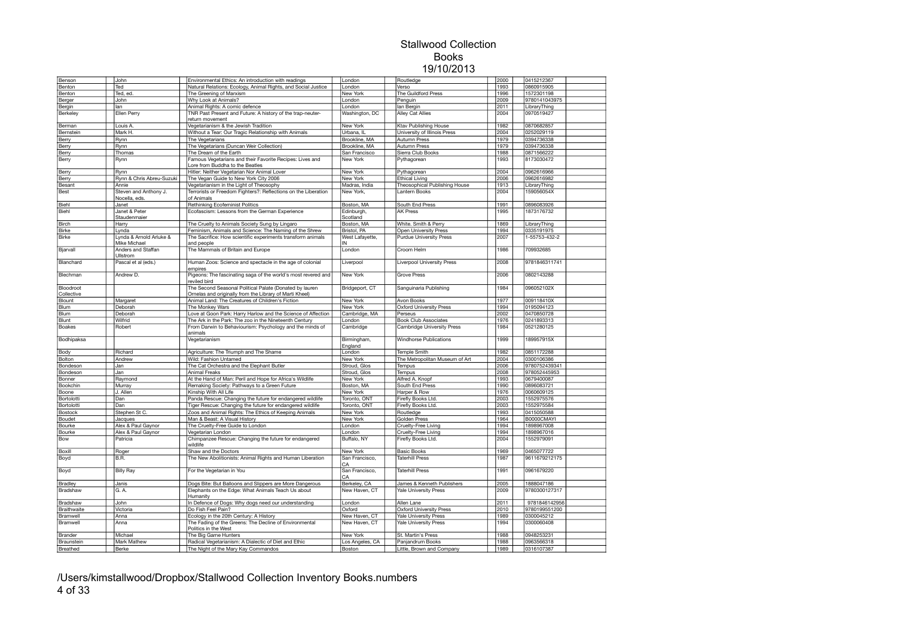| Benson         | John                      | Environmental Ethics: An introduction with readings                       | London                | Routledge                         | 2000 | 0415212367    |  |
|----------------|---------------------------|---------------------------------------------------------------------------|-----------------------|-----------------------------------|------|---------------|--|
| Benton         | Ted                       | Natural Relations: Ecology, Animal Rights, and Social Justice             | London                | Verso                             | 1993 | 0860915905    |  |
| Benton         | Ted, ed.                  | The Greening of Marxism                                                   | New York              | The Guildford Press               | 1996 | 1572301198    |  |
| Berger         | John                      | Why Look at Animals?                                                      | London                | Penguin                           | 2009 | 9780141043975 |  |
| Bergin         | lan                       | Animal Rights: A comic defence                                            | London                | lan Bergin                        | 2011 | LibraryThing  |  |
| Berkeley       | Ellen Perry               | TNR Past Present and Future: A history of the trap-neuter-                | Washington, DC        | Alley Cat Allies                  | 2004 | 0970519427    |  |
|                |                           | return movement                                                           |                       |                                   |      |               |  |
|                |                           |                                                                           |                       |                                   | 1982 | 0870682857    |  |
| Berman         | Louis A                   | Vegetarianism & the Jewish Tradition                                      | New York              | <b>Ktav Publishing House</b>      |      |               |  |
| Bernstein      | Mark H.                   | Without a Tear: Our Tragic Relationship with Animals                      | Urbana, IL            | University of Illinois Press      | 2004 | 0252029119    |  |
| Berry          | Rynn                      | The Vegetarians                                                           | Brookline, MA         | <b>Autumn Press</b>               | 1979 | 0394736338    |  |
| Berry          | Rynn                      | The Vegetarians (Duncan Weir Collection)                                  | Brookline, MA         | <b>Autumn Press</b>               | 1979 | 0394736338    |  |
| Berry          | Thomas                    | The Dream of the Earth                                                    | San Francisco         | Sierra Club Books                 | 1988 | 0871566222    |  |
| Berry          | Rynn                      | Famous Vegetarians and their Favorite Recipes: Lives and                  | New York              | Pythagorean                       | 1993 | 8173030472    |  |
|                |                           | Lore from Buddha to the Beatles                                           |                       |                                   |      |               |  |
| Berry          | Rynn                      | Hitler: Neither Vegetarian Nor Animal Lover                               | New York              | Pythagorean                       | 2004 | 0962616966    |  |
| Berry          | Rynn & Chris Abreu-Suzuki | The Vegan Guide to New York City 2006                                     | New York              | <b>Ethical Living</b>             | 2006 | 0962616982    |  |
| Besant         | Annie                     | Vegetarianism in the Light of Theosophy                                   | Madras, India         | Theosophical Publishing House     | 1913 | LibraryThing  |  |
| Best           | Steven and Anthony J.     | Terrorists or Freedom Fighters?: Reflections on the Liberation            | New York,             | Lantern Books                     | 2004 | 159056054X    |  |
|                | Nocella, eds.             | of Animals                                                                |                       |                                   |      |               |  |
| Biehl          | Janet                     | Rethinking Ecofeminist Politics                                           | Boston, MA            | South End Press                   | 1991 | 0896083926    |  |
| Biehl          | Janet & Peter             | Ecofascism: Lessons from the German Experience                            | Edinburgh,            | <b>AK Press</b>                   | 1995 | 1873176732    |  |
|                | Staudenmaier              |                                                                           | Scotland              |                                   |      |               |  |
| <b>Birch</b>   | Harry                     | The Cruelty to Animals Society Sung by Lingaro                            | Boston, MA            | White. Smith & Perry              | 1869 | LibraryThing  |  |
| Birke          | Lynda                     | Feminism, Animals and Science: The Naming of the Shrew                    | Bristol, PA           | Open University Press             | 1994 | 0335191975    |  |
| <b>Birke</b>   | Lynda & Arnold Arluke &   |                                                                           |                       | <b>Purdue University Press</b>    | 2007 | 1-55753-432-2 |  |
|                | Mike Michael              | The Sacrifice: How scientific experiments transform animals<br>and people | West Lafayette,<br>IN |                                   |      |               |  |
|                |                           |                                                                           |                       | Croom Helm                        | 1986 | 709932685     |  |
| Bjarvall       | Anders and Staffan        | The Mammals of Britain and Europe                                         | London                |                                   |      |               |  |
|                | Ullstrom                  |                                                                           |                       |                                   |      |               |  |
| Blanchard      | Pascal et al (eds.)       | Human Zoos: Science and spectacle in the age of colonial                  | Liverpool             | <b>Liverpool University Press</b> | 2008 | 9781846311741 |  |
|                |                           | empires                                                                   |                       |                                   |      |               |  |
| Blechman       | Andrew D.                 | Pigeons: The fascinating saga of the world's most revered and             | New York              | <b>Grove Press</b>                | 2006 | 0802143288    |  |
|                |                           | reviled bird                                                              |                       |                                   |      |               |  |
| Bloodroot      |                           | The Second Seasonal Political Palate (Donated by lauren                   | Bridgeport, CT        | Sanguinaria Publishing            | 1984 | 096052102X    |  |
| Collective     |                           | Ornelas and originally from the Library of Marti Kheel)                   |                       |                                   |      |               |  |
| Blount         | Margaret                  | Animal Land: The Creatures of Children's Fiction                          | New York              | Avon Books                        | 1977 | 009118410X    |  |
| Blum           | Deborah                   | The Monkey Wars                                                           | New York              | <b>Oxford University Press</b>    | 1994 | 0195094123    |  |
| Blum           | Deborah                   | Love at Goon Park: Harry Harlow and the Science of Affection              | Cambridge, MA         | Perseus                           | 2002 | 0470850728    |  |
| Blunt          | Wilfrid                   | The Ark in the Park: The zoo in the Nineteenth Century                    | London                | <b>Book Club Associates</b>       | 1976 | 0241893313    |  |
| Boakes         | Robert                    | From Darwin to Behaviourism: Psychology and the minds of                  | Cambridge             | Cambridge University Press        | 1984 | 0521280125    |  |
|                |                           | animals                                                                   |                       |                                   |      |               |  |
| Bodhipaksa     |                           | Vegetarianism                                                             | Birmingham,           | Windhorse Publications            | 1999 | 189957915X    |  |
|                |                           |                                                                           | England               |                                   |      |               |  |
| Body           | Richard                   | Agriculture: The Triumph and The Shame                                    | London                | <b>Temple Smith</b>               | 1982 | 0851172288    |  |
| Bolton         | Andrew                    | Wild: Fashion Untamed                                                     | New York              | The Metropolitan Museum of Art    | 2004 | 0300106386    |  |
| Bondeson       | Jan                       | The Cat Orchestra and the Elephant Butler                                 | Stroud, Glos          | Tempus                            | 2006 | 9780752439341 |  |
|                |                           | <b>Animal Freaks</b>                                                      |                       |                                   |      | 978052445953  |  |
| Bondeson       | Jan                       |                                                                           | Stroud, Glos          | Tempus                            | 2008 |               |  |
| Bonner         | Raymond                   | At the Hand of Man: Peril and Hope for Africa's Wildlife                  | New York              | Alfred A. Knopf                   | 1993 | 0679400087    |  |
| Bookchin       | Murray                    | Remaking Society: Pathways to a Green Future                              | Boston, MA            | South End Press                   | 1990 | 0896083721    |  |
| Boone          | J. Allen                  | Kinship With All Life                                                     | New York              | Harper & Row                      | 1976 | 0060609125    |  |
| Bortolotti     | Dan                       | Panda Rescue: Changing the future for endangered wildlife                 | Toronto, ONT          | <b>Firefly Books Ltd</b>          | 2003 | 1552975576    |  |
| Bortolotti     | Dan                       | Tiger Rescue: Changing the future for endangered wildlife                 | Toronto, ONT          | Firefly Books Ltd                 | 2003 | 1552975584    |  |
| Bostock        | Stephen St C.             | Zoos and Animal Rights: The Ethics of Keeping Animals                     | New York              | Routledge                         | 1993 | 0415050588    |  |
| Boudet         | Jacques                   | Man & Beast: A Visual History                                             | New York              | Golden Press                      | 1964 | B0000CMAYI    |  |
| Bourke         | Alex & Paul Gaynor        | The Cruelty-Free Guide to London                                          | London                | Cruelty-Free Living               | 1994 | 1898967008    |  |
| Bourke         | Alex & Paul Gaynor        | Vegetarian London                                                         | London                | Cruelty-Free Living               | 1994 | 1898967016    |  |
| Bow            | Patricia                  | Chimpanzee Rescue: Changing the future for endangered                     | Buffalo, NY           | Firefly Books Ltd.                | 2004 | 1552979091    |  |
|                |                           | wildlife                                                                  |                       |                                   |      |               |  |
| Boxill         | Roger                     | Shaw and the Doctors                                                      | New York              | <b>Basic Books</b>                | 1969 | 0465077722    |  |
| Boyd           | B.R.                      | The New Abolitionists: Animal Rights and Human Liberation                 | San Francisco,        | <b>Taterhill Press</b>            | 1987 | 9611679212175 |  |
|                |                           |                                                                           | CA                    |                                   |      |               |  |
| Boyd           | <b>Billy Ray</b>          | For the Vegetarian in You                                                 | San Francisco,        | Taterhill Press                   | 1991 | 0961679220    |  |
|                |                           |                                                                           | CA                    |                                   |      |               |  |
| <b>Bradley</b> | Janis                     | Dogs Bite: But Balloons and Slippers are More Dangerous                   | Berkeley, CA          | James & Kenneth Publishers        | 2005 | 1888047186    |  |
|                |                           |                                                                           |                       |                                   |      | 9780300127317 |  |
| Bradshaw       | G. A.                     | Elephants on the Edge: What Animals Teach Us about                        | New Haven, CT         | Yale University Press             | 2009 |               |  |
|                |                           | Humanity                                                                  |                       |                                   |      |               |  |
| Bradshaw       | John                      | In Defence of Dogs: Why dogs need our understanding                       | London                | Allen Lane                        | 2011 | 9781846142956 |  |
| Braithwaite    | Victoria                  | Do Fish Feel Pain?                                                        | Oxford                | <b>Oxford University Press</b>    | 2010 | 9780199551200 |  |
| Bramwell       | Anna                      | Ecology in the 20th Century: A History                                    | New Haven, CT         | <b>Yale University Press</b>      | 1989 | 0300045212    |  |
| Bramwell       | Anna                      | The Fading of the Greens: The Decline of Environmental                    | New Haven, CT         | Yale University Press             | 1994 | 0300060408    |  |
|                |                           | Politics in the West                                                      |                       |                                   |      |               |  |
| Brander        | Michael                   | The Big Game Hunters                                                      | New York              | St. Martin's Press                | 1988 | 0948253231    |  |
| Braunstein     | Mark Mathew               | Radical Vegetarianism: A Dialectic of Diet and Ethic                      | Los Angeles, CA       | Panjandrum Books                  | 1988 | 0963566318    |  |
| Breathed       | Berke                     | The Night of the Mary Kay Commandos                                       | Boston                | Little, Brown and Company         | 1989 | 0316107387    |  |
|                |                           |                                                                           |                       |                                   |      |               |  |

/Users/kimstallwood/Dropbox/Stallwood Collection Inventory Books.numbers 4 of 33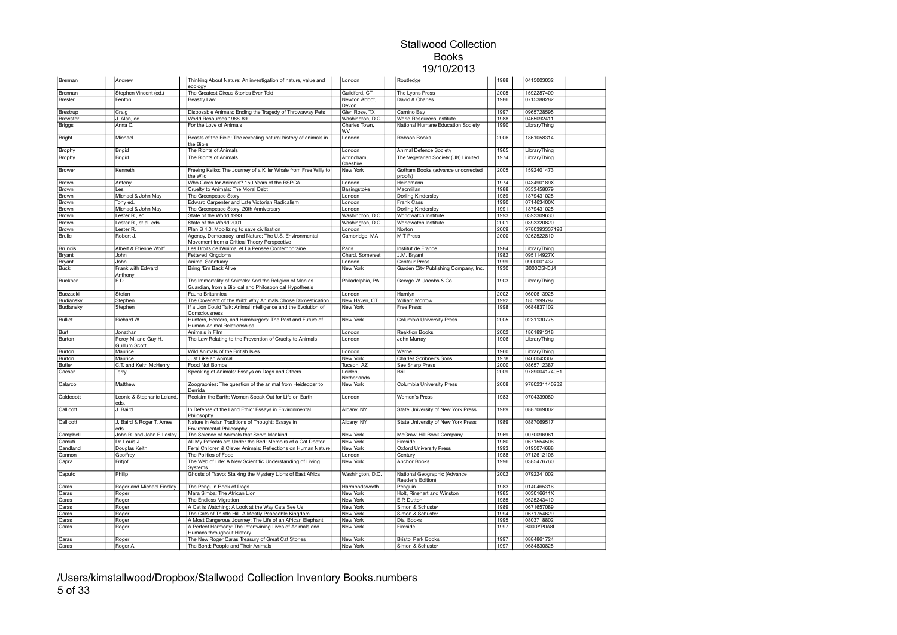| Brennan        | Andrew                               | Thinking About Nature: An investigation of nature, value and<br>ecology                              | London                 | Routledge                                         | 1988 | 0415003032    |  |
|----------------|--------------------------------------|------------------------------------------------------------------------------------------------------|------------------------|---------------------------------------------------|------|---------------|--|
| Brennan        | Stephen Vincent (ed.)                | The Greatest Circus Stories Ever Told                                                                | Guildford, CT          | The Lyons Press                                   | 2005 | 1592287409    |  |
| <b>Bresler</b> | Fenton                               | Beastly Law                                                                                          | Newton Abbot,<br>Devon | David & Charles                                   | 1986 | 0715388282    |  |
| Brestrup       | Craig                                | Disposable Animals: Ending the Tragedy of Throwaway Pets                                             | Glen Rose, TX          | Camino Bay                                        | 1997 | 0965728595    |  |
| Brewster       | J. Alan, ed.                         | World Resources 1988-89                                                                              | Washington, D.C.       | World Resources Institute                         | 1988 | 0465092411    |  |
| <b>Briggs</b>  | Anna C.                              | For the Love of Animals                                                                              | Charles Town,<br>WV    | National Humane Education Society                 | 1990 | LibraryThing  |  |
| Bright         | Michael                              | Beasts of the Field: The revealing natural history of animals in<br>the Bible                        | London                 | Robson Books                                      | 2006 | 1861058314    |  |
| Brophy         | Brigid                               | The Rights of Animals                                                                                | London                 | Animal Defence Society                            | 1965 | LibraryThing  |  |
| Brophy         | Brigid                               | The Rights of Animals                                                                                | Altrincham,            | The Vegetarian Society (UK) Limited               | 1974 | LibraryThing  |  |
|                |                                      |                                                                                                      | Cheshire               |                                                   |      |               |  |
| Brower         | Kenneth                              | Freeing Keiko: The Journey of a Killer Whale from Free Willy to<br>the Wild                          | New York               | Gotham Books (advance uncorrected<br>proofs)      | 2005 | 1592401473    |  |
| Brown          | Antony                               | Who Cares for Animals? 150 Years of the RSPCA                                                        | London                 | Heinemann                                         | 1974 | 043490189X    |  |
| Brown          | Les                                  | Cruelty to Animals: The Moral Debt                                                                   | Basingstoke            | Macmillan                                         | 1988 | 0333458079    |  |
| Brown          | Michael & John May                   | The Greenpeace Story                                                                                 | London                 | Dorling Kindersley                                | 1989 | 1879431025    |  |
| Brown          | Tony ed.                             | Edward Carpenter and Late Victorian Radicalism                                                       | London                 | Frank Cass                                        | 1990 | 071463400X    |  |
| Brown          | Michael & John May                   | The Greenpeace Story: 20th Anniversary                                                               | London                 | Dorling Kindersley                                | 1991 | 1879431025    |  |
| Brown          | Lester R., ed.                       | State of the World 1993                                                                              | Washington, D.C.       | Worldwatch Institute                              | 1993 | 0393309630    |  |
| Brown          | Lester R., et al, eds.               | State of the World 2001                                                                              | Washington, D.C.       | Worldwatch Institute                              | 2001 | 0393320820    |  |
| Brown          | Lester R.                            | Plan B 4.0: Mobilizing to save civilization                                                          | London                 | Norton                                            | 2009 | 9780393337198 |  |
| Brulle         | Robert J.                            | Agency, Democracy, and Nature: The U.S. Environmental<br>Movement from a Critical Theory Perspective | Cambridge, MA          | <b>MIT Press</b>                                  | 2000 | 0262522810    |  |
| Brunois        | Albert & Etienne Wolff               | Les Droits de l'Animal et La Pensee Contemporaine                                                    | Paris                  | Institut de France                                | 1984 | LibraryThing  |  |
| Bryant         | John                                 | Fettered Kingdoms                                                                                    | Chard, Somerset        | J.M. Bryant                                       | 1982 | 095114927X    |  |
| Bryant         | John                                 | <b>Animal Sanctuary</b>                                                                              | London                 | Centaur Press                                     | 1999 | 0900001437    |  |
| <b>Buck</b>    | Frank with Edward                    | Bring 'Em Back Alive                                                                                 | New York               | Garden City Publishing Company, Inc.              | 1930 | B000O5N0J4    |  |
| Buckner        | Anthony<br>E.D.                      | The Immortality of Animals: And the Religion of Man as                                               | Philadelphia, PA       | George W. Jacobs & Co                             | 1903 | LibraryThing  |  |
|                |                                      | Guardian, from a Biblical and Philosophical Hypothesis                                               |                        |                                                   |      |               |  |
| Buczacki       | Stefan                               | Fauna Britannica                                                                                     | London                 | Hamlyn                                            | 2002 | 0600613925    |  |
| Budiansky      | Stephen                              | The Covenant of the Wild: Why Animals Chose Domestication                                            | New Haven, CT          | William Morrow                                    | 1992 | 1857999797    |  |
| Budiansky      | Stephen                              | If a Lion Could Talk: Animal Intelligence and the Evolution of<br>Consciousness                      | New York               | Free Press                                        | 1998 | 0684837102    |  |
| <b>Bulliet</b> | Richard W.                           | Hunters, Herders, and Hamburgers: The Past and Future of<br>Human-Animal Relationships               | New York               | Columbia University Press                         | 2005 | 0231130775    |  |
| Burt           | Jonathan                             | Animals in Film                                                                                      | London                 | <b>Reaktion Books</b>                             | 2002 | 1861891318    |  |
| Burton         | Percy M. and Guy H.<br>Guillum Scott | The Law Relating to the Prevention of Cruelty to Animals                                             | London                 | John Murray                                       | 1906 | LibraryThing  |  |
| Burton         | Maurice                              | Wild Animals of the British Isles                                                                    | London                 | Warne                                             | 1960 | LibraryThing  |  |
| Burton         | Maurice                              | Just Like an Animal                                                                                  | New York               | Charles Scribner's Sons                           | 1978 | 0460043307    |  |
| <b>Butler</b>  | C.T. and Keith McHenry               | Food Not Bombs                                                                                       | Tucson, AZ             | See Sharp Press                                   | 2000 | 0865712387    |  |
| Caesar         | Terry                                | Speaking of Animals: Essays on Dogs and Others                                                       | Leiden.<br>Netherlands | Brill                                             | 2009 | 9789004174061 |  |
| Calarco        | Matthew                              | Zoographies: The question of the animal from Heidegger to<br>Derrida                                 | New York               | Columbia University Press                         | 2008 | 9780231140232 |  |
| Caldecott      | Leonie & Stephanie Leland,<br>eds.   | Reclaim the Earth: Women Speak Out for Life on Earth                                                 | London                 | Women's Press                                     | 1983 | 0704339080    |  |
| Callicott      | J. Baird                             | In Defense of the Land Ethic: Essays in Environmental<br>Philosophy                                  | Albany, NY             | State University of New York Press                | 1989 | 0887069002    |  |
| Callicott      | J. Baird & Roger T. Ames,<br>eds.    | Nature in Asian Traditions of Thought: Essays in<br>Environmental Philosophy                         | Albany, NY             | State University of New York Press                | 1989 | 0887069517    |  |
| Campbell       | John R. and John F. Lasley           | The Science of Animals that Serve Mankind                                                            | New York               | McGraw-Hill Book Company                          | 1969 | 0070096961    |  |
| Camuti         | Dr. Louis J.                         | All My Patients are Under the Bed: Memoirs of a Cat Doctor                                           | New York               | Fireside                                          | 1980 | 0671554506    |  |
| Candland       | Douglas Keith                        | Feral Children & Clever Animals: Reflections on Human Nature                                         | New York               | <b>Oxford University Press</b>                    | 1993 | 0195074688    |  |
| Cannon         | Geoffrey                             | The Politics of Food                                                                                 | London                 | Century                                           | 1988 | 0712612106    |  |
| Capra          | Fritjof                              | The Web of Life: A New Scientific Understanding of Living<br>Systems                                 | New York               | Anchor Books                                      | 1996 | 0385476760    |  |
| Caputo         | Philip                               | Ghosts of Tsavo: Stalking the Mystery Lions of East Africa                                           | Washington, D.C.       | National Geographic (Advance<br>Reader's Edition) | 2002 | 0792241002    |  |
| Caras          | Roger and Michael Findlay            | The Penguin Book of Dogs                                                                             | Harmondsworth          | Penguin                                           | 1983 | 0140465316    |  |
| Caras          | Roger                                | Mara Simba: The African Lion                                                                         | New York               | Holt, Rinehart and Winston                        | 1985 | 003016611X    |  |
| Caras          | Roger                                | The Endless Migration                                                                                | <b>New York</b>        | E.P. Dutton                                       | 1985 | 0525243410    |  |
| Caras          | Roger                                | A Cat is Watching: A Look at the Way Cats See Us                                                     | New York               | Simon & Schuster                                  | 1989 | 0671657089    |  |
| Caras          | Roger                                | The Cats of Thistle Hill: A Mostly Peaceable Kingdom                                                 | New York               | Simon & Schuster                                  | 1994 | 0671754629    |  |
| Caras          | Roger                                | A Most Dangerous Journey: The Life of an African Elephant                                            | New York               | Dial Books                                        | 1995 | 0803718802    |  |
|                |                                      |                                                                                                      |                        | Fireside                                          | 1997 | B000YP0A8I    |  |
| Caras          | Roger                                | A Perfect Harmony: The Intertwining Lives of Animals and<br>Humans throughout History                | New York               |                                                   |      |               |  |
| Caras          | Roger                                | The New Roger Caras Treasury of Great Cat Stories                                                    | New York               | <b>Bristol Park Books</b>                         | 1997 | 0884861724    |  |
| Caras          | Roger A.                             | The Bond: People and Their Animals                                                                   | New York               | Simon & Schuster                                  | 1997 | 0684830825    |  |

/Users/kimstallwood/Dropbox/Stallwood Collection Inventory Books.numbers 5 of 33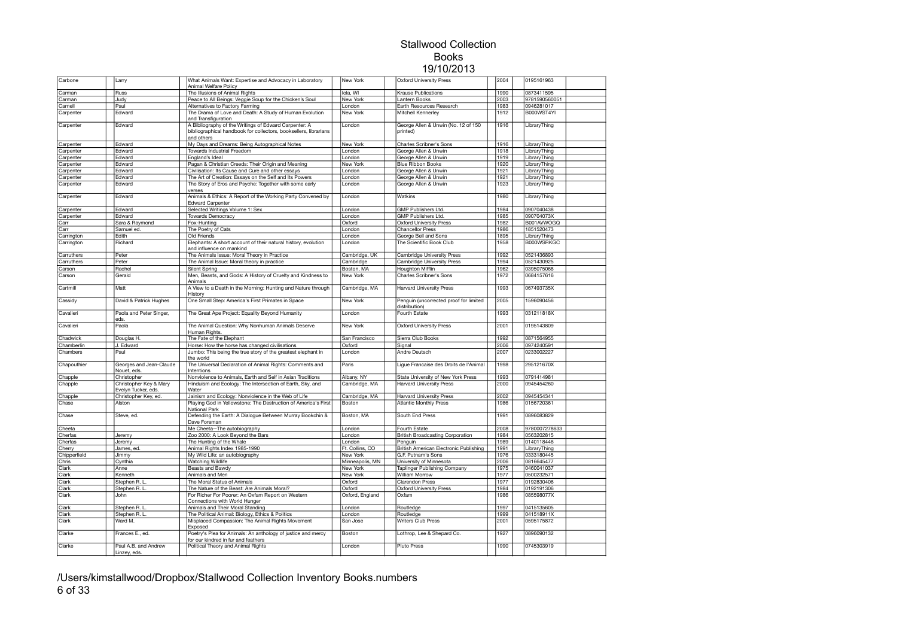| Carbone      | Larry                                         | What Animals Want: Expertise and Advocacy in Laboratory<br>Animal Welfare Policy                                                        | New York        | <b>Oxford University Press</b>                          | 2004 | 0195161963        |  |
|--------------|-----------------------------------------------|-----------------------------------------------------------------------------------------------------------------------------------------|-----------------|---------------------------------------------------------|------|-------------------|--|
| Carman       | Russ                                          | The Illusions of Animal Rights                                                                                                          | lola, WI        | <b>Krause Publications</b>                              | 1990 | 0873411595        |  |
| Carman       | Judy                                          | Peace to All Beings: Veggie Soup for the Chicken's Soul                                                                                 | New York        | antern Books                                            | 2003 | 9781590560051     |  |
|              |                                               |                                                                                                                                         |                 |                                                         |      |                   |  |
| Carnell      | Paul                                          | Alternatives to Factory Farming                                                                                                         | London          | Earth Resources Research                                | 1983 | 0946281017        |  |
| Carpenter    | Edward                                        | The Drama of Love and Death: A Study of Human Evolution<br>and Transfiguration                                                          | New York        | Mitchell Kennerley                                      | 1912 | B000WST4YI        |  |
| Carpenter    | Edward                                        | A Bibliography of the Writings of Edward Carpenter: A<br>bibliographical handbook for collectors, booksellers, librarians<br>and others | London          | George Allen & Unwin (No. 12 of 150<br>nrinted)         | 1916 | LibraryThing      |  |
| Carpenter    | Edward                                        | My Days and Dreams: Being Autographical Notes                                                                                           | New York        | Charles Scribner's Sons                                 | 1916 | LibraryThing      |  |
| Carpenter    | Edward                                        | Towards Industrial Freedom                                                                                                              | London          | George Allen & Unwin                                    | 1918 | LibraryThing      |  |
| Carpenter    | Edward                                        | England's Ideal                                                                                                                         | London          | George Allen & Unwin                                    | 1919 | LibraryThing      |  |
|              | Edward                                        | Pagan & Christian Creeds: Their Origin and Meaning                                                                                      |                 | <b>Blue Ribbon Books</b>                                | 1920 |                   |  |
| Carpenter    |                                               |                                                                                                                                         | New York        |                                                         |      | LibraryThing      |  |
| Carpenter    | Edward                                        | Civilisation: Its Cause and Cure and other essays                                                                                       | London          | George Allen & Unwin                                    | 1921 | LibraryThing      |  |
| Carpenter    | Edward                                        | The Art of Creation: Essays on the Self and Its Powers                                                                                  | London          | George Allen & Unwin                                    | 1921 | LibraryThing      |  |
| Carpenter    | Edward                                        | The Story of Eros and Psyche: Together with some early<br>verses                                                                        | London          | George Allen & Unwin                                    | 1923 | LibraryThing      |  |
| Carpenter    | Edward                                        | Animals & Ethics: A Report of the Working Party Convened by<br><b>Edward Carpenter</b>                                                  | London          | <b>Watkins</b>                                          | 1980 | LibraryThing      |  |
| Carpenter    | Edward                                        | Selected Writings Volume 1: Sex                                                                                                         | London          | GMP Publishers Ltd.                                     | 1984 | 0907040438        |  |
| Carpenter    | Edward                                        | <b>Towards Democracy</b>                                                                                                                | London          | GMP Publishers Ltd.                                     | 1985 | 090704073X        |  |
| Carr         | Sara & Raymond                                | Fox-Huntina                                                                                                                             | Oxford          | <b>Oxford University Press</b>                          | 1982 | B001AVWOGQ        |  |
| Carr         | Samuel ed.                                    | The Poetry of Cats                                                                                                                      | London          | <b>Chancellor Press</b>                                 | 1986 | 1851520473        |  |
|              |                                               |                                                                                                                                         |                 |                                                         | 1895 |                   |  |
| Carrington   | Edith                                         | Old Friends                                                                                                                             | London          | George Bell and Sons                                    |      | LibraryThing      |  |
| Carrington   | Richard                                       | Elephants: A short account of their natural history, evolution<br>and influence on mankind                                              | London          | The Scientific Book Club                                | 1958 | <b>B000WSRKGC</b> |  |
| Carruthers   | Peter                                         | The Animals Issue: Moral Theory in Practice                                                                                             | Cambridge, UK   | Cambridge University Press                              | 1992 | 0521436893        |  |
| Carruthers   | Peter                                         | The Animal Issue: Moral theory in practice                                                                                              | Cambridge       | <b>Cambridge University Press</b>                       | 1994 | 0521430925        |  |
| Carson       | Rachel                                        | <b>Silent Spring</b>                                                                                                                    | Boston, MA      | <b>Houghton Mifflin</b>                                 | 1962 | 0395075068        |  |
| Carson       | Gerald                                        | Men, Beasts, and Gods: A History of Cruelty and Kindness to                                                                             | New York        | Charles Scribner's Sons                                 | 1972 | 0684157616        |  |
|              |                                               | Animals                                                                                                                                 |                 |                                                         |      |                   |  |
| Cartmill     | Matt                                          | A View to a Death in the Morning: Hunting and Nature through<br>Histon                                                                  | Cambridge, MA   | <b>Harvard University Press</b>                         | 1993 | 067493735X        |  |
| Cassidy      | David & Patrick Hughes                        | One Small Step: America's First Primates in Space                                                                                       | New York        | Penguin (uncorrected proof for limited<br>distribution) | 2005 | 1596090456        |  |
| Cavalieri    | Paola and Peter Singer,<br>eds.               | The Great Ape Project: Equality Beyond Humanity                                                                                         | London          | Fourth Estate                                           | 1993 | 031211818X        |  |
| Cavalieri    | Paola                                         | The Animal Question: Why Nonhuman Animals Deserve<br>Human Rights.                                                                      | New York        | <b>Oxford University Press</b>                          | 2001 | 0195143809        |  |
| Chadwick     | Douglas H.                                    | The Fate of the Elephant                                                                                                                | San Francisco   | Sierra Club Books                                       | 1992 | 0871564955        |  |
| Chamberlin   | J. Edward                                     | Horse: How the horse has changed civilisations                                                                                          | Oxford          | Signal                                                  | 2006 | 0974240591        |  |
| Chambers     | Paul                                          | Jumbo: This being the true story of the greatest elephant in                                                                            | London          | Andre Deutsch                                           | 2007 | 0233002227        |  |
|              |                                               | the world                                                                                                                               |                 |                                                         |      |                   |  |
| Chapouthier  | Georges and Jean-Claude<br>Nouet, eds.        | The Universal Declaration of Animal Rights: Comments and<br>Intentions                                                                  | Paris           | Ligue Francaise des Droits de l'Animal                  | 1998 | 295121670X        |  |
| Chapple      | Christopher                                   | Nonviolence to Animals, Earth and Self in Asian Traditions                                                                              | Albany, NY      | State University of New York Press                      | 1993 | 0791414981        |  |
| Chapple      | Christopher Key & Mary<br>Evelyn Tucker, eds. | Hinduism and Ecology: The Intersection of Earth, Sky, and<br>Water                                                                      | Cambridge, MA   | <b>Harvard University Press</b>                         | 2000 | 0945454260        |  |
| Chapple      | Christopher Key, ed.                          | Jainism and Ecology: Nonviolence in the Web of Life                                                                                     | Cambridge, MA   | <b>Harvard University Press</b>                         | 2002 | 0945454341        |  |
| Chase        | Alston                                        | Playing God in Yellowstone: The Destruction of America's First<br>National Park                                                         | Boston          | <b>Atlantic Monthly Press</b>                           | 1986 | 0156720361        |  |
| Chase        | Steve, ed.                                    | Defending the Earth: A Dialogue Between Murray Bookchin &<br>Dave Foreman                                                               | Boston, MA      | South End Press                                         | 1991 | 0896083829        |  |
| Cheeta       |                                               | Me Cheeta--The autobiography                                                                                                            | London          | Fourth Estate                                           | 2008 | 9780007278633     |  |
| Cherfas      | Jeremy                                        | Zoo 2000: A Look Beyond the Bars                                                                                                        | London          | <b>British Broadcasting Corporation</b>                 | 1984 | 0563202815        |  |
| Cherfas      | Jeremy                                        | The Hunting of the Whale                                                                                                                | London          | Penguin                                                 | 1989 | 0140118446        |  |
|              |                                               | Animal Rights Index 1985-1990                                                                                                           | Ft. Collins, CO | British American Electronic Publishing                  | 1991 | LibraryThing      |  |
| Cherry       | James, ed.                                    |                                                                                                                                         |                 |                                                         |      |                   |  |
| Chipperfield | Jimmy                                         | My Wild Life: an autobiography                                                                                                          | New York        | G.F. Putnam's Sons                                      | 1976 | 0333180445        |  |
| Chris        | Cynthia                                       | <b>Watching Wildlife</b>                                                                                                                | Minneapolis, MN | University of Minnesota                                 | 2006 | 0816645477        |  |
| Clark        | Anne                                          | Beasts and Bawdy                                                                                                                        | New York        | Taplinger Publishing Company                            | 1975 | 0460041037        |  |
| Clark        | Kenneth                                       | Animals and Men                                                                                                                         | New York        | William Morrow                                          | 1977 | 0500232571        |  |
| Clark        | Stephen R. L.                                 | The Moral Status of Animals                                                                                                             | Oxford          | <b>Clarendon Press</b>                                  | 1977 | 0192830406        |  |
| Clark        | Stephen R. L.                                 | The Nature of the Beast: Are Animals Moral?                                                                                             | Oxford          | <b>Oxford University Press</b>                          | 1984 | 0192191306        |  |
| Clark        | John                                          | For Richer For Poorer: An Oxfam Report on Western<br>Connections with World Hunger                                                      | Oxford, England | Oxfam                                                   | 1986 | 085598077X        |  |
| Clark        | Stephen R. L                                  | Animals and Their Moral Standing                                                                                                        | London          | Routledge                                               | 1997 | 0415135605        |  |
|              |                                               |                                                                                                                                         |                 |                                                         | 1999 | 041518911X        |  |
| Clark        | Stephen R. L.                                 | The Political Animal: Biology, Ethics & Politics                                                                                        | London          | Routledge                                               |      |                   |  |
| Clark        | Ward M.                                       | Misplaced Compassion: The Animal Rights Movement<br>Exposed                                                                             | San Jose        | <b>Writers Club Press</b>                               | 2001 | 0595175872        |  |
| Clarke       | Frances F., ed.                               | Poetry's Plea for Animals: An anthology of justice and mercy<br>for our kindred in fur and feathers                                     | <b>Boston</b>   | Lothrop, Lee & Shepard Co.                              | 1927 | 0896090132        |  |
| Clarke       | Paul A.B. and Andrew<br>Linzey, eds.          | Political Theory and Animal Rights                                                                                                      | London          | <b>Pluto Press</b>                                      | 1990 | 0745303919        |  |
|              |                                               |                                                                                                                                         |                 |                                                         |      |                   |  |

/Users/kimstallwood/Dropbox/Stallwood Collection Inventory Books.numbers 6 of 33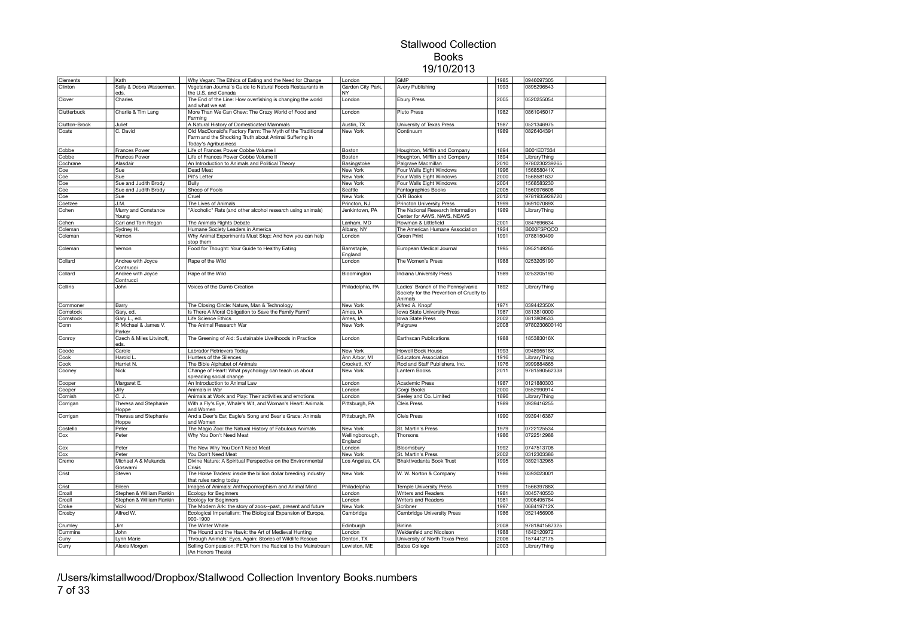| Clements      | Kath                             | Why Vegan: The Ethics of Eating and the Need for Change                                                                                    | London                     | <b>GMP</b>                                                                                | 1985 | 0946097305    |  |
|---------------|----------------------------------|--------------------------------------------------------------------------------------------------------------------------------------------|----------------------------|-------------------------------------------------------------------------------------------|------|---------------|--|
| Clinton       | Sally & Debra Wasserman,<br>eds. | Vegetarian Journal's Guide to Natural Foods Restaurants in<br>the U.S. and Canada                                                          | Garden City Park,<br>NY.   | Avery Publishing                                                                          | 1993 | 0895296543    |  |
| Clover        | Charles                          | The End of the Line: How overfishing is changing the world<br>and what we eat                                                              | London                     | <b>Ebury Press</b>                                                                        | 2005 | 0520255054    |  |
| Clutterbuck   | Charlie & Tim Lang               | More Than We Can Chew: The Crazy World of Food and<br>Farming                                                                              | London                     | <b>Pluto Press</b>                                                                        | 1982 | 0861045017    |  |
| Clutton-Brock | Juliet                           | A Natural History of Domesticated Mammals                                                                                                  | Austin, TX                 | University of Texas Press                                                                 | 1987 | 0521346975    |  |
| Coats         | C. David                         | Old MacDonald's Factory Farm: The Myth of the Traditional<br>Farm and the Shocking Truth about Animal Suffering in<br>Today's Agribusiness | New York                   | Continuum                                                                                 | 1989 | 0826404391    |  |
| Cobbe         | Frances Power                    | Life of Frances Power Cobbe Volume I                                                                                                       | Boston                     | Houghton, Mifflin and Company                                                             | 1894 | B001ED7334    |  |
| Cobbe         | Frances Power                    | Life of Frances Power Cobbe Volume II                                                                                                      | Boston                     | Houghton, Mifflin and Company                                                             | 1894 | LibraryThing  |  |
| Cochrane      | Alasdair                         | An Introduction to Animals and Political Theory                                                                                            | Basingstoke                | Palgrave Macmillan                                                                        | 2010 | 9780230239265 |  |
| Coe           | Sue                              | Dead Meat                                                                                                                                  | New York                   | Four Walls Eight Windows                                                                  | 1996 | 156858041X    |  |
| Coe           | Sue                              | Pit's Letter                                                                                                                               | New York                   | Four Walls Eight Windows                                                                  | 2000 | 1568581637    |  |
| Coe           | Sue and Judith Brody             | Bully                                                                                                                                      | New York                   | Four Walls Eight Windows                                                                  | 2004 | 1568583230    |  |
| Coe           | Sue and Judith Brody             | Sheep of Fools                                                                                                                             | Seattle                    | Fantagraphics Books                                                                       | 2005 | 1560976608    |  |
| Coe           | Sue                              | Cruel                                                                                                                                      | <b>New York</b>            | O/R Books                                                                                 | 2012 | 9781935928720 |  |
| Coetzee       | J.M.                             | The Lives of Animals                                                                                                                       | Princton, NJ               | <b>Princton University Press</b>                                                          | 1999 | 069107089X    |  |
| Cohen         | Murry and Constance<br>Young     | 'Alcoholic" Rats (and other alcohol research using animals)                                                                                | Jenkintown, PA             | The National Research Information<br>Center for AAVS, NAVS, NEAVS                         | 1989 | LibraryThing  |  |
| Cohen         | Carl and Tom Regan               | The Animals Rights Debate                                                                                                                  | Lanham, MD                 | Rowman & Littlefield                                                                      | 2001 | 0847696634    |  |
| Coleman       | Sydney H.                        | Humane Society Leaders in America                                                                                                          | Albany, NY                 | The American Humane Association                                                           | 1924 | B000FSPQCO    |  |
| Coleman       | Vernon                           | Why Animal Experiments Must Stop: And how you can help<br>ston them                                                                        | London                     | Green Print                                                                               | 1991 | 0788150499    |  |
| Coleman       | Vernon                           | Food for Thought: Your Guide to Healthy Eating                                                                                             | Barnstaple,<br>England     | European Medical Journal                                                                  | 1995 | 0952149265    |  |
| Collard       | Andree with Joyce<br>Contrucci   | Rape of the Wild                                                                                                                           | London                     | The Women's Press                                                                         | 1988 | 0253205190    |  |
| Collard       | Andree with Joyce<br>Contrucci   | Rape of the Wild                                                                                                                           | Bloomington                | Indiana University Press                                                                  | 1989 | 0253205190    |  |
| Collins       | John                             | Voices of the Dumb Creation                                                                                                                | Philadelphia, PA           | Ladies' Branch of the Pennsylvania<br>Society for the Prevention of Cruelty to<br>Animals | 1892 | LibraryThing  |  |
| Commoner      | Barry                            | The Closing Circle: Nature, Man & Technology                                                                                               | New York                   | Alfred A. Knopf                                                                           | 1971 | 039442350X    |  |
| Comstock      | Gary, ed.                        | Is There A Moral Obligation to Save the Family Farm?                                                                                       | Ames, IA                   | Iowa State University Press                                                               | 1987 | 0813810000    |  |
| Comstock      | Gary L., ed.                     | Life Science Ethics                                                                                                                        | Ames, IA                   | Iowa State Press                                                                          | 2002 | 0813809533    |  |
| Conn          | P. Michael & James V.<br>Parker  | The Animal Research War                                                                                                                    | New York                   | Palgrave                                                                                  | 2008 | 9780230600140 |  |
| Conroy        | Czech & Miles Litvinoff,<br>eds. | The Greening of Aid: Sustainable Livelihoods in Practice                                                                                   | London                     | Earthscan Publications                                                                    | 1988 | 185383016X    |  |
| Coode         | Carole                           | Labrador Retrievers Today                                                                                                                  | New York                   | <b>Howell Book House</b>                                                                  | 1993 | 094895518X    |  |
| Cook          | Harold L                         | Hunters of the Silences                                                                                                                    | Ann Arbor, MI              | <b>Educators Association</b>                                                              | 1916 | LibraryThing  |  |
| Cook          | Harriet N.                       | The Bible Alphabet of Animals                                                                                                              | Crockett, KY               | Rod and Staff Publishers, Inc.                                                            | 1976 | 9999884865    |  |
| Cooney        | <b>Nick</b>                      | Change of Heart: What psychology can teach us about<br>spreading social change                                                             | New York                   | Lantern Books                                                                             | 2011 | 9781590562338 |  |
| Cooper        | Margaret E.                      | An Introduction to Animal Law                                                                                                              | London                     | <b>Academic Press</b>                                                                     | 1987 | 0121880303    |  |
| Cooper        | Jilly                            | Animals in War                                                                                                                             | London                     | Corgi Books                                                                               | 2000 | 0552990914    |  |
| Cornish       | C. J.                            | Animals at Work and Play: Their activities and emotions                                                                                    | London                     | Seeley and Co. Limited                                                                    | 1896 | LibraryThing  |  |
| Corrigan      | Theresa and Stephanie<br>Hoppe   | With a Fly's Eye, Whale's Wit, and Woman's Heart: Animals<br>and Women                                                                     | Pittsburgh, PA             | Cleis Press                                                                               | 1989 | 0939416255    |  |
| Corrigan      | Theresa and Stephanie<br>Hoppe   | And a Deer's Ear, Eagle's Song and Bear's Grace: Animals<br>and Women                                                                      | Pittsburgh, PA             | Cleis Press                                                                               | 1990 | 0939416387    |  |
| Costello      | Peter                            | The Magic Zoo: the Natural History of Fabulous Animals                                                                                     | New York                   | St. Martin's Press                                                                        | 1979 | 0722125534    |  |
| Cox           | Peter                            | Why You Don't Need Meat                                                                                                                    | Wellingborough,<br>England | Thorsons                                                                                  | 1986 | 0722512988    |  |
| Cox           | Peter                            | The New Why You Don't Need Meat                                                                                                            | London                     | Bloomsbury                                                                                | 1992 | 0747513708    |  |
| Cox           | Peter                            | You Don't Need Meat                                                                                                                        | New York                   | St. Martin's Press                                                                        | 2002 | 0312303386    |  |
| Cremo         | Michael A & Mukunda<br>Goswami   | Divine Nature: A Spiritual Perspective on the Environmental<br>Crisis                                                                      | Los Angeles, CA            | <b>Bhaktivedanta Book Trust</b>                                                           | 1995 | 0892132965    |  |
| Crist         | Steven                           | The Horse Traders: inside the billion dollar breeding industry<br>that rules racing today                                                  | New York                   | W. W. Norton & Company                                                                    | 1986 | 0393023001    |  |
| Crist         | Eileen                           | Images of Animals: Anthropomorphism and Animal Mind                                                                                        | Philadelphia               | <b>Temple University Press</b>                                                            | 1999 | 156639788X    |  |
| Croall        | Stephen & William Rankin         | Ecology for Beginners                                                                                                                      | London                     | Writers and Readers                                                                       | 1981 | 0045740550    |  |
| Croall        | Stephen & William Rankin         | <b>Ecology for Beginners</b>                                                                                                               | London                     | Writers and Readers                                                                       | 1981 | 0906495784    |  |
| Croke         | Vicki                            | The Modern Ark: the story of zoos--past, present and future                                                                                | New York                   | Scribner                                                                                  | 1997 | 068419712X    |  |
| Crosby        | Alfred W.                        | Ecological Imperialism: The Biological Expansion of Europe,<br>900-1900                                                                    | Cambridge                  | Cambridge University Press                                                                | 1986 | 0521456908    |  |
| Crumley       | Jim                              | The Winter Whale                                                                                                                           | Edinburgh                  | Birlinn                                                                                   | 2008 | 9781841587325 |  |
| Cummins       | John                             | The Hound and the Hawk: the Art of Medieval Hunting                                                                                        | London                     | Weidenfeld and Nicolson                                                                   | 1988 | 1842120972    |  |
| Cuny          | Lynn Marie                       | Through Animals' Eyes, Again: Stories of Wildlife Rescue                                                                                   | Denton, TX                 | University of North Texas Press                                                           | 2006 | 1574412175    |  |
| Curry         | Alexis Morgen                    | Selling Compassion: PETA from the Radical to the Mainstream<br>(An Honors Thesis)                                                          | Lewiston, ME               | <b>Bates College</b>                                                                      | 2003 | LibraryThing  |  |

/Users/kimstallwood/Dropbox/Stallwood Collection Inventory Books.numbers 7 of 33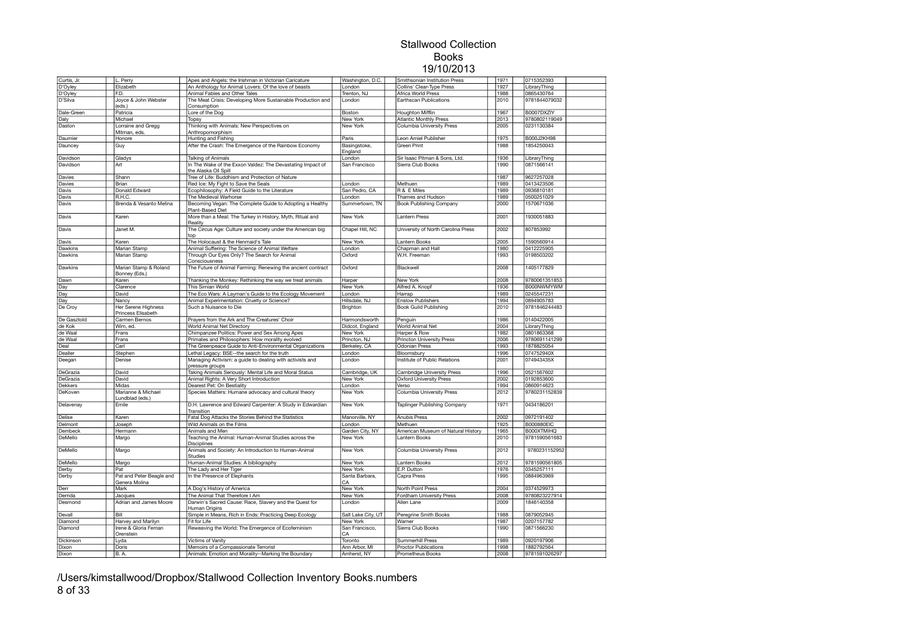| Curtis, Jr.    | L. Perry                                  | Apes and Angels: the Irishman in Victorian Caricature                              | Washington, D.C.        | Smithsonian Institution Press      | 1971 | 0715352393        |  |
|----------------|-------------------------------------------|------------------------------------------------------------------------------------|-------------------------|------------------------------------|------|-------------------|--|
| D'Oyley        | Elizabeth                                 | An Anthology for Animal Lovers: Of the love of beasts                              | London                  | Collins' Clear-Type Press          | 1927 | LibraryThing      |  |
| D'Oyley        | F.D.                                      | Animal Fables and Other Tales                                                      | Trenton, NJ             | Africa World Press                 | 1988 | 0865430764        |  |
| D'Silva        | Joyce & John Webster<br>(eds.)            | The Meat Crisis: Developing More Sustainable Production and<br>Consumption         | London                  | Earthscan Publications             | 2010 | 9781844079032     |  |
| Dale-Green     | Patricia                                  | Lore of the Dog                                                                    | Boston                  | <b>Houghton Mifflin</b>            | 1967 | B0007DXZIY        |  |
| Daly           | Michael                                   | Topsy                                                                              | <b>New York</b>         | <b>Atlantic Monthly Press</b>      | 2013 | 9780802119049     |  |
| Daston         | Lorraine and Gregg<br>Mitman, eds.        | Thinking with Animals: New Perspectives on<br>Anthropomorphism                     | New York                | Columbia University Press          | 2005 | 0231130384        |  |
| Daumier        | Honore                                    | Hunting and Fishing                                                                | Paris                   | Leon Amiel Publisher               | 1975 | <b>B000J2KH98</b> |  |
| Dauncey        | Guy                                       | After the Crash: The Emergence of the Rainbow Economy                              | Basingstoke,<br>England | <b>Green Print</b>                 | 1988 | 1854250043        |  |
| Davidson       | Gladys                                    | <b>Talking of Animals</b>                                                          | London                  | Sir Isaac Pitman & Sons, Ltd.      | 1936 | LibraryThing      |  |
| Davidson       | Art                                       | In The Wake of the Exxon Valdez: The Devastating Impact of<br>the Alaska Oil Spill | San Francisco           | Sierra Club Books                  | 1990 | 0871566141        |  |
| Davies         | Shann                                     | Tree of Life: Buddhism and Protection of Nature                                    |                         |                                    | 1987 | 9627257028        |  |
| Davies         | Brian                                     | Red Ice: My Fight to Save the Seals                                                | London                  | Methuen                            | 1989 | 0413423506        |  |
| Davis          | Donald Edward                             | Ecophilosophy: A Field Guide to the Literature                                     | San Pedro, CA           | R & E Miles                        | 1989 | 0936810181        |  |
| Davis          | R.H.C.                                    | The Medieval Warhorse                                                              | London                  | Thames and Hudson                  | 1989 | 0500251029        |  |
| Davis          | Brenda & Vesanto Melina                   | Becoming Vegan: The Complete Guide to Adopting a Healthy<br>Plant-Based Diet       | Summertown, TN          | <b>Book Publishing Company</b>     | 2000 | 1570671036        |  |
| Davis          | Karen                                     | More than a Meal: The Turkey in History, Myth, Ritual and<br>Reality               | New York                | Lantern Press                      | 2001 | 1930051883        |  |
| Davis          | Janet M.                                  | The Circus Age: Culture and society under the American big<br>top                  | Chapel Hill, NC         | University of North Carolina Press | 2002 | 807853992         |  |
| Davis          | Karen                                     | The Holocaust & the Henmaid's Tale                                                 | New York                | Lantern Books                      | 2005 | 1590560914        |  |
| Dawkins        | Marian Stamp                              | Animal Suffering: The Science of Animal Welfare                                    | London                  | Chapman and Hall                   | 1980 | 0412225905        |  |
| Dawkins        | Marian Stamp                              | Through Our Eyes Only? The Search for Animal<br>Consciousness                      | Oxford                  | W.H. Freeman                       | 1993 | 0198503202        |  |
| Dawkins        | Marian Stamp & Roland<br>Bonney (Eds.)    | The Future of Animal Farming: Renewing the ancient contract                        | Oxford                  | Blackwell                          | 2008 | 1405177829        |  |
| Dawn           | Karen                                     | Thanking the Monkey: Rethinking the way we treat animals                           | Harper                  | New York                           | 2008 | 9780061351853     |  |
| Day            | Clarence                                  | This Simian World                                                                  | New York                | Alfred A. Knopf                    | 1936 | B000NWMYWM        |  |
| Day            | David                                     | The Eco Wars: A Layman's Guide to the Ecology Movement                             | London                  | Harrap                             | 1989 | 0245547231        |  |
| Day            | Nancy                                     | Animal Experimentation: Cruelty or Science?                                        | Hillsdale, NJ           | <b>Enslow Publishers</b>           | 1994 | 0894905783        |  |
| De Croy        | Her Serene Highness<br>Princess Elisabeth | Such a Nuisance to Die                                                             | Brighton                | Book Guild Publishing              | 2010 | 9781846244483     |  |
| De Gasztold    | Carmen Bernos                             | Prayers from the Ark and The Creatures' Choir                                      | Harmondsworth           | Penguin                            | 1986 | 0140422005        |  |
| de Kok         | Wim, ed.                                  | World Animal Net Directory                                                         | Didcot, England         | World Animal Net                   | 2004 | LibraryThing      |  |
| de Waal        | Frans                                     | Chimpanzee Politics: Power and Sex Among Apes                                      | New York                | Harper & Row                       | 1982 | 0801863368        |  |
| de Waal        | Frans                                     | Primates and Philosophers: How morality evolved                                    | Princton, NJ            | <b>Princton University Press</b>   | 2006 | 9780691141299     |  |
| Deal           | Carl                                      | The Greenpeace Guide to Anti-Environmental Organizations                           | Berkeley, CA            | Odonian Press                      | 1993 | 1878825054        |  |
| Dealler        | Stephen                                   | Lethal Legacy: BSE--the search for the truth                                       | London                  | Bloomsbury                         | 1996 | 074752940X        |  |
| Deegan         | Denise                                    | Managing Activism: a guide to dealing with activists and<br>pressure groups        | London                  | Institute of Public Relations      | 2001 | 074943435X        |  |
| DeGrazia       | David                                     | Taking Animals Seriously: Mental Life and Moral Status                             | Cambridge, UK           | <b>Cambridge University Press</b>  | 1996 | 0521567602        |  |
| DeGrazia       | David                                     | Animal Rights: A Very Short Introduction                                           | New York                | <b>Oxford University Press</b>     | 2002 | 0192853600        |  |
| <b>Dekkers</b> | Midas                                     | Dearest Pet: On Bestiality                                                         | London                  | Verso                              | 1994 | 0860914623        |  |
| DeKoven        | Marianne & Michael<br>Lundblad (eds.)     | Species Matters: Humane advocacy and cultural theory                               | New York                | Columbia University Press          | 2012 | 9780231152839     |  |
| Delavenay      | Emile                                     | D.H. Lawrence and Edward Carpenter: A Study in Edwardian<br>Transition             | New York                | Taplinger Publishing Company       | 1971 | 0434186201        |  |
| Delise         | Karen                                     | Fatal Dog Attacks the Stories Behind the Statistics                                | Manorville, NY          | Anubis Press                       | 2002 | 0972191402        |  |
| Delmont        | Joseph                                    | Wild Animals on the Films                                                          | London                  | Methuen                            | 1925 | <b>B000880EIC</b> |  |
| Dembeck        | Hermann                                   | Animals and Men                                                                    | Garden City, NY         | American Museum of Natural History | 1965 | B000XTMIHQ        |  |
| DeMello        | Margo                                     | Teaching the Animal: Human-Animal Studies across the<br><b>Disciplines</b>         | New York                | Lantern Books                      | 2010 | 9781590561683     |  |
| DeMello        | Margo                                     | Animals and Society: An Introduction to Human-Animal<br><b>Studies</b>             | <b>New York</b>         | Columbia University Press          | 2012 | 9780231152952     |  |
| DeMello        | Margo                                     | Human-Animal Studies: A bibliography                                               | New York                | Lantern Books                      | 2012 | 9781590561805     |  |
| Derby          | Pat                                       | The Lady and Her Tiger                                                             | New York                | E.P. Dutton                        | 1976 | 0345257111        |  |
| Derby          | Pat and Peter Beagle and<br>Genera Molina | In the Presence of Elephants                                                       | Santa Barbara.<br>CA    | Capra Press                        | 1995 | 0884963969        |  |
| Derr           | Mark                                      | A Dog's History of America                                                         | New York                | North Point Press                  | 2004 | 0374529973        |  |
| Derrida        | Jacques                                   | The Animal That Therefore I Am                                                     | New York                | Fordham University Press           | 2008 | 9780823227914     |  |
| Desmond        | Adrian and James Moore                    | Darwin's Sacred Cause: Race, Slavery and the Quest for<br>Human Origins            | London                  | Allen Lane                         | 2009 | 1846140358        |  |
| Devall         | Bill                                      | Simple in Means, Rich in Ends: Practicing Deep Ecology                             | Salt Lake City, UT      | Peregrine Smith Books              | 1988 | 0879052945        |  |
| Diamond        | Harvey and Marilyn                        | Fit for Life                                                                       | New York                | Warner                             | 1987 | 0207157782        |  |
| Diamond        | Irene & Gloria Feman<br>Orenstein         | Reweaving the World: The Emergence of Ecofeminism                                  | San Francisco,<br>CA    | Sierra Club Books                  | 1990 | 0871566230        |  |
| Dickinson      | Lyda                                      | Victims of Vanity                                                                  | Toronto                 | Summerhill Press                   | 1989 | 0920197906        |  |
| Dixon          | Doris                                     | Memoirs of a Compassionate Terrorist                                               | Ann Arbor, MI           | <b>Proctor Publications</b>        | 1998 | 1882792564        |  |
| Dixon          | B.A.                                      | Animals: Emotion and Morality--Marking the Boundary                                | Amherst, NY             | Prometheus Books                   | 2008 | 9781591026297     |  |

/Users/kimstallwood/Dropbox/Stallwood Collection Inventory Books.numbers 8 of 33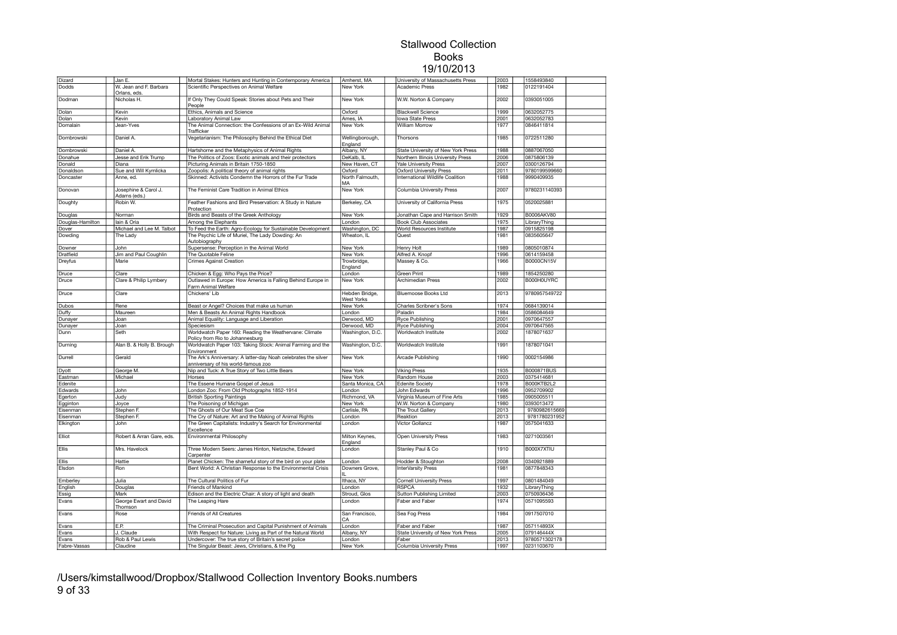| <b>Dizard</b>    | Jan E.                                 | Mortal Stakes: Hunters and Hunting in Contemporary America                                            | Amherst, MA                  | University of Massachusetts Press  | 2003 | 1558493840        |  |
|------------------|----------------------------------------|-------------------------------------------------------------------------------------------------------|------------------------------|------------------------------------|------|-------------------|--|
| Dodds            | W. Jean and F. Barbara<br>Orlans, eds. | Scientific Perspectives on Animal Welfare                                                             | New York                     | Academic Press                     | 1982 | 0122191404        |  |
| Dodman           | Nicholas H.                            | If Only They Could Speak: Stories about Pets and Their<br>People                                      | New York                     | W.W. Norton & Company              | 2002 | 0393051005        |  |
| Dolan            | Kevin                                  | Ethics, Animals and Science                                                                           | Oxford                       | <b>Blackwell Science</b>           | 1999 | 0632052775        |  |
| Dolan            | Kevin                                  | Laboratory Animal Law                                                                                 | Ames, IA                     | <b>Iowa State Press</b>            | 2001 | 0632052783        |  |
| Domalain         | Jean-Yves                              | The Animal Connection: the Confessions of an Ex-Wild Animal<br>Trafficker                             | New York                     | <b>William Morrow</b>              | 1977 | 0846411814        |  |
| Dombrowski       | Daniel A.                              | Vegetarianism: The Philosophy Behind the Ethical Diet                                                 | Wellingborough,<br>England   | Thorsons                           | 1985 | 0722511280        |  |
| Dombrowski       | Daniel A.                              | Hartshorne and the Metaphysics of Animal Rights                                                       | Albany, NY                   | State University of New York Press | 1988 | 0887067050        |  |
| Donahue          | Jesse and Erik Trump                   | The Politics of Zoos: Exotic animals and their protectors                                             | DeKalb, IL                   | Northern Illinois University Press | 2006 | 0875806139        |  |
| Donald           | Diana                                  | Picturing Animals in Britain 1750-1850                                                                | New Haven, CT                | <b>Yale University Press</b>       | 2007 | 0300126794        |  |
| Donaldson        | Sue and Will Kymlicka                  | Zoopolis: A political theory of animal rights                                                         | Oxford                       | <b>Oxford University Press</b>     | 2011 | 9780199599660     |  |
| Doncaster        | Anne, ed.                              | Skinned: Activists Condemn the Horrors of the Fur Trade                                               | North Falmouth,<br>MA        | International Wildlife Coalition   | 1988 | 9990409935        |  |
| Donovan          | Josephine & Carol J.<br>Adams (eds.)   | The Feminist Care Tradition in Animal Ethics                                                          | <b>New York</b>              | <b>Columbia University Press</b>   | 2007 | 9780231140393     |  |
| Doughty          | Robin W.                               | Feather Fashions and Bird Preservation: A Study in Nature<br>Protection                               | Berkeley, CA                 | University of California Press     | 1975 | 0520025881        |  |
| Douglas          | Norman                                 | Birds and Beasts of the Greek Anthology                                                               | New York                     | Jonathan Cape and Harrison Smith   | 1929 | B0006AKV80        |  |
| Douglas-Hamilton | lain & Oria                            | Among the Elephants                                                                                   | London                       | <b>Book Club Associates</b>        | 1975 | LibraryThing      |  |
| Dover            | Michael and Lee M. Talbot              | To Feed the Earth: Agro-Ecology for Sustainable Development                                           | Washington, DC               | World Resources Institute          | 1987 | 0915825198        |  |
| Dowding          | The Lady                               | The Psychic Life of Muriel, The Lady Dowding: An<br>Autobiography                                     | Wheaton, IL                  | Quest                              | 1981 | 0835605647        |  |
| Downer           | John                                   | Supersense: Perception in the Animal World                                                            | New York                     | Henry Holt                         | 1989 | 0805010874        |  |
| Dratfield        | Jim and Paul Coughlin                  | The Quotable Feline                                                                                   | New York                     | Alfred A. Knopf                    | 1996 | 0614159458        |  |
| Dreyfus          | Marie                                  | <b>Crimes Against Creation</b>                                                                        | Trowbridge,<br>England       | Massey & Co.                       | 1966 | B0000CN15V        |  |
| Druce            | Clare                                  | Chicken & Egg: Who Pays the Price?                                                                    | London                       | Green Print                        | 1989 | 1854250280        |  |
| Druce            | Clare & Philip Lymbery                 | Outlawed in Europe: How America is Falling Behind Europe in<br>Farm Animal Welfare                    | New York                     | Archimedian Press                  | 2002 | B000H0UYRC        |  |
| Druce            | Clare                                  | Chickens' Lib                                                                                         | Hebden Bridge,<br>West Yorks | <b>Bluemoose Books Ltd</b>         | 2013 | 9780957549722     |  |
| Dubos            | Rene                                   | Beast or Angel? Choices that make us human                                                            | New York                     | Charles Scribner's Sons            | 1974 | 0684139014        |  |
| Duffy            | Maureen                                | Men & Beasts An Animal Rights Handbook                                                                | London                       | Paladin                            | 1984 | 0586084649        |  |
| Dunayer          | Joan                                   | Animal Equality: Language and Liberation                                                              | Derwood, MD                  | <b>Ryce Publishing</b>             | 2001 | 0970647557        |  |
| Dunayer          | Joan                                   | Speciesism                                                                                            | Derwood, MD                  | <b>Ryce Publishing</b>             | 2004 | 0970647565        |  |
| Dunn             | Seth                                   | Worldwatch Paper 160: Reading the Weathervane: Climate<br>Policy from Rio to Johannesburg             | Washington, D.C.             | Worldwatch Institute               | 2002 | 1878071637        |  |
| Durning          | Alan B. & Holly B. Brough              | Worldwatch Paper 103: Taking Stock: Animal Farming and the<br>Environment                             | Washington, D.C.             | Worldwatch Institute               | 1991 | 1878071041        |  |
| Durrell          | Gerald                                 | The Ark's Anniversary: A latter-day Noah celebrates the silver<br>anniversary of his world-famous zoo | New York                     | Arcade Publishing                  | 1990 | 0002154986        |  |
| Dyott            | George M.                              | Nip and Tuck: A True Story of Two Little Bears                                                        | New York                     | <b>Viking Press</b>                | 1935 | <b>B000871BUS</b> |  |
| Eastman          | Michael                                | Horses                                                                                                | New York                     | Random House                       | 2003 | 0375414681        |  |
| Edenite          |                                        | The Essene Humane Gospel of Jesus                                                                     | Santa Monica, CA             | <b>Edenite Society</b>             | 1978 | B000KTB2L2        |  |
| Edwards          | John                                   | London Zoo: From Old Photographs 1852-1914                                                            | London                       | John Edwards                       | 1996 | 0952709902        |  |
| Egerton          | Judy                                   | <b>British Sporting Paintings</b>                                                                     | Richmond, VA                 | Virginia Museum of Fine Arts       | 1985 | 0905005511        |  |
| Egginton         | Joyce                                  | The Poisoning of Michigan                                                                             | New York                     | W.W. Norton & Company              | 1980 | 0393013472        |  |
| Eisenman         | Stephen F.                             | The Ghosts of Our Meat Sue Coe                                                                        | Carlisle, PA                 | The Trout Gallery                  | 2013 | 9780982615669     |  |
| Eisenman         | Stephen F.                             | The Cry of Nature: Art and the Making of Animal Rights                                                | London                       | Reaktion                           | 2013 | 9781780231952     |  |
| Elkington        | John                                   | The Green Capitalists: Industry's Search for Environmental<br>Excellence                              | London                       | <b>Victor Gollancz</b>             | 1987 | 0575041633        |  |
| Elliot           | Robert & Arran Gare, eds.              | Environmental Philosophy                                                                              | Milton Keynes,<br>England    | Open University Press              | 1983 | 0271003561        |  |
| Ellis            | Mrs. Havelock                          | Three Modern Seers: James Hinton, Nietzsche, Edward<br>Carpenter                                      | London                       | Stanley Paul & Co                  | 1910 | B000X7XTIU        |  |
| Ellis            | Hattie                                 | Planet Chicken: The shameful story of the bird on your plate                                          | London                       | Hodder & Stoughton                 | 2008 | 0340921889        |  |
| Elsdon           | Ron                                    | Bent World: A Christian Response to the Environmental Crisis                                          | Downers Grove,               | InterVarsity Press                 | 1981 | 0877848343        |  |
| Emberley         | Julia                                  | The Cultural Politics of Fur                                                                          | Ithaca, NY                   | <b>Cornell University Press</b>    | 1997 | 0801484049        |  |
| English          | Douglas                                | Friends of Mankind                                                                                    | London                       | <b>RSPCA</b>                       | 1932 | LibraryThing      |  |
| Essig            | Mark                                   | Edison and the Electric Chair: A story of light and death                                             | Stroud, Glos                 | Sutton Publishing Limited          | 2003 | 0750936436        |  |
| Evans            | George Ewart and David<br>Thomson      | The Leaping Hare                                                                                      | London                       | Faber and Faber                    | 1974 | 0571095593        |  |
| Evans            | Rose                                   | Friends of All Creatures                                                                              | San Francisco,<br>CA         | Sea Fog Press                      | 1984 | 0917507010        |  |
| Evans            | E.P.                                   | The Criminal Prosecution and Capital Punishment of Animals                                            | London                       | Faber and Faber                    | 1987 | 057114893X        |  |
| Evans            | J. Claude                              | With Respect for Nature: Living as Part of the Natural World                                          | Albany, NY                   | State University of New York Press | 2005 | 079146444X        |  |
| Evans            | Rob & Paul Lewis                       | Undercover: The true story of Britain's secret police                                                 | London                       | Faber                              | 2013 | 9780571302178     |  |
| Fabre-Vassas     | Claudine                               | The Singular Beast: Jews, Christians, & the Pig                                                       | New York                     | Columbia University Press          | 1997 | 0231103670        |  |

/Users/kimstallwood/Dropbox/Stallwood Collection Inventory Books.numbers 9 of 33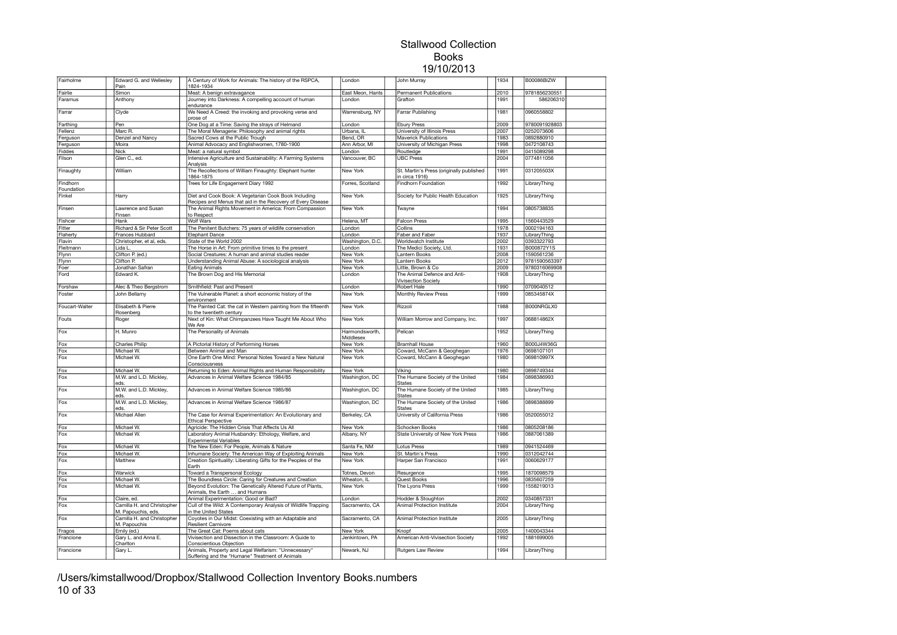| Fairholme              | Edward G. and Wellesley<br>Pain                  | A Century of Work for Animals: The history of the RSPCA,<br>1824-1934                                                 | London                      | John Murray                                                | 1934 | B00086BIZW    |  |
|------------------------|--------------------------------------------------|-----------------------------------------------------------------------------------------------------------------------|-----------------------------|------------------------------------------------------------|------|---------------|--|
| Fairlie                | Simon                                            | Meat: A benign extravagance                                                                                           | East Meon, Hants            | Permanent Publications                                     | 2010 | 9781856230551 |  |
| Faramus                | Anthony                                          | Journey into Darkness: A compelling account of human                                                                  | London                      | Grafton                                                    | 1991 | 586206310     |  |
|                        |                                                  | endurance                                                                                                             |                             |                                                            |      |               |  |
| Farrar                 | Clyde                                            | We Need A Creed: the invoking and provoking verse and                                                                 | Warrensburg, NY             | Farrar Publishing                                          | 1981 | 0960558802    |  |
|                        |                                                  | prose of                                                                                                              |                             |                                                            |      |               |  |
| Farthing               | Pen                                              | One Dog at a Time: Saving the strays of Helmand                                                                       | London                      | <b>Ebury Press</b>                                         | 2009 | 9780091928803 |  |
| Fellenz                | Marc R.                                          | The Moral Menagerie: Philosophy and animal rights                                                                     | Urbana, IL                  | University of Illinois Press                               | 2007 | 0252073606    |  |
| Ferguson               | Denzel and Nancy                                 | Sacred Cows at the Public Trough                                                                                      | Bend, OR                    | <b>Maverick Publications</b>                               | 1983 | 0892880910    |  |
| Ferguson               | Moira                                            | Animal Advocacy and Englishwomen, 1780-1900                                                                           | Ann Arbor, MI               | University of Michigan Press                               | 1998 | 0472108743    |  |
| Fiddes                 | Nick                                             | Meat: a natural symbol                                                                                                | London                      | Routledge                                                  | 1991 | 0415089298    |  |
| Filson                 | Glen C., ed.                                     | Intensive Agriculture and Sustainability: A Farming Systems<br>Analysis                                               | Vancouver, BC               | <b>UBC Press</b>                                           | 2004 | 0774811056    |  |
| Finaughty              | William                                          | The Recollections of William Finaughty: Elephant hunter<br>1864-1875                                                  | New York                    | St. Martin's Press (originally published<br>in circa 1916) | 1991 | 031205503X    |  |
| Findhorn<br>Foundation |                                                  | Trees for Life Engagement Diary 1992                                                                                  | Forres, Scotland            | Findhorn Foundation                                        | 1992 | LibraryThing  |  |
| Finkel                 | Harry                                            | Diet and Cook Book: A Vegetarian Cook Book Including                                                                  | New York                    | Society for Public Health Education                        | 1925 | LibraryThing  |  |
| Finsen                 | Lawrence and Susan                               | Recipes and Menus that aid in the Recovery of Every Disease<br>The Animal Rights Movement in America: From Compassion | <b>New York</b>             | Twayne                                                     | 1994 | 0805738835    |  |
|                        | Finsen                                           | o Respect                                                                                                             |                             |                                                            |      |               |  |
| Fishcer                | Hank                                             | Wolf Wars                                                                                                             | Helena, MT                  | <b>Falcon Press</b>                                        | 1995 | 1560443529    |  |
| Fitter                 | Richard & Sir Peter Scott                        | The Penitent Butchers: 75 years of wildlife conservation                                                              | London                      | Collins                                                    | 1978 | 0002194163    |  |
| Flaherty               | Frances Hubbard                                  | <b>Elephant Dance</b>                                                                                                 | London                      | Faber and Faber                                            | 1937 | LibraryThing  |  |
| Flavin                 | Christopher, et al, eds.                         | State of the World 2002                                                                                               | Washington, D.C.            | Worldwatch Institute                                       | 2002 | 0393322793    |  |
| Fleitmann              | Lida L                                           | The Horse in Art: From primitive times to the present                                                                 | London                      | The Medici Society, Ltd.                                   | 1931 | B000872Y1S    |  |
| Flynn                  | Clifton P. (ed.)                                 | Social Creatures: A human and animal studies reader                                                                   | New York                    | Lantern Books                                              | 2008 | 1590561236    |  |
| Flynn                  | Clifton P.                                       | Understanding Animal Abuse: A sociological analysis                                                                   | New York                    | Lantern Books                                              | 2012 | 9781590563397 |  |
| Foer                   | Jonathan Safran                                  | <b>Eating Animals</b>                                                                                                 | New York                    | Little, Brown & Co                                         | 2009 | 9780316069908 |  |
| Ford                   | Edward K.                                        | The Brown Dog and His Memorial                                                                                        | London                      | The Animal Defence and Anti-<br><b>Vivisection Society</b> | 1908 | LibraryThing  |  |
| Forshaw                | Alec & Theo Bergstrom                            | Smithfield: Past and Present                                                                                          | London                      | Robert Hale                                                | 1990 | 0709040512    |  |
| Foster                 | John Bellamy                                     | The Vulnerable Planet: a short economic history of the                                                                | New York                    | Monthly Review Press                                       | 1999 | 085345874X    |  |
|                        |                                                  | environment                                                                                                           |                             |                                                            |      |               |  |
| Foucart-Walter         | Elisabeth & Pierre<br>Rosenberg                  | The Painted Cat: the cat in Western painting from the fifteenth<br>to the twentieth century                           | New York                    | Rizzoli                                                    | 1988 | B000NRGLX0    |  |
| Fouts                  | Roger                                            | Next of Kin: What Chimpanzees Have Taught Me About Who                                                                | New York                    | William Morrow and Company, Inc.                           | 1997 | 068814862X    |  |
|                        |                                                  | We Are                                                                                                                |                             |                                                            |      |               |  |
| Fox                    | H. Munro                                         | The Personality of Animals                                                                                            | Harmondsworth,<br>Middlesex | Pelican                                                    | 1952 | LibraryThing  |  |
| Fox                    | Charles Philip                                   | A Pictorial History of Performing Horses                                                                              | New York                    | <b>Bramhall House</b>                                      | 1960 | B000J4W36G    |  |
| Fox                    | Michael W.                                       | Between Animal and Man                                                                                                | New York                    | Coward, McCann & Geoghegan                                 | 1976 | 0698107101    |  |
| Fox                    | Michael W.                                       | One Earth One Mind: Personal Notes Toward a New Natural<br>Consciousness                                              | New York                    | Coward, McCann & Geoghegan                                 | 1980 | 069810997X    |  |
| Fox                    | Michael W.                                       | Returning to Eden: Animal Rights and Human Responsibility                                                             | New York                    | Viking                                                     | 1980 | 0898749344    |  |
| Fox                    | M.W. and L.D. Mickley,                           | Advances in Animal Welfare Science 1984/85                                                                            | Washington, DC              | The Humane Society of the United                           | 1984 | 0898386993    |  |
|                        | eds.<br>M.W. and L.D. Mickley,                   | Advances in Animal Welfare Science 1985/86                                                                            |                             | <b>States</b>                                              | 1985 |               |  |
| Fox                    | eds                                              |                                                                                                                       | Washington, DC              | The Humane Society of the United<br>States                 |      | LibraryThing  |  |
| Fox                    | M.W. and L.D. Mickley,<br>eds.                   | Advances in Animal Welfare Science 1986/87                                                                            | Washington, DC              | The Humane Society of the United<br><b>States</b>          | 1986 | 0898388899    |  |
| Fox                    | Michael Allen                                    | The Case for Animal Experimentation: An Evolutionary and<br><b>Ethical Perspective</b>                                | Berkeley, CA                | University of California Press                             | 1986 | 0520055012    |  |
| Fox                    | Michael W                                        | Agricide: The Hidden Crisis That Affects Us All                                                                       | <b>New York</b>             | <b>Schocken Books</b>                                      | 1986 | 0805208186    |  |
| Fox                    | Michael W.                                       | Laboratory Animal Husbandry: Ethology, Welfare, and<br><b>Experimental Variables</b>                                  | Albany, NY                  | State University of New York Press                         | 1986 | 0887061389    |  |
| Fox                    | Michael W.                                       | The New Eden: For People, Animals & Nature                                                                            | Santa Fe, NM                | <b>Lotus Press</b>                                         | 1989 | 0941524469    |  |
| Fox                    | Michael W.                                       | Inhumane Society: The American Way of Exploiting Animals                                                              | <b>New York</b>             | St. Martin's Press                                         | 1990 | 0312042744    |  |
| Fox                    | Matthew                                          | Creation Spirituality: Liberating Gifts for the Peoples of the<br>Earth                                               | New York                    | Harper San Francisco                                       | 1991 | 0060629177    |  |
| Fox                    | Warwick                                          | Toward a Transpersonal Ecology                                                                                        | Totnes, Devon               | Resurgence                                                 | 1995 | 1870098579    |  |
| Fox                    | Michael W                                        | The Boundless Circle: Caring for Creatures and Creation                                                               | Wheaton, IL                 | Quest Books                                                | 1996 | 0835607259    |  |
| Fox                    | Michael W.                                       | Beyond Evolution: The Genetically Altered Future of Plants,                                                           | New York                    | The Lyons Press                                            | 1999 | 1558219013    |  |
|                        |                                                  | Animals, the Earth  and Humans                                                                                        |                             |                                                            |      |               |  |
| Fox                    | Claire, ed.                                      | Animal Experimentation: Good or Bad?                                                                                  | London                      | Hodder & Stoughton                                         | 2002 | 0340857331    |  |
| Fox                    | Camilla H. and Christopher<br>M. Papouchis, eds. | Cull of the Wild: A Contemporary Analysis of Wildlife Trapping<br>in the United States                                | Sacramento, CA              | Animal Protection Institute                                | 2004 | LibraryThing  |  |
| Fox                    | Camilla H. and Christopher                       | Coyotes in Our Midst: Coexisting with an Adaptable and                                                                | Sacramento, CA              | Animal Protection Institute                                | 2005 | LibraryThing  |  |
|                        | M. Papouchis                                     | <b>Resilient Carnivore</b>                                                                                            |                             |                                                            |      |               |  |
| Fragos                 | Emily (ed.)                                      | The Great Cat: Poems about cats                                                                                       | New York                    | Knopf                                                      | 2005 | 1400043344    |  |
| Francione              | Gary L. and Anna E.                              | Vivisection and Dissection in the Classroom: A Guide to                                                               | Jenkintown, PA              | American Anti-Vivisection Society                          | 1992 | 1881699005    |  |
|                        | Charlton                                         | Conscientious Objection                                                                                               |                             |                                                            |      |               |  |
| Francione              | Gary L.                                          | Animals, Property and Legal Welfarism: "Unnecessary"                                                                  | Newark, NJ                  | <b>Rutgers Law Review</b>                                  | 1994 | LibraryThing  |  |
|                        |                                                  | Suffering and the "Humane" Treatment of Animals                                                                       |                             |                                                            |      |               |  |

/Users/kimstallwood/Dropbox/Stallwood Collection Inventory Books.numbers 10 of 33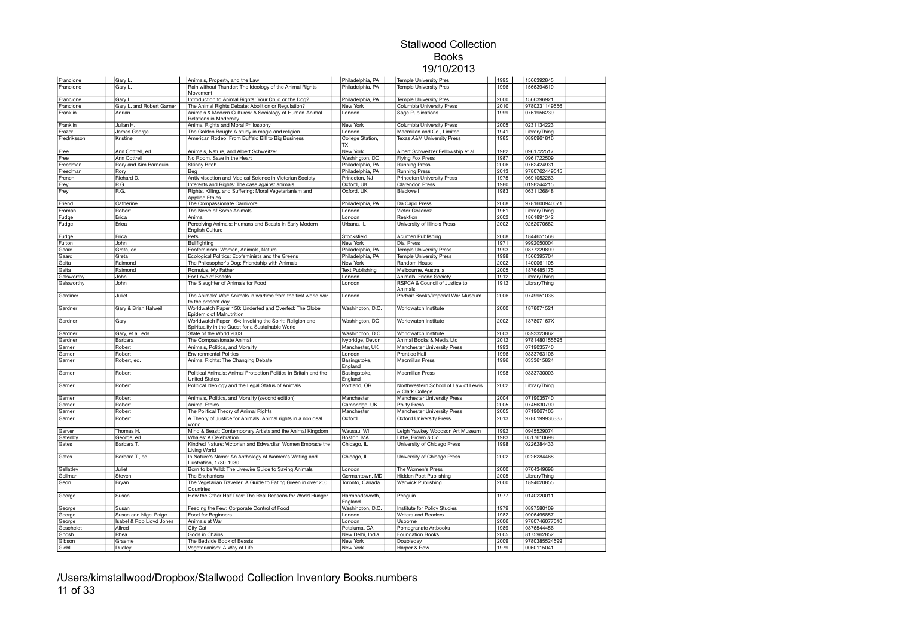| Francione   | Gary L.                   | Animals, Property, and the Law                                                           | Philadelphia, PA              | <b>Temple University Pres</b>                          | 1995 | 1566392845    |  |
|-------------|---------------------------|------------------------------------------------------------------------------------------|-------------------------------|--------------------------------------------------------|------|---------------|--|
| Francione   | Gary L.                   | Rain without Thunder: The Ideology of the Animal Rights<br>Movement                      | Philadelphia, PA              | <b>Temple University Pres</b>                          | 1996 | 1566394619    |  |
| Francione   | Gary L                    | Introduction to Animal Rights: Your Child or the Dog?                                    | Philadelphia, PA              | <b>Temple University Pres</b>                          | 2000 | 1566396921    |  |
| Francione   | Gary L. and Robert Garner | The Animal Rights Debate: Abolition or Regulation?                                       | New York                      | Columbia University Press                              | 2010 | 9780231149556 |  |
| Franklin    | Adrian                    | Animals & Modern Cultures: A Sociology of Human-Animal                                   | London                        | Sage Publications                                      | 1999 | 0761956239    |  |
|             |                           | Relations in Modernity                                                                   |                               |                                                        |      | 0231134223    |  |
| Franklin    | Julian H.                 | Animal Rights and Moral Philosophy                                                       | New York                      | Columbia University Press                              | 2005 |               |  |
| Frazer      | James George              | The Golden Bough: A study in magic and religion                                          | London                        | Macmillan and Co., Limited                             | 1941 | LibraryThing  |  |
| Fredriksson | Kristine                  | American Rodeo: From Buffalo Bill to Big Business                                        | College Station,<br><b>TX</b> | <b>Texas A&amp;M University Press</b>                  | 1985 | 0890961816    |  |
| Free        | Ann Cottrell, ed.         | Animals, Nature, and Albert Schweitzer                                                   | New York                      | Albert Schweitzer Fellowship et al                     | 1982 | 0961722517    |  |
| Free        | Ann Cottrell              | No Room, Save in the Heart                                                               | Washington, DC                | Flying Fox Press                                       | 1987 | 0961722509    |  |
| Freedman    | Rory and Kim Barnouin     | Skinny Bitch                                                                             | Philadelphia, PA              | <b>Running Press</b>                                   | 2006 | 0762424931    |  |
| Freedman    | Rory                      | Beg                                                                                      | Philadelphia, PA              | <b>Running Press</b>                                   | 2013 | 9780762449545 |  |
| French      | Richard D.                | Antivivisection and Medical Science in Victorian Society                                 | Princeton, NJ                 | Princeton University Press                             | 1975 | 0691052263    |  |
| Frey        | R.G.                      | Interests and Rights: The case against animals                                           | Oxford, UK                    | Clarendon Press                                        | 1980 | 0198244215    |  |
| Frey        | R.G.                      | Rights, Killing, and Suffering: Moral Vegetarianism and<br><b>Applied Ethics</b>         | Oxford, UK                    | Blackwell                                              | 1983 | 0631126848    |  |
| Friend      | Catherine                 | The Compassionate Carnivore                                                              | Philadelphia, PA              | Da Capo Press                                          | 2008 | 9781600940071 |  |
| Froman      | Robert                    | The Nerve of Some Animals                                                                | London                        | Victor Gollancz                                        | 1961 | LibraryThing  |  |
| Fudge       | Erica                     | Animal                                                                                   | London                        | Reaktion                                               | 2002 | 1861891342    |  |
| Fudge       | Erica                     | Perceiving Animals: Humans and Beasts in Early Modern                                    | Urbana, IL                    | University of Illinois Press                           | 2002 | 0252070682    |  |
|             |                           | English Culture                                                                          |                               |                                                        |      |               |  |
| Fudge       | Erica                     | Pets                                                                                     | Stocksfield                   | Acumen Publishing                                      | 2008 | 1844651568    |  |
| Fulton      | John                      | Bullfighting                                                                             | New York                      | Dial Press                                             | 1971 | 9992050004    |  |
| Gaard       | Greta, ed.                | Ecofeminism: Women, Animals, Nature                                                      | Philadelphia, PA              | Temple University Press                                | 1993 | 0877229899    |  |
| Gaard       | Greta                     | Ecological Politics: Ecofeminists and the Greens                                         | Philadelphia, PA              | <b>Temple University Press</b>                         | 1998 | 1566395704    |  |
| Gaita       | Raimond                   | The Philosopher's Dog: Friendship with Animals                                           | New York                      | Random House                                           | 2002 | 1400061105    |  |
| Gaita       | Raimond                   | Romulus, My Father                                                                       | <b>Text Publishing</b>        | Melbourne, Australia                                   | 2005 | 1876485175    |  |
| Galsworthy  | John                      | For Love of Beasts                                                                       | London                        | Animals' Friend Society                                | 1912 | LibraryThing  |  |
| Galsworthy  | John                      | The Slaughter of Animals for Food                                                        | London                        | RSPCA & Council of Justice to<br>Animals               | 1912 | LibraryThing  |  |
| Gardiner    | Juliet                    | The Animals' War: Animals in wartime from the first world war<br>to the present day      | London                        | Portrait Books/Imperial War Museum                     | 2006 | 0749951036    |  |
| Gardner     | Gary & Brian Halweil      | Worldwatch Paper 150: Underfed and Overfed: The Globel                                   | Washington, D.C.              | Worldwatch Institute                                   | 2000 | 1878071521    |  |
| Gardner     | Garv                      | Epidemic of Malnutrition<br>Worldwatch Paper 164: Invoking the Spirit: Religion and      | Washington, DC                | Worldwatch Institute                                   | 2002 | 187807167X    |  |
|             |                           | Spirituality in the Quest for a Sustainable World                                        |                               |                                                        |      |               |  |
| Gardner     | Gary, et al, eds.         | State of the World 2003                                                                  | Washington, D.C.              | Worldwatch Institute                                   | 2003 | 0393323862    |  |
| Gardner     | Barbara                   | The Compassionate Animal                                                                 | Ivybridge, Devon              | Animal Books & Media Ltd                               | 2012 | 9781480155695 |  |
| Garner      | Robert                    | Animals, Politics, and Morality                                                          | Manchester, UK                | Manchester University Press                            | 1993 | 0719035740    |  |
| Garner      | Robert                    | <b>Environmental Politics</b>                                                            | London                        | Prentice Hall                                          | 1996 | 0333763106    |  |
| Garner      | Robert, ed.               | Animal Rights: The Changing Debate                                                       | Basingstoke,<br>England       | Macmillan Press                                        | 1996 | 0333615824    |  |
| Garner      | Robert                    | Political Animals: Animal Protection Politics in Britain and the<br><b>United States</b> | Basingstoke,<br>England       | Macmillan Press                                        | 1998 | 0333730003    |  |
| Garner      | Robert                    | Political Ideology and the Legal Status of Animals                                       | Portland, OR                  | Northwestern School of Law of Lewis<br>& Clark College | 2002 | LibraryThing  |  |
| Garner      | Robert                    | Animals, Politics, and Morality (second edition)                                         | Manchester                    | Manchester University Press                            | 2004 | 0719035740    |  |
| Garner      | Robert                    | Animal Ethics                                                                            | Cambridge, UK                 | Polity Press                                           | 2005 | 0745630790    |  |
| Garner      | Robert                    | The Political Theory of Animal Rights                                                    | Manchester                    | Manchester University Press                            | 2005 | 0719067103    |  |
| Garner      | Robert                    | A Theory of Justice for Animals: Animal rights in a nonideal                             | Oxford                        | <b>Oxford University Press</b>                         | 2013 | 9780199936335 |  |
|             |                           | world                                                                                    |                               |                                                        |      |               |  |
| Garver      | Thomas H.                 | Mind & Beast: Contemporary Artists and the Animal Kingdom                                | Wausau, WI                    | Leigh Yawkey Woodson Art Museum                        | 1992 | 0945529074    |  |
| Gatenby     | George, ed.               | Whales: A Celebration                                                                    | Boston, MA                    | Little, Brown & Co                                     | 1983 | 0517610698    |  |
| Gates       | Barbara T.                | Kindred Nature: Victorian and Edwardian Women Embrace the<br>Living World                | Chicago, IL                   | University of Chicago Press                            | 1998 | 0226284433    |  |
| Gates       | Barbara T., ed.           | In Nature's Name: An Anthology of Women's Writing and<br>Illustration, 1780-1930         | Chicago, IL                   | University of Chicago Press                            | 2002 | 0226284468    |  |
| Gellatley   | Juliet                    | Born to be Wild: The Livewire Guide to Saving Animals                                    | London                        | The Women's Press                                      | 2000 | 0704349698    |  |
| Gellman     | Steven                    | The Enchanters                                                                           | Germantown, MD                | <b>Hidden Poet Publishing</b>                          | 2005 | LibraryThing  |  |
| Geon        | Bryan                     | The Vegetarian Traveller: A Guide to Eating Green in over 200                            | Toronto, Canada               | Warwick Publishing                                     | 2000 | 1894020855    |  |
| George      | Susan                     | Countries<br>How the Other Half Dies: The Real Reasons for World Hunger                  | Harmondsworth,                | Penguin                                                | 1977 | 0140220011    |  |
|             | Susan                     | Feeding the Few: Corporate Control of Food                                               | England<br>Washington, D.C.   | Institute for Policy Studies                           | 1979 | 0897580109    |  |
| George      |                           |                                                                                          |                               | <b>Writers and Readers</b>                             | 1982 | 0906495857    |  |
| George      | Susan and Nigel Paige     | Food for Beginners                                                                       | London                        | Usborne                                                | 2006 | 9780746077016 |  |
| George      | Isabel & Rob Lloyd Jones  | Animals at War                                                                           | London                        |                                                        |      |               |  |
| Gescheidt   | Alfred                    | City Cat                                                                                 | Petaluma, CA                  | Pomegranate Artbooks                                   | 1989 | 0876544456    |  |
| Ghosh       | Rhea                      | Gods in Chains                                                                           | New Delhi, India              | <b>Foundation Books</b>                                | 2005 | 8175962852    |  |
| Gibson      | Graeme                    | The Bedside Book of Beasts                                                               | New York                      | Doubleday                                              | 2009 | 9780385524599 |  |
| Giehl       | Dudley                    | Vegetarianism: A Way of Life                                                             | New York                      | Harper & Row                                           | 1979 | 0060115041    |  |

/Users/kimstallwood/Dropbox/Stallwood Collection Inventory Books.numbers 11 of 33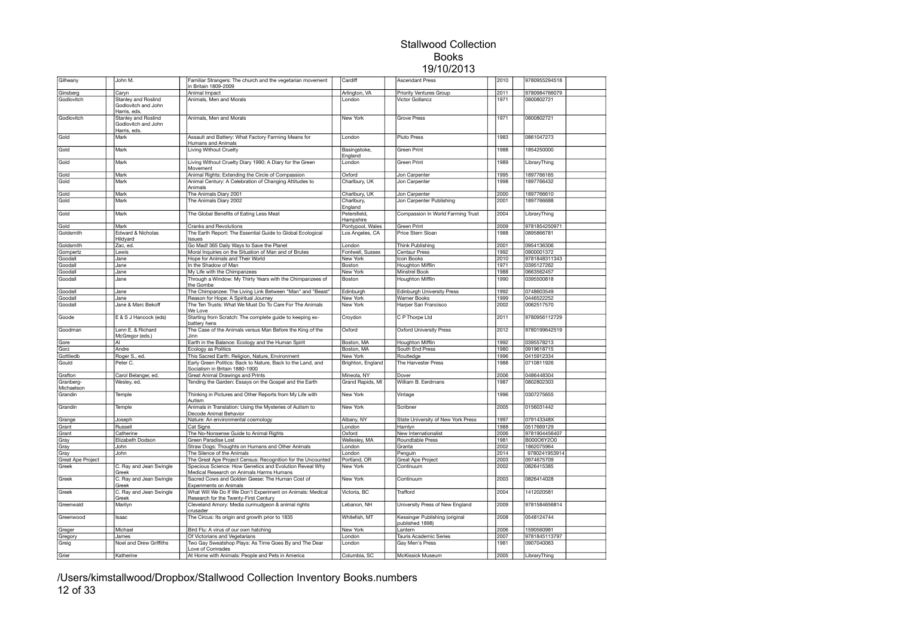| Gilheany                 | John M.                                                    | Familiar Strangers: The church and the vegetarian movement<br>in Britain 1809-2009                  | Cardiff                 | Ascendant Press                                   | 2010 | 9780955294518 |  |
|--------------------------|------------------------------------------------------------|-----------------------------------------------------------------------------------------------------|-------------------------|---------------------------------------------------|------|---------------|--|
| Ginsberg                 | Caryn                                                      | Animal Impact                                                                                       | Arlington, VA           | <b>Priority Ventures Group</b>                    | 2011 | 9780984766079 |  |
| Godlovitch               | Stanley and Roslind                                        | Animals, Men and Morals                                                                             | London                  | Victor Gollancz                                   | 1971 | 0800802721    |  |
|                          | Godlovitch and John<br>Harris, eds.                        |                                                                                                     |                         |                                                   |      |               |  |
| Godlovitch               | Stanley and Roslind<br>Godlovitch and John<br>Harris, eds. | Animals, Men and Morals                                                                             | New York                | Grove Press                                       | 1971 | 0800802721    |  |
| Gold                     | Mark                                                       | Assault and Battery: What Factory Farming Means for<br>Humans and Animals                           | London                  | Pluto Press                                       | 1983 | 0861047273    |  |
| Gold                     | Mark                                                       | <b>Living Without Cruelty</b>                                                                       | Basingstoke,<br>England | Green Print                                       | 1988 | 1854250000    |  |
| Gold                     | Mark                                                       | Living Without Cruelty Diary 1990: A Diary for the Green<br>Movement                                | London                  | Green Print                                       | 1989 | LibraryThing  |  |
| Gold                     | Mark                                                       | Animal Rights: Extending the Circle of Compassion                                                   | Oxford                  | Jon Carpenter                                     | 1995 | 1897766165    |  |
| Gold                     | Mark                                                       | Animal Century: A Celebration of Changing Attitudes to                                              | Charlbury, UK           | Jon Carpenter                                     | 1998 | 1897766432    |  |
| Gold                     | Mark                                                       | Animals<br>The Animals Diary 2001                                                                   | Charlbury, UK           | Jon Carpenter                                     | 2000 | 1897766610    |  |
| Gold                     | Mark                                                       | The Animals Diary 2002                                                                              | Charlbury,              | Jon Carpenter Publishing                          | 2001 | 1897766688    |  |
|                          | Mark                                                       | The Global Benefits of Eating Less Meat                                                             | England<br>Petersfield, | Compassion In World Farming Trust                 | 2004 |               |  |
| Gold                     |                                                            |                                                                                                     | Hampshire               |                                                   |      | LibraryThing  |  |
| Gold                     | Mark                                                       | <b>Cranks and Revolutions</b>                                                                       | Pontypool, Wales        | Green Print                                       | 2009 | 9781854250971 |  |
| Goldsmith                | Edward & Nicholas<br>Hildyard                              | The Earth Report: The Essential Guide to Global Ecological<br><b>Issues</b>                         | Los Angeles, CA         | Price Stern Sloan                                 | 1988 | 0895866781    |  |
| Goldsmith                | Zac, ed                                                    | Go Mad! 365 Daily Ways to Save the Planet                                                           | London                  | Think Publishing                                  | 2001 | 0954136306    |  |
| Gompertz                 | Lewis                                                      | Moral Inquiries on the Situation of Man and of Brutes                                               | Fontwell, Sussex        | Centaur Press                                     | 1992 | 0900001372    |  |
| Goodall                  | Jane                                                       | Hope for Animals and Their World                                                                    | New York                | Icon Books                                        | 2010 | 9781848311343 |  |
| Goodall                  | Jane                                                       | In the Shadow of Man                                                                                | Boston                  | Houghton Mifflin                                  | 1971 | 0395127262    |  |
| Goodall                  | Jane                                                       | My Life with the Chimpanzees                                                                        | New York                | Minstrel Book                                     | 1988 | 0663562457    |  |
| Goodall                  | Jane                                                       | Through a Window: My Thirty Years with the Chimpanzees of<br>the Gombe                              | Boston                  | Houghton Mifflin                                  | 1990 | 0395500818    |  |
| Goodall                  | Jane                                                       | The Chimpanzee: The Living Link Between "Man" and "Beast"                                           | Edinburgh               | <b>Edinburgh University Press</b>                 | 1992 | 0748603549    |  |
| Goodall                  | Jane                                                       | Reason for Hope: A Spiritual Journey                                                                | New York                | Warner Books                                      | 1999 | 0446522252    |  |
| Goodall                  | Jane & Marc Bekoff                                         | The Ten Trusts: What We Must Do To Care For The Animals<br>We Love                                  | New York                | Harper San Francisco                              | 2002 | 0062517570    |  |
| Goode                    | E & S J Hancock (eds)                                      | Starting from Scratch: The complete guide to keeping ex-<br>battery hens                            | Croydon                 | C P Thorpe Ltd                                    | 2011 | 9780956112729 |  |
| Goodman                  | Lenn E. & Richard<br>McGregor (eds.)                       | The Case of the Animals versus Man Before the King of the<br>Jinn                                   | Oxford                  | <b>Oxford University Press</b>                    | 2012 | 9780199642519 |  |
| Gore                     | AI.                                                        | Earth in the Balance: Ecology and the Human Spirit                                                  | Boston, MA              | Houghton Mifflin                                  | 1992 | 0395578213    |  |
| Gorz                     | Andre                                                      | Ecology as Politics                                                                                 | Boston, MA              | South End Press                                   | 1980 | 0919618715    |  |
| Gottliedb                | Roger S., ed.                                              | This Sacred Earth: Religion, Nature, Environment                                                    | New York                | Routledge                                         | 1996 | 0415912334    |  |
| Gould                    | Peter C.                                                   | Early Green Politics: Back to Nature, Back to the Land, and<br>Socialism in Britain 1880-1900       | Brighton, England       | The Harvester Press                               | 1988 | 0710811926    |  |
| Grafton                  | Carol Belanger, ed.                                        | Great Animal Drawings and Prints                                                                    | Mineola, NY             | Dover                                             | 2006 | 0486448304    |  |
| Granberg-                | Wesley, ed.                                                | Tending the Garden: Essays on the Gospel and the Earth                                              | Grand Rapids, MI        | William B. Eerdmans                               | 1987 | 0802802303    |  |
| Michaelson               |                                                            |                                                                                                     |                         |                                                   |      |               |  |
| Grandin                  | Temple                                                     | Thinking in Pictures and Other Reports from My Life with<br>Autism                                  | New York                | Vintage                                           | 1996 | 0307275655    |  |
| Grandin                  | Temple                                                     | Animals in Translation: Using the Mysteries of Autism to<br>Decode Animal Behavior                  | New York                | Scribner                                          | 2005 | 0156031442    |  |
| Grange                   | Joseph                                                     | Nature: An environmental cosmology                                                                  | Albany, NY              | State University of New York Press                | 1997 | 079143348X    |  |
| Grant                    | Russell                                                    | Cat Signs                                                                                           | London                  | Hamlyn                                            | 1988 | 0517669129    |  |
| Grant                    | Catherine                                                  | The No-Nonsense Guide to Animal Rights                                                              | Oxford                  | New Internationalist                              | 2006 | 9781904456407 |  |
| Gray                     | Elizabeth Dodson                                           | Green Paradise Lost                                                                                 | Wellesley, MA           | Roundtable Press                                  | 1981 | B000O6Y2O0    |  |
| Gray                     | John                                                       | Straw Dogs: Thoughts on Humans and Other Animals                                                    | London                  | Granta                                            | 2002 | 1862075964    |  |
| Gray                     | John                                                       | The Silence of the Animals                                                                          | London                  | Penguin                                           | 2014 | 9780241953914 |  |
| <b>Great Ape Project</b> |                                                            | The Great Ape Project Census: Recognition for the Uncounted                                         | Portland, OR            | <b>Great Ape Project</b>                          | 2003 | 0974675709    |  |
| Greek                    | C. Ray and Jean Swingle<br>Greek                           | Specious Science: How Genetics and Evolution Reveal Why<br>Medical Research on Animals Harms Humans | New York                | Continuum                                         | 2002 | 0826415385    |  |
| Greek                    | C. Ray and Jean Swingle<br>Greek                           | Sacred Cows and Golden Geese: The Human Cost of<br><b>Experiments on Animals</b>                    | New York                | Continuum                                         | 2003 | 0826414028    |  |
| Greek                    | C. Ray and Jean Swingle<br>Greek                           | What Will We Do If We Don't Experiment on Animals: Medical<br>Research for the Twenty-First Century | Victoria, BC            | Trafford                                          | 2004 | 1412020581    |  |
| Greenwald                | Marilyn                                                    | Cleveland Amory: Media curmudgeon & animal rights<br>crusader                                       | Lebanon, NH             | University Press of New England                   | 2009 | 9781584656814 |  |
| Greenwood                | Isaac                                                      | The Circus: Its origin and growth prior to 1835                                                     | Whitefish, MT           | Kessinger Publishing (original<br>published 1898) | 2008 | 0548124744    |  |
| Greger                   | Michael                                                    | Bird Flu: A virus of our own hatching                                                               | New York                | Lantern                                           | 2006 | 1590560981    |  |
| Gregory                  | James                                                      | Of Victorians and Vegetarians                                                                       | London                  | Tauris Academic Series                            | 2007 | 9781845113797 |  |
| Greig                    | Noel and Drew Griffiths                                    | Two Gay Sweatshop Plays: As Time Goes By and The Dear<br>Love of Comrades                           | London                  | Gay Men's Press                                   | 1981 | 0907040063    |  |
| Grier                    | Katherine                                                  | At Home with Animals: People and Pets in America                                                    | Columbia, SC            | McKissick Museum                                  | 2005 | LibraryThing  |  |

/Users/kimstallwood/Dropbox/Stallwood Collection Inventory Books.numbers 12 of 33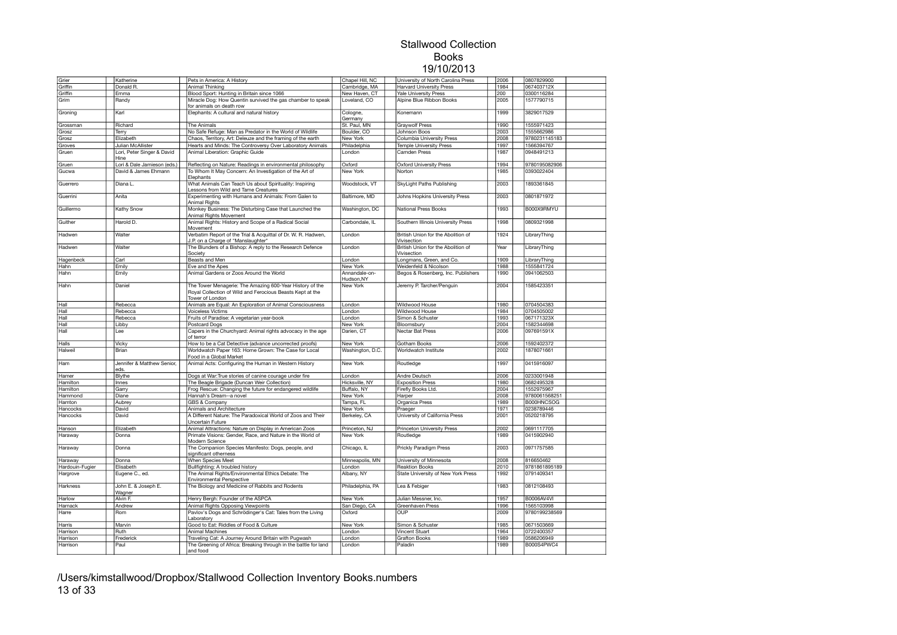| Grier           | Katherine                   | Pets in America: A History                                      | Chapel Hill, NC  | University of North Carolina Press | 2006 | 0807829900    |  |
|-----------------|-----------------------------|-----------------------------------------------------------------|------------------|------------------------------------|------|---------------|--|
| Griffin         | Donald R.                   | Animal Thinking                                                 | Cambridge, MA    | <b>Harvard University Press</b>    | 1984 | 067403712X    |  |
|                 |                             |                                                                 |                  |                                    |      |               |  |
| Griffin         | Emma                        | Blood Sport: Hunting in Britain since 1066                      | New Haven, CT    | <b>Yale University Press</b>       | 200  | 0300116284    |  |
| Grim            | Randy                       | Miracle Dog: How Quentin survived the gas chamber to speak      | Loveland, CO     | Alpine Blue Ribbon Books           | 2005 | 1577790715    |  |
|                 |                             | for animals on death row                                        |                  |                                    |      |               |  |
| Groning         | Karl                        | Elephants: A cultural and natural history                       | Cologne,         | Konemann                           | 1999 | 3829017529    |  |
|                 |                             |                                                                 | Germany          |                                    |      |               |  |
| Grossman        | Richard                     | The Animals                                                     | St. Paul, MN     | <b>Graywolf Press</b>              | 1990 | 1555971423    |  |
| Grosz           | Terry                       | No Safe Refuge: Man as Predator in the World of Wildlife        | Boulder, CO      | Johnson Boos                       | 2003 | 1555662986    |  |
| Grosz           | Elizabeth                   | Chaos, Territory, Art: Deleuze and the framing of the earth     | New York         | Columbia University Press          | 2008 | 9780231145183 |  |
|                 |                             |                                                                 |                  |                                    |      |               |  |
| Groves          | Julian McAllister           | Hearts and Minds: The Controversy Over Laboratory Animals       | Philadelphia     | <b>Temple University Press</b>     | 1997 | 1566394767    |  |
| Gruen           | Lori, Peter Singer & David  | Animal Liberation: Graphic Guide                                | London           | Camden Press                       | 1987 | 0948491213    |  |
|                 | Hine                        |                                                                 |                  |                                    |      |               |  |
| Gruen           | Lori & Dale Jamieson (eds.) | Reflecting on Nature: Readings in environmental philosophy      | Oxford           | <b>Oxford University Press</b>     | 1994 | 9780195082906 |  |
| Gucwa           | David & James Ehmann        | To Whom It May Concern: An Investigation of the Art of          | New York         | Norton                             | 1985 | 0393022404    |  |
|                 |                             | Elephants                                                       |                  |                                    |      |               |  |
| Guerrero        | Diana L.                    | What Animals Can Teach Us about Spirituality: Inspiring         | Woodstock, VT    | SkyLight Paths Publishing          | 2003 | 1893361845    |  |
|                 |                             | Lessons from Wild and Tame Creatures                            |                  |                                    |      |               |  |
| Guerrini        | Anita                       | Experimenting with Humans and Animals: From Galen to            | Baltimore, MD    | Johns Hopkins University Press     | 2003 | 0801871972    |  |
|                 |                             | Animal Rights                                                   |                  |                                    |      |               |  |
|                 |                             |                                                                 |                  |                                    | 1993 | B000X9RMYU    |  |
| Guillermo       | Kathy Snow                  | Monkey Business: The Disturbing Case that Launched the          | Washington, DC   | National Press Books               |      |               |  |
|                 |                             | Animal Rights Movement                                          |                  |                                    |      |               |  |
| Guither         | Harold D.                   | Animal Rights: History and Scope of a Radical Social            | Carbondale, IL   | Southern Illinois University Press | 1998 | 0809321998    |  |
|                 |                             | Movement                                                        |                  |                                    |      |               |  |
| Hadwen          | Walter                      | Verbatim Report of the Trial & Acquittal of Dr. W. R. Hadwen,   | London           | British Union for the Abolition of | 1924 | LibraryThing  |  |
|                 |                             | J.P. on a Charge of "Manslaughter"                              |                  | Vivisection                        |      |               |  |
| Hadwen          | Walter                      | The Blunders of a Bishop: A reply to the Research Defence       | London           | British Union for the Abolition of | Year | LibraryThing  |  |
|                 |                             | Society                                                         |                  | Vivisection                        |      |               |  |
|                 |                             |                                                                 |                  |                                    |      |               |  |
| Hagenbeck       | Carl                        | Beasts and Men                                                  | London           | Longmans, Green, and Co.           | 1909 | LibraryThing  |  |
| Hahn            | Emily                       | Eve and the Apes                                                | New York         | Weidenfeld & Nicolson              | 1988 | 1555841724    |  |
| Hahn            | Emily                       | Animal Gardens or Zoos Around the World                         | Annandale-on-    | Begos & Rosenberg, Inc. Publishers | 1990 | 0941062503    |  |
|                 |                             |                                                                 | Hudson, NY       |                                    |      |               |  |
| Hahn            | Daniel                      | The Tower Menagerie: The Amazing 600-Year History of the        | New York         | Jeremy P. Tarcher/Penguin          | 2004 | 1585423351    |  |
|                 |                             | Royal Collection of Wild and Ferocious Beasts Kept at the       |                  |                                    |      |               |  |
|                 |                             | Tower of London                                                 |                  |                                    |      |               |  |
| Hall            | Rebecca                     | Animals are Equal: An Exploration of Animal Consciousness       | London           | Wildwood House                     | 1980 | 0704504383    |  |
|                 |                             |                                                                 |                  |                                    |      |               |  |
| Hall            | Rebecca                     | Voiceless Victims                                               | London           | Wildwood House                     | 1984 | 0704505002    |  |
| Hall            | Rebecca                     | Fruits of Paradise: A vegetarian year-book                      | London           | Simon & Schuster                   | 1993 | 067171323X    |  |
| Hall            | Libby                       | <b>Postcard Dogs</b>                                            | New York         | Bloomsbury                         | 2004 | 1582344698    |  |
| Hall            | Lee                         | Capers in the Churchyard: Animal rights advocacy in the age     | Darien, CT       | Nectar Bat Press                   | 2006 | 097691591X    |  |
|                 |                             | of terror                                                       |                  |                                    |      |               |  |
| Halls           | Vicky                       | How to be a Cat Detective (advance uncorrected proofs)          | New York         | Gotham Books                       | 2006 | 1592402372    |  |
| Halweil         | Brian                       | Worldwatch Paper 163: Home Grown: The Case for Local            | Washington, D.C. | Worldwatch Institute               | 2002 | 1878071661    |  |
|                 |                             | Food in a Global Market                                         |                  |                                    |      |               |  |
|                 |                             |                                                                 |                  |                                    |      |               |  |
| Ham             | Jennifer & Matthew Senior,  | Animal Acts: Configuring the Human in Western History           | New York         | Routledge                          | 1997 | 0415916097    |  |
|                 | eds.                        |                                                                 |                  |                                    |      |               |  |
| Hamer           | Blythe                      | Dogs at War: True stories of canine courage under fire          | London           | Andre Deutsch                      | 2006 | 0233001948    |  |
| Hamilton        | Innes                       | The Beagle Brigade (Duncan Weir Collection)                     | Hicksville, NY   | <b>Exposition Press</b>            | 1980 | 0682495328    |  |
| Hamilton        | Garry                       | Frog Rescue: Changing the future for endangered wildlife        | Buffalo, NY      | Firefly Books Ltd.                 | 2004 | 1552975967    |  |
| Hammond         | Diane                       | Hannah's Dream--a novel                                         | <b>New York</b>  | Harper                             | 2008 | 9780061568251 |  |
|                 |                             |                                                                 |                  |                                    |      | B000HNCSOG    |  |
| Hamton          | Aubrey                      | <b>GBS &amp; Company</b>                                        | Tampa, FL        | Organica Press                     | 1989 |               |  |
| Hancocks        | David                       | Animals and Architecture                                        | New York         | Praeger                            | 1971 | 0238789446    |  |
| Hancocks        | David                       | A Different Nature: The Paradoxical World of Zoos and Their     | Berkeley, CA     | University of California Press     | 2001 | 0520218795    |  |
|                 |                             | Uncertain Future                                                |                  |                                    |      |               |  |
| Hanson          | Elizabeth                   | Animal Attractions: Nature on Display in American Zoos          | Princeton, NJ    | Princeton University Press         | 2002 | 0691117705    |  |
| Haraway         | Donna                       | Primate Visions: Gender, Race, and Nature in the World of       | New York         | Routledge                          | 1989 | 0415902940    |  |
|                 |                             | Modern Science                                                  |                  |                                    |      |               |  |
| Haraway         | Donna                       | The Companion Species Manifesto: Dogs, people, and              | Chicago, IL      | <b>Prickly Paradigm Press</b>      | 2003 | 0971757585    |  |
|                 |                             | significant otherness                                           |                  |                                    |      |               |  |
|                 |                             |                                                                 | Minneapolis, MN  |                                    |      |               |  |
| Haraway         | Donna                       | When Species Meet                                               |                  | University of Minnesota            | 2008 | 816650462     |  |
| Hardouin-Fugier | Elisabeth                   | Bullfighting: A troubled history                                | London           | <b>Reaktion Books</b>              | 2010 | 9781861895189 |  |
| Hargrove        | Eugene C., ed.              | The Animal Rights/Environmental Ethics Debate: The              | Albany, NY       | State University of New York Press | 1992 | 0791409341    |  |
|                 |                             | <b>Environmental Perspective</b>                                |                  |                                    |      |               |  |
| Harkness        | John E. & Joseph E.         | The Biology and Medicine of Rabbits and Rodents                 | Philadelphia, PA | Lea & Febiger                      | 1983 | 0812108493    |  |
|                 | Wagner                      |                                                                 |                  |                                    |      |               |  |
| Harlow          | Alvin F.                    | Henry Bergh: Founder of the ASPCA                               | New York         | Julian Messner, Inc.               | 1957 | B0006AV4VI    |  |
| Harnack         | Andrew                      | Animal Rights Opposing Viewpoints                               | San Diego, CA    | Greenhaven Press                   | 1996 | 1565103998    |  |
|                 |                             |                                                                 |                  | OUP                                |      | 9780199238569 |  |
| Harre           | Rom                         | Pavlov's Dogs and Schrödinger's Cat: Tales from the Living      | Oxford           |                                    | 2009 |               |  |
|                 |                             | Laboratory                                                      |                  |                                    |      |               |  |
| Harris          | Marvin                      | Good to Eat: Riddles of Food & Culture                          | New York         | Simon & Schuster                   | 1985 | 0671503669    |  |
| Harrison        | Ruth                        | Animal Machines                                                 | London           | Vincent Stuart                     | 1964 | 0722400357    |  |
| Harrison        | Frederick                   | Traveling Cat: A Journey Around Britain with Pugwash            | London           | <b>Grafton Books</b>               | 1989 | 0586206949    |  |
| Harrison        | Paul                        | The Greening of Africa: Breaking through in the battle for land | London           | Paladin                            | 1989 | B000S4PWC4    |  |
|                 |                             | and food                                                        |                  |                                    |      |               |  |
|                 |                             |                                                                 |                  |                                    |      |               |  |

/Users/kimstallwood/Dropbox/Stallwood Collection Inventory Books.numbers 13 of 33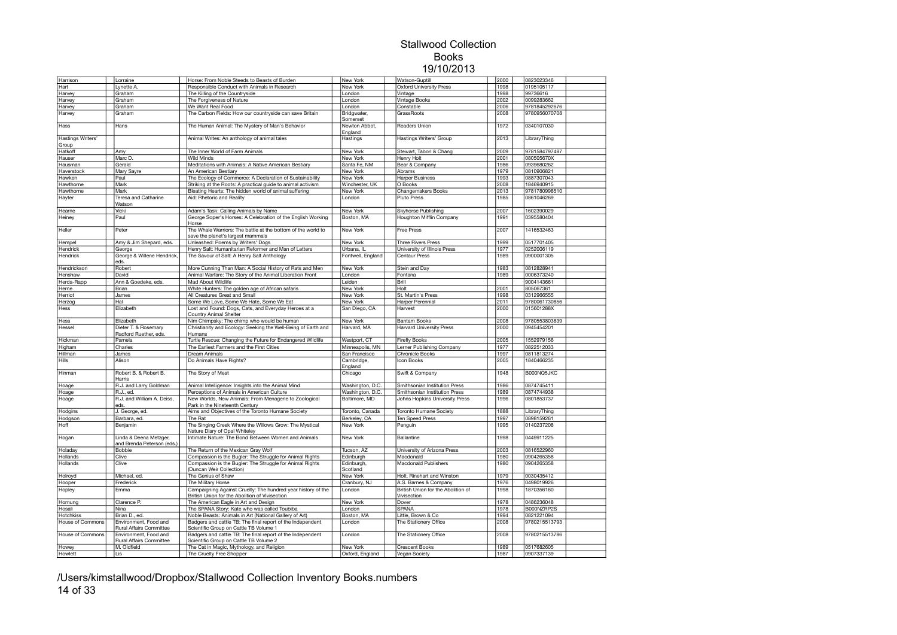| Harrison                          | Lorraine                                             | Horse: From Noble Steeds to Beasts of Burden                                                                   | New York                 | Watson-Guptill                                    | 2000 | 0823023346    |  |
|-----------------------------------|------------------------------------------------------|----------------------------------------------------------------------------------------------------------------|--------------------------|---------------------------------------------------|------|---------------|--|
| Hart                              | Lynette A                                            | Responsible Conduct with Animals in Research                                                                   | New York                 | <b>Oxford University Press</b>                    | 1998 | 0195105117    |  |
| Harvey                            | Graham                                               | The Killing of the Countryside                                                                                 | London                   | Vintage                                           | 1998 | 99736616      |  |
| Harvey                            | Graham                                               | The Forgiveness of Nature                                                                                      | London                   | Vintage Books                                     | 2002 | 0099283662    |  |
| Harvey                            | Graham                                               | We Want Real Food                                                                                              | London                   | Constable                                         | 2006 | 9781845292676 |  |
| Harvey                            | Graham                                               | The Carbon Fields: How our countryside can save Britain                                                        | Bridgwater,              | GrassRoots                                        | 2008 | 9780956070708 |  |
|                                   |                                                      |                                                                                                                | Somerset                 |                                                   |      |               |  |
| Hass                              | Hans                                                 | The Human Animal: The Mystery of Man's Behavior                                                                | Newton Abbot,<br>England | Readers Union                                     | 1972 | 0340107030    |  |
| <b>Hastings Writers'</b><br>Group |                                                      | Animal Writes: An anthology of animal tales                                                                    | Hastings                 | Hastings Writers' Group                           | 2013 | LibraryThing  |  |
| Hatkoff                           | Amy                                                  | The Inner World of Farm Animals                                                                                | New York                 | Stewart, Tabori & Chang                           | 2009 | 9781584797487 |  |
|                                   | Marc D.                                              | Wild Minds                                                                                                     | New York                 |                                                   | 2001 | 080505670X    |  |
| Hauser                            |                                                      |                                                                                                                |                          | Henry Holt                                        |      |               |  |
| Hausman                           | Gerald                                               | Meditations with Animals: A Native American Bestiary                                                           | Santa Fe, NM             | Bear & Company                                    | 1986 | 0939680262    |  |
| Haverstock                        | Mary Sayre                                           | An American Bestiary                                                                                           | New York                 | Abrams                                            | 1979 | 0810906821    |  |
| Hawken                            | Paul                                                 | The Ecology of Commerce: A Declaration of Sustainability                                                       | New York                 | <b>Harper Business</b>                            | 1993 | 0887307043    |  |
| Hawthorne                         | Mark                                                 | Striking at the Roots: A practical quide to animal activism                                                    | Winchester, UK           | O Books                                           | 2008 | 1846940915    |  |
| Hawthorne                         | Mark                                                 | Bleating Hearts: The hidden world of animal suffering                                                          | New York                 | Changemakers Books                                | 2013 | 9781780998510 |  |
| Hayter                            | Teresa and Catharine<br>Watson                       | Aid: Rhetoric and Reality                                                                                      | London                   | <b>Pluto Press</b>                                | 1985 | 0861046269    |  |
| Hearne                            | Vicki                                                | Adam's Task: Calling Animals by Name                                                                           | New York                 | Skyhorse Publishing                               | 2007 | 1602390029    |  |
| Heiney                            | Paul                                                 | George Soper's Horses: A Celebration of the English Working                                                    | Boston, MA               | <b>Houghton Mifflin Company</b>                   | 1991 | 0395580404    |  |
| Heller                            | Peter                                                | Horse<br>The Whale Warriors: The battle at the bottom of the world to                                          | New York                 | <b>Free Press</b>                                 | 2007 | 1416532463    |  |
|                                   |                                                      | save the planet's largest mammals                                                                              |                          |                                                   |      |               |  |
| Hempel                            | Amy & Jim Shepard, eds.                              | Unleashed: Poems by Writers' Dogs                                                                              | New York                 | <b>Three Rivers Press</b>                         | 1999 | 0517701405    |  |
| Hendrick                          | George                                               | Henry Salt: Humanitarian Reformer and Man of Letters                                                           | Urbana, IL               | University of Illinois Press                      | 1977 | 0252006119    |  |
| Hendrick                          | George & Willene Hendrick,<br>eds.                   | The Savour of Salt: A Henry Salt Anthology                                                                     | Fontwell, England        | <b>Centaur Press</b>                              | 1989 | 0900001305    |  |
| Hendrickson                       | Robert                                               | More Cunning Than Man: A Social History of Rats and Men                                                        | New York                 | Stein and Day                                     | 1983 | 0812828941    |  |
| Henshaw                           | David                                                | Animal Warfare: The Story of the Animal Liberation Front                                                       | London                   | Fontana                                           | 1989 | 0006373240    |  |
| Herda-Rapp                        | Ann & Goedeke, eds.                                  | Mad About Wildlife                                                                                             | Leiden                   | <b>Brill</b>                                      |      | 9004143661    |  |
| Herne                             | Brian                                                | White Hunters: The golden age of African safaris                                                               | New York                 | Holt                                              | 2001 | 805067361     |  |
| Herriot                           | James                                                | All Creatures Great and Small                                                                                  | New York                 | St. Martin's Press                                | 1998 | 0312966555    |  |
| Herzog                            | Hal                                                  | Some We Love, Some We Hate, Some We Eat                                                                        | New York                 | Harper Perennial                                  | 2011 | 9780061730856 |  |
| Hess                              | Elizabeth                                            | Lost and Found: Dogs, Cats, and Everyday Heroes at a                                                           | San Diego, CA            | Harvest                                           | 2000 | 015601288X    |  |
|                                   |                                                      | Country Animal Shelter                                                                                         |                          |                                                   |      |               |  |
| Hess                              | Elizabeth                                            | Nim Chimpsky: The chimp who would be human                                                                     | New York                 | <b>Bantam Books</b>                               | 2008 | 9780553803839 |  |
| Hessel                            | Dieter T. & Rosemary<br>Radford Ruether, eds.        | Christianity and Ecology: Seeking the Well-Being of Earth and<br>Humans                                        | Harvard, MA              | <b>Harvard University Press</b>                   | 2000 | 0945454201    |  |
| Hickman                           | Pamela                                               | Turtle Rescue: Changing the Future for Endangered Wildlife                                                     | Westport, CT             | <b>Firefly Books</b>                              | 2005 | 1552979156    |  |
| Higham                            | Charles                                              | The Earliest Farmers and the First Cities                                                                      | Minneapolis, MN          | erner Publishing Company                          | 1977 | 0822512033    |  |
| Hillman                           | James                                                | <b>Dream Animals</b>                                                                                           | San Francisco            | Chronicle Books                                   | 1997 | 0811813274    |  |
| Hills                             | Alison                                               | Do Animals Have Rights?                                                                                        | Cambridge,<br>England    | <b>con Books</b>                                  | 2005 | 1840466235    |  |
| Hinman                            | Robert B. & Robert B.                                | The Story of Meat                                                                                              | Chicago                  | Swift & Company                                   | 1948 | B000NQ5JKC    |  |
|                                   | Harris                                               |                                                                                                                |                          |                                                   |      | 0874745411    |  |
| Hoage                             | R.J. and Larry Goldman                               | Animal Intelligence: Insights into the Animal Mind                                                             | Washington, D.C.         | Smithsonian Institution Press                     | 1986 |               |  |
| Hoage                             | R.J., ed.                                            | Perceptions of Animals in American Culture                                                                     | Washington, D.C.         | Smithsonian Institution Press                     | 1989 | 0874744938    |  |
| Hoage                             | R.J. and William A. Deiss.<br>eds.                   | New Worlds, New Animals: From Menagerie to Zoological<br>Park in the Nineteenth Century                        | Baltimore, MD            | Johns Hopkins University Press                    | 1996 | 0801853737    |  |
| Hodgins                           | J. George, ed.                                       | Aims and Objectives of the Toronto Humane Society                                                              | Toronto, Canada          | Toronto Humane Society                            | 1888 | LibraryThing  |  |
| Hodgson                           | Barbara, ed.                                         | The Rat                                                                                                        | Berkeley, CA             | Ten Speed Press                                   | 1997 | 0898159261    |  |
| Hoff                              | Benjamin                                             | The Singing Creek Where the Willows Grow: The Mystical<br>Nature Diary of Opal Whiteley                        | New York                 | Penguin                                           | 1995 | 0140237208    |  |
| Hogan                             | Linda & Deena Metzger,<br>and Brenda Peterson (eds.) | Intimate Nature: The Bond Between Women and Animals                                                            | New York                 | <b>Ballantine</b>                                 | 1998 | 0449911225    |  |
| Holaday                           | Bobbie                                               | The Return of the Mexican Gray Wolf                                                                            | Tucson, AZ               | University of Arizona Press                       | 2003 | 0816522960    |  |
| Hollands                          | Clive                                                | Compassion is the Bugler: The Struggle for Animal Rights                                                       | Edinburgh                | Macdonald                                         | 1980 | 0904265358    |  |
| Hollands                          | Clive                                                | Compassion is the Bugler: The Struggle for Animal Rights                                                       | Edinburgh,               | Macdonald Publishers                              | 1980 | 0904265358    |  |
|                                   |                                                      | (Duncan Weir Collection)                                                                                       | Scotland                 |                                                   |      |               |  |
| Holroyd                           | Michael, ed.                                         | The Genius of Shaw                                                                                             | New York                 | Holt. Rinehart and Winston                        | 1979 | 0030435412    |  |
| Hooper                            | Frederick                                            | The Military Horse                                                                                             | Cranbury, NJ             | A.S. Barnes & Company                             | 1976 | 0498019926    |  |
| Hopley                            | Emma                                                 | Campaigning Against Cruelty: The hundred year history of the<br>British Union for the Abolition of Vivisection | London                   | British Union for the Abolition of<br>Vivisection | 1998 | 1870356160    |  |
| Hornung                           | Clarence P.                                          | The American Eagle in Art and Design                                                                           | New York                 | Dover                                             | 1978 | 0486236048    |  |
| Hosali                            | Nina                                                 | The SPANA Story: Kate who was called Toubiba                                                                   | London                   | <b>SPANA</b>                                      | 1978 | B000NZRP2S    |  |
| Hotchkiss                         | Brian D., ed.                                        | Noble Beasts: Animals in Art (National Gallery of Art)                                                         | Boston, MA               | Little, Brown & Co                                | 1994 | 0821221094    |  |
| House of Commons                  | Environment, Food and<br>Rural Affairs Committee     | Badgers and cattle TB: The final report of the Independent<br>Scientific Group on Cattle TB Volume 1           | London                   | The Stationery Office                             | 2008 | 9780215513793 |  |
| <b>House of Commons</b>           | Environment, Food and                                | Badgers and cattle TB: The final report of the Independent                                                     | London                   | The Stationery Office                             | 2008 | 9780215513786 |  |
|                                   | Rural Affairs Committee<br>M. Oldfield               | Scientific Group on Cattle TB Volume 2                                                                         | <b>New York</b>          | <b>Crescent Books</b>                             | 1989 | 0517682605    |  |
| Howey                             |                                                      | The Cat in Magic, Mythology, and Religion                                                                      |                          |                                                   |      |               |  |
| Howlett                           | Lis                                                  | The Cruelty Free Shopper                                                                                       | Oxford, England          | Vegan Society                                     | 1987 | 0907337139    |  |

/Users/kimstallwood/Dropbox/Stallwood Collection Inventory Books.numbers 14 of 33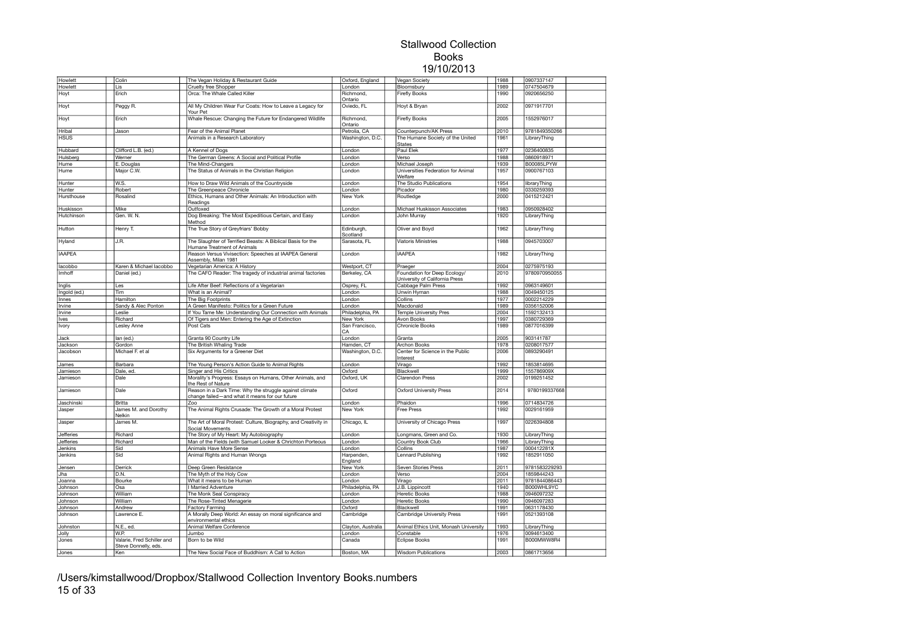| Howlett            | Colin                                              | The Vegan Holiday & Restaurant Guide                                                                      | Oxford, England       | Vegan Society                                                  | 1988         | 0907337147               |  |
|--------------------|----------------------------------------------------|-----------------------------------------------------------------------------------------------------------|-----------------------|----------------------------------------------------------------|--------------|--------------------------|--|
| Howlett            | Lis                                                | Cruelty free Shopper                                                                                      | London                | Bloomsbury                                                     | 1989         | 0747504679               |  |
| Hoyt               | Frich                                              | Orca: The Whale Called Killer                                                                             | Richmond,<br>Ontario  | <b>Firefly Books</b>                                           | 1990         | 0920656250               |  |
| Hoyt               | Peggy R.                                           | All My Children Wear Fur Coats: How to Leave a Legacy for<br>Your Pet                                     | Oviedo, FL            | Hoyt & Bryan                                                   | 2002         | 0971917701               |  |
| Hoyt               | Erich                                              | Whale Rescue: Changing the Future for Endangered Wildlife                                                 | Richmond,<br>Ontario  | <b>Firefly Books</b>                                           | 2005         | 1552976017               |  |
| Hribal             | Jason                                              | Fear of the Animal Planet                                                                                 | Petrolia, CA          | Counterpunch/AK Press                                          | 2010         | 9781849350266            |  |
| <b>HSUS</b>        |                                                    | Animals in a Research Laboratory                                                                          | Washington, D.C.      | The Humane Society of the United<br><b>States</b>              | 1961         | LibraryThing             |  |
| Hubbard            | Clifford L.B. (ed.)                                | A Kennel of Dogs                                                                                          | London                | Paul Elek                                                      | 1977         | 0236400835               |  |
| Hulsberg           | Werner                                             | The German Greens: A Social and Political Profile                                                         | London                | Verso                                                          | 1988         | 0860918971               |  |
| Hume               | E. Douglas                                         | The Mind-Changers                                                                                         | London                | Michael Joseph                                                 | 1939         | B00085LPYW               |  |
| Hume               | Major C.W.                                         | The Status of Animals in the Christian Religion                                                           | London                | Universities Federation for Animal<br>Welfare                  | 1957         | 0900767103               |  |
| Hunter             | W.S.                                               | How to Draw Wild Animals of the Countryside                                                               | London                | The Studio Publications                                        | 1954         | libraryThing             |  |
| Hunter             | Robert                                             | The Greenpeace Chronicle                                                                                  | London                | Picador                                                        | 1980         | 0330259393               |  |
| Hursthouse         | Rosalind                                           | Ethics, Humans and Other Animals: An Introduction with<br>Readings                                        | New York              | Routledge                                                      | 2000         | 0415212421               |  |
| Huskisson          | Mike                                               | Outfoxed                                                                                                  | London                | Michael Huskisson Associates                                   | 1983         | 0950928402               |  |
| Hutchinson         | Gen. W. N.                                         | Dog Breaking: The Most Expeditious Certain, and Easy<br>Method                                            | London                | John Murray                                                    | 1920         | LibraryThing             |  |
| Hutton             | Henry T.                                           | The True Story of Greyfriars' Bobby                                                                       | Edinburgh<br>Scotland | Oliver and Boyd                                                | 1962         | LibraryThing             |  |
| Hyland             | J.R.                                               | The Slaughter of Terrified Beasts: A Biblical Basis for the<br>Humane Treatment of Animals                | Sarasota, FL          | <b>Viatoris Ministries</b>                                     | 1988         | 0945703007               |  |
| <b>IAAPEA</b>      |                                                    | Reason Versus Vivisection: Speeches at IAAPEA General<br>Assembly, Milan 1981                             | London                | <b>IAAPEA</b>                                                  | 1982         | LibraryThing             |  |
| lacobbo            | Karen & Michael lacobbo                            | Vegetarian America: A History                                                                             | Westport, CT          | Praeger                                                        | 2004         | 0275975193               |  |
| Imhoff             | Daniel (ed.)                                       | The CAFO Reader: The tragedy of industrial animal factories                                               | Berkeley, CA          | Foundation for Deep Ecology/<br>University of California Press | 2010         | 9780970950055            |  |
| Inglis             | Les                                                | Life After Beef: Reflections of a Vegetarian                                                              | Osprey, FL            | Cabbage Palm Press                                             | 1992         | 0963149601               |  |
| Ingold (ed.)       | Tim                                                | What is an Animal?                                                                                        | London                | Unwin Hyman                                                    | 1988         | 0049450125               |  |
| Innes              | Hamilton                                           | The Big Footprints                                                                                        | London                | Collins                                                        | 1977         | 0002214229               |  |
| Irvine             | Sandy & Alec Ponton                                | A Green Manifesto: Politics for a Green Future                                                            | London                | Macdonald                                                      | 1989         | 0356152006               |  |
| Irvine             | Leslie                                             | If You Tame Me: Understanding Our Connection with Animals                                                 | Philadelphia, PA      | <b>Temple University Pres</b>                                  | 2004         | 1592132413               |  |
| Ives               | Richard                                            | Of Tigers and Men: Entering the Age of Extinction                                                         | New York              | Avon Books                                                     | 1997         | 0380729369               |  |
| Ivory              | Lesley Anne                                        | Post Cats                                                                                                 | San Francisco,<br>CA  | <b>Chronicle Books</b>                                         | 1989         | 0877016399               |  |
| Jack               | lan (ed.)                                          | Granta 90 Country Life                                                                                    | London                | Granta                                                         | 2005         | 903141787                |  |
| Jackson            | Gordon                                             | The British Whaling Trade                                                                                 | Hamden, CT            | Archon Books                                                   | 1978         | 0208017577               |  |
| Jacobson           | Michael F. et al                                   | Six Arguments for a Greener Diet                                                                          | Washington, D.C.      | Center for Science in the Public<br>Interest                   | 2006         | 0893290491               |  |
| James              | Barbara                                            | The Young Person's Action Guide to Animal Rights                                                          | London                | Virago                                                         | 1992         | 1853814695               |  |
| Jamieson           | Dale, ed.                                          | Singer and His Critics                                                                                    | Oxford                | Blackwell                                                      | 1999         | 155786909X               |  |
| Jamieson           | Dale                                               | Morality's Progress: Essays on Humans, Other Animals, and<br>the Rest of Nature                           | Oxford, UK            | <b>Clarendon Press</b>                                         | 2002         | 0199251452               |  |
| Jamieson           | Dale                                               | Reason in a Dark Time: Why the struggle against climate<br>change failed-and what it means for our future | Oxford                | <b>Oxford University Press</b>                                 | 2014         | 9780199337668            |  |
| Jaschinski         | Britta                                             | Zoo                                                                                                       | London                | Phaidon                                                        | 1996         | 0714834726               |  |
| Jasper             | James M. and Dorothy<br>Nelkin                     | The Animal Rights Crusade: The Growth of a Moral Protest                                                  | New York              | Free Press                                                     | 1992         | 0029161959               |  |
| Jasper             | James M.                                           | The Art of Moral Protest: Culture, Biography, and Creativity in<br>Social Movements                       | Chicago, IL           | University of Chicago Press                                    | 1997         | 0226394808               |  |
| <b>Jefferies</b>   | Richard                                            | The Story of My Heart: My Autobiography                                                                   | London                | Longmans, Green and Co.                                        | 1930         | LibraryThing             |  |
| Jefferies          | Richard                                            | Man of the Fields (with Samuel Looker & Chrichton Porteous                                                | London                | Country Book Club                                              | 1966         | LibraryThing             |  |
| Jenkins<br>Jenkins | Sid<br>Sid                                         | Animals Have More Sense<br>Animal Rights and Human Wrongs                                                 | London<br>Harpenden,  | Collins<br>Lennard Publishing                                  | 1987<br>1992 | 000412281X<br>1852911050 |  |
| Jensen             | Derrick                                            | Deep Green Resistance                                                                                     | England<br>New York   | Seven Stories Press                                            | 2011         | 9781583229293            |  |
| Jha                | D.N.                                               | The Myth of the Holy Cow                                                                                  | London                | Verso                                                          | 2004         | 1859844243               |  |
| Joanna             | Bourke                                             | What it means to be Human                                                                                 | London                | Virago                                                         | 2011         | 9781844086443            |  |
| Johnson            | Osa                                                | <b>Married Adventure</b>                                                                                  | Philadelphia, PA      | J.B. Lippincott                                                | 1940         | B000WHL9YC               |  |
| Johnson            | William                                            | The Monk Seal Conspiracy                                                                                  | London                | <b>Heretic Books</b>                                           | 1988         | 0946097232               |  |
| Johnson            | William                                            | The Rose-Tinted Menagerie                                                                                 | London                | <b>Heretic Books</b>                                           | 1990         | 0946097283               |  |
| Johnson            | Andrew                                             | <b>Factory Farming</b>                                                                                    | Oxford                | Blackwell                                                      | 1991         | 0631178430               |  |
| Johnson            | Lawrence E.                                        | A Morally Deep World: An essay on moral significance and<br>environmental ethics                          | Cambridge             | Cambridge University Press                                     | 1991         | 0521393108               |  |
| Johnston           | N.E., ed.                                          | Animal Welfare Conference                                                                                 | Clayton, Australia    | Animal Ethics Unit, Monash University                          | 1993         | LibraryThing             |  |
| Jolly              | W.P.                                               | Jumbo                                                                                                     | London                | Constable                                                      | 1976         | 0094613400               |  |
| Jones              | Valarie, Fred Schiller and<br>Steve Donnelly, eds. | Born to be Wild                                                                                           | Canada                | <b>Eclipse Books</b>                                           | 1991         | B000MWW8R4               |  |
| Jones              | Ken                                                | The New Social Face of Buddhism: A Call to Action                                                         | Boston, MA            | <b>Wisdom Publications</b>                                     | 2003         | 0861713656               |  |
|                    |                                                    |                                                                                                           |                       |                                                                |              |                          |  |

/Users/kimstallwood/Dropbox/Stallwood Collection Inventory Books.numbers 15 of 33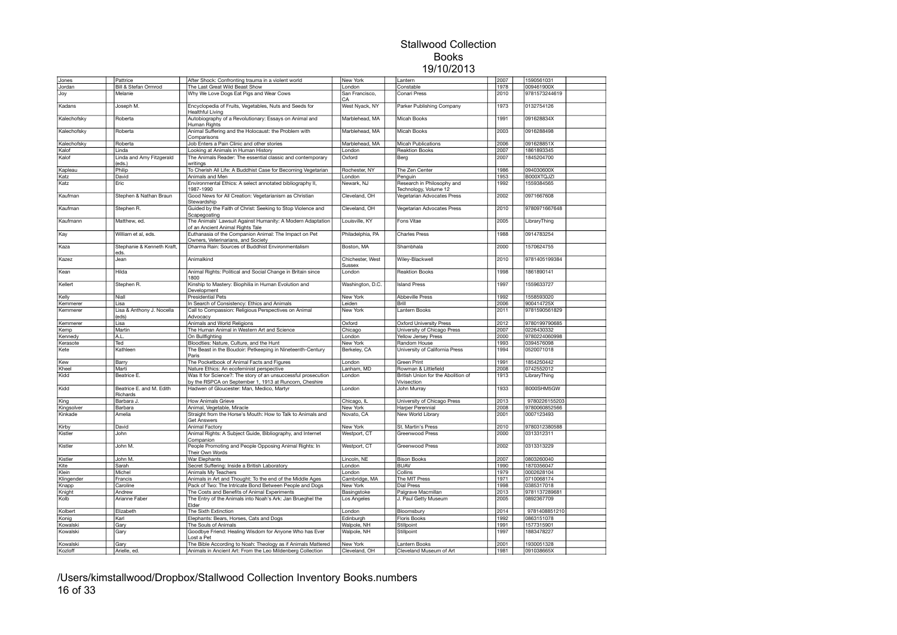| Jones       | Pattrice                        | After Shock: Confronting trauma in a violent world            | New York         | Lantern                            | 2007 | 1590561031    |  |
|-------------|---------------------------------|---------------------------------------------------------------|------------------|------------------------------------|------|---------------|--|
| Jordan      | <b>Bill &amp; Stefan Ormrod</b> | The Last Great Wild Beast Show                                | London           | Constable                          | 1978 | 009461900X    |  |
|             |                                 |                                                               |                  |                                    |      | 9781573244619 |  |
| Joy         | Melanie                         | Why We Love Dogs Eat Pigs and Wear Cows                       | San Francisco,   | Conari Press                       | 2010 |               |  |
|             |                                 |                                                               | CA               |                                    | 1973 | 0132754126    |  |
| Kadans      | Joseph M.                       | Encyclopedia of Fruits, Vegetables, Nuts and Seeds for        | West Nyack, NY   | Parker Publishing Company          |      |               |  |
|             |                                 | <b>Healthful Living</b>                                       |                  |                                    |      |               |  |
| Kalechofsky | Roberta                         | Autobiography of a Revolutionary: Essays on Animal and        | Marblehead, MA   | <b>Micah Books</b>                 | 1991 | 091628834X    |  |
|             |                                 | Human Rights                                                  |                  |                                    |      |               |  |
| Kalechofsky | Roberta                         | Animal Suffering and the Holocaust: the Problem with          | Marblehead, MA   | Micah Books                        | 2003 | 0916288498    |  |
|             |                                 | Comparisons                                                   |                  |                                    |      |               |  |
| Kalechofsky | Roberta                         | Job Enters a Pain Clinic and other stories                    | Marblehead, MA   | <b>Micah Publications</b>          | 2006 | 091628851X    |  |
|             |                                 | Looking at Animals in Human History                           | London           | <b>Reaktion Books</b>              | 2007 | 1861893345    |  |
| Kalof       | Linda                           |                                                               |                  |                                    |      |               |  |
| Kalof       | Linda and Amy Fitzgerald        | The Animals Reader: The essential classic and contemporary    | Oxford           | Berg                               | 2007 | 1845204700    |  |
|             | (eds.)                          | writings                                                      |                  |                                    |      |               |  |
| Kapleau     | Philip                          | To Cherish All Life: A Buddhist Case for Becoming Vegetarian  | Rochester, NY    | The Zen Center                     | 1986 | 094030600X    |  |
| Katz        | David                           | Animals and Men                                               | London           | Penguin                            | 1953 | B000XTQJZI    |  |
| Katz        | Eric                            | Environmental Ethics: A select annotated bibliography II,     | Newark, NJ       | Research in Philosophy and         | 1992 | 1559384565    |  |
|             |                                 | 1987-1990                                                     |                  | Technology, Volume 12              |      |               |  |
| Kaufman     | Stephen & Nathan Braun          | Good News for All Creation: Vegetarianism as Christian        | Cleveland, OH    | Vegetarian Advocates Press         | 2002 | 0971667608    |  |
|             |                                 | Stewardship                                                   |                  |                                    |      |               |  |
| Kaufman     | Stephen R.                      | Guided by the Faith of Christ: Seeking to Stop Violence and   | Cleveland, OH    | Vegetarian Advocates Press         | 2010 | 9780971667648 |  |
|             |                                 |                                                               |                  |                                    |      |               |  |
|             |                                 | Scapegoating                                                  |                  |                                    |      |               |  |
| Kaufmann    | Matthew, ed.                    | The Animals' Lawsuit Against Humanity: A Modern Adaptation    | Louisville, KY   | Fons Vitae                         | 2005 | LibraryThing  |  |
|             |                                 | of an Ancient Animal Rights Tale                              |                  |                                    |      |               |  |
| Kay         | William et al, eds.             | Euthanasia of the Companion Animal: The Impact on Pet         | Philadelphia, PA | <b>Charles Press</b>               | 1988 | 0914783254    |  |
|             |                                 | Owners, Veterinarians, and Society                            |                  |                                    |      |               |  |
| Kaza        | Stephanie & Kenneth Kraft,      | Dharma Rain: Sources of Buddhist Environmentalism             | Boston, MA       | Shambhala                          | 2000 | 1570624755    |  |
|             | eds.                            |                                                               |                  |                                    |      |               |  |
| Kazez       | Jean                            | Animalkind                                                    | Chichester, West | Wiley-Blackwell                    | 2010 | 9781405199384 |  |
|             |                                 |                                                               | <b>Sussex</b>    |                                    |      |               |  |
|             |                                 |                                                               |                  |                                    |      | 1861890141    |  |
| Kean        | Hilda                           | Animal Rights: Political and Social Change in Britain since   | London           | <b>Reaktion Books</b>              | 1998 |               |  |
|             |                                 | 1800                                                          |                  |                                    |      |               |  |
| Kellert     | Stephen R.                      | Kinship to Mastery: Biophilia in Human Evolution and          | Washington, D.C. | <b>Island Press</b>                | 1997 | 1559633727    |  |
|             |                                 | Development                                                   |                  |                                    |      |               |  |
| Kelly       | Niall                           | <b>Presidential Pets</b>                                      | New York         | <b>Abbeville Press</b>             | 1992 | 1558593020    |  |
| Kemmerer    | Lisa                            | In Search of Consistency: Ethics and Animals                  | Leiden           | Brill                              | 2006 | 900414725X    |  |
| Kemmerer    | Lisa & Anthony J. Nocella       | Call to Compassion: Religious Perspectives on Animal          | New York         | Lantern Books                      | 2011 | 9781590561829 |  |
|             | (eds)                           | Advocacy                                                      |                  |                                    |      |               |  |
| Kemmerer    | Lisa                            | Animals and World Religions                                   | Oxford           | <b>Oxford University Press</b>     | 2012 | 9780199790685 |  |
|             |                                 |                                                               |                  |                                    |      |               |  |
| Kemp        | Martin                          | The Human Animal in Western Art and Science                   | Chicago          | University of Chicago Press        | 2007 | 0226430332    |  |
| Kennedy     | A.L.                            | On Bullfighting                                               | London           | Yellow Jersey Press                | 2000 | 9780224060998 |  |
| Kerasote    | Ted                             | Bloodties: Nature, Culture, and the Hunt                      | New York         | Random House                       | 1993 | 0394576098    |  |
| Kete        | Kathleen                        | The Beast in the Boudoir: Petkeeping in Nineteenth-Century    | Berkeley, CA     | University of California Press     | 1994 | 0520071018    |  |
|             |                                 | Paris                                                         |                  |                                    |      |               |  |
| Kew         | Barry                           | The Pocketbook of Animal Facts and Figures                    | London           | Green Print                        | 1991 | 1854250442    |  |
|             |                                 |                                                               |                  |                                    |      |               |  |
| Kheel       | Marti                           | Nature Ethics: An ecofeminist perspective                     | Lanham, MD       | Rowman & Littlefield               | 2008 | 0742552012    |  |
| Kidd        | Beatrice E.                     | Was It for Science?: The story of an unsuccessful prosecution | London           | British Union for the Abolition of | 1913 | LibraryThing  |  |
|             |                                 | by the RSPCA on September 1, 1913 at Runcorn, Cheshire        |                  | Vivisection                        |      |               |  |
| Kidd        | Beatrice E. and M. Edith        | Hadwen of Gloucester: Man, Medico, Martyr                     | London           | John Murray                        | 1933 | B000SHM5GW    |  |
|             | Richards                        |                                                               |                  |                                    |      |               |  |
| King        | Barbara J.                      | <b>How Animals Grieve</b>                                     | Chicago, IL      | University of Chicago Press        | 2013 | 9780226155203 |  |
| Kingsolver  | Barbara                         | Animal, Vegetable, Miracle                                    | New York         | <b>Harper Perennial</b>            | 2008 | 9780060852566 |  |
| Kinkade     | Amelia                          | Straight from the Horse's Mouth: How to Talk to Animals and   | Novato, CA       | <b>New World Library</b>           | 2001 | 0007123493    |  |
|             |                                 |                                                               |                  |                                    |      |               |  |
|             |                                 | Get Answers                                                   |                  |                                    |      |               |  |
| Kirby       | David                           | Animal Factory                                                | New York         | St. Martin's Press                 | 2010 | 9780312380588 |  |
| Kistler     | John                            | Animal Rights: A Subject Guide, Bibliography, and Internet    | Westport, CT     | Greenwood Press                    | 2000 | 0313312311    |  |
|             |                                 | Companion                                                     |                  |                                    |      |               |  |
| Kistler     | John M.                         | People Promoting and People Opposing Animal Rights: In        | Westport, CT     | Greenwood Press                    | 2002 | 0313313229    |  |
|             |                                 | Their Own Words                                               |                  |                                    |      |               |  |
| Kistler     | John M.                         | War Elephants                                                 | Lincoln, NE      | <b>Bison Books</b>                 | 2007 | 0803260040    |  |
|             |                                 |                                                               |                  |                                    | 1990 | 1870356047    |  |
| Kite        | Sarah                           | Secret Suffering: Inside a British Laboratory                 | London           | <b>BUAV</b>                        |      |               |  |
| Klein       | Michel                          | Animals My Teachers                                           | London           | Collins                            | 1979 | 0002628104    |  |
| Klingender  | Francis                         | Animals in Art and Thought: To the end of the Middle Ages     | Cambridge, MA    | The MIT Press                      | 1971 | 0710068174    |  |
| Knapp       | Caroline                        | Pack of Two: The Intricate Bond Between People and Dogs       | New York         | <b>Dial Press</b>                  | 1998 | 0385317018    |  |
| Knight      | Andrew                          | The Costs and Benefits of Animal Experiments                  | Basingstoke      | Palgrave Macmillan                 | 2013 | 9781137289681 |  |
| Kolb        | Arianne Faber                   | The Entry of the Animals into Noah's Ark: Jan Brueghel the    | Los Angeles      | J. Paul Getty Museum               | 2005 | 0892367709    |  |
|             |                                 | Elder                                                         |                  |                                    |      |               |  |
| Kolbert     | Elizabeth                       | The Sixth Extinction                                          | London           | Bloomsbury                         | 2014 | 9781408851210 |  |
|             |                                 |                                                               |                  |                                    |      |               |  |
| Konig       | Karl                            | Elephants: Bears, Horses, Cats and Dogs                       | Edinburgh        | Floris Books                       | 1992 | 0863151078    |  |
| Kowalski    | Gary                            | The Souls of Animals                                          | Walpole, NH      | Stillpoint                         | 1991 | 1577315901    |  |
| Kowalski    | Gary                            | Goodbye Friend: Healing Wisdom for Anyone Who has Ever        | Walpole, NH      | Stillpoint                         | 1997 | 1883478227    |  |
|             |                                 | Lost a Pet                                                    |                  |                                    |      |               |  |
| Kowalski    | Gary                            | The Bible According to Noah: Theology as if Animals Mattered  | New York         | Lantern Books                      | 2001 | 1930051328    |  |
| Kozloff     | Arielle, ed.                    | Animals in Ancient Art: From the Leo Mildenberg Collection    | Cleveland, OH    | Cleveland Museum of Art            | 1981 | 091038665X    |  |
|             |                                 |                                                               |                  |                                    |      |               |  |

/Users/kimstallwood/Dropbox/Stallwood Collection Inventory Books.numbers 16 of 33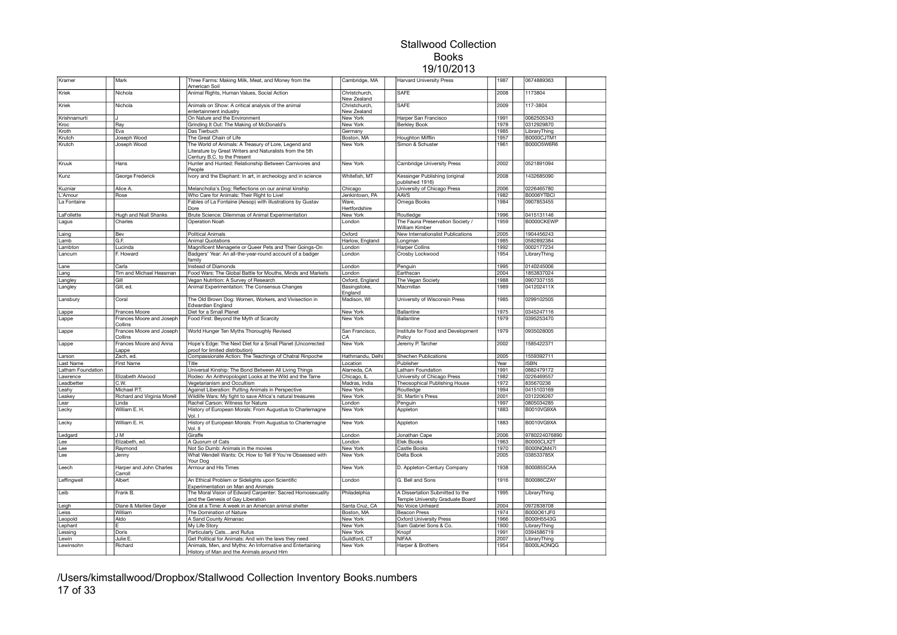| Kramer            | Mark                                | Three Farms: Making Milk, Meat, and Money from the<br>American Soil                                                                             | Cambridge, MA                | <b>Harvard University Press</b>                                     | 1987 | 0674889363        |  |
|-------------------|-------------------------------------|-------------------------------------------------------------------------------------------------------------------------------------------------|------------------------------|---------------------------------------------------------------------|------|-------------------|--|
| Kriek             | Nichola                             | Animal Rights, Human Values, Social Action                                                                                                      | Christchurch,<br>New Zealand | <b>SAFE</b>                                                         | 2008 | 1173804           |  |
| Kriek             | Nichola                             | Animals on Show: A critical analysis of the animal<br>entertainment industry                                                                    | Christchurch,<br>New Zealand | <b>SAFE</b>                                                         | 2009 | 117-3804          |  |
| Krishnamurti      | IJ                                  | On Nature and the Environment                                                                                                                   | New York                     | Harper San Francisco                                                | 1991 | 0062505343        |  |
| Kroc              | Ray                                 | Grinding It Out: The Making of McDonald's                                                                                                       | New York                     | <b>Berkley Book</b>                                                 | 1978 | 0312929870        |  |
| Kroth             | Eva                                 | Das Tierbuch                                                                                                                                    | Germany                      |                                                                     | 1985 | LibraryThing      |  |
| Krutch            | Joseph Wood                         | The Great Chain of Life                                                                                                                         | Boston, MA                   | <b>Houghton Mifflin</b>                                             | 1957 | B0000CJTM1        |  |
| Krutch            | Joseph Wood                         | The World of Animals: A Treasury of Lore, Legend and<br>Literature by Great Writers and Naturalists from the 5th<br>Century B.C. to the Present | New York                     | Simon & Schuster                                                    | 1961 | B000O5W6R6        |  |
| Kruuk             | Hans                                | Hunter and Hunted: Relationship Between Carnivores and<br>People                                                                                | New York                     | Cambridge University Press                                          | 2002 | 0521891094        |  |
| Kunz              | George Frederick                    | Ivory and the Elephant: In art, in archeology and in science                                                                                    | Whitefish, MT                | Kessinger Publishing (original<br>published 1916)                   | 2008 | 1432685090        |  |
| Kuzniar           | Alice A.                            | Melancholia's Dog: Reflections on our animal kinship                                                                                            | Chicago                      | University of Chicago Press                                         | 2006 | 0226465780        |  |
| L'Amour           | Rose                                | Who Care for Animals: Their Right to Live!                                                                                                      | Jenkintown, PA               | <b>AAVS</b>                                                         | 1982 | B0006YTBCI        |  |
| La Fontaine       |                                     | Fables of La Fontaine (Aesop) with illustrations by Gustav<br>Dore                                                                              | Ware.<br>Hertfordshire       | Omega Books                                                         | 1984 | 0907853455        |  |
| LaFollette        | <b>Hugh and Niall Shanks</b>        | Brute Science: Dilemmas of Animal Experimentation                                                                                               | New York                     | Routledge                                                           | 1996 | 0415131146        |  |
| Lagus             | Charles                             | Operation Noah                                                                                                                                  | London                       | The Fauna Preservation Society /<br>William Kimber                  | 1959 | B0000CKEWP        |  |
| Laing             | Bev                                 | <b>Political Animals</b>                                                                                                                        | Oxford                       | New Internationalist Publications                                   | 2005 | 1904456243        |  |
| Lamb              | G.F.                                | <b>Animal Quotations</b>                                                                                                                        | Harlow, England              | Longman                                                             | 1985 | 0582892384        |  |
| Lambton           | Lucinda                             | Magnificent Menagerie or Queer Pets and Their Goings-On                                                                                         | London                       | <b>Harper Collins</b>                                               | 1992 | 0002177234        |  |
| Lancum            | F. Howard                           | Badgers' Year: An all-the-year-round account of a badger<br>family                                                                              | London                       | Crosby Lockwood                                                     | 1954 | LibraryThing      |  |
| Lane              | Carla                               | Instead of Diamonds                                                                                                                             | London                       | Penguin                                                             | 1995 | 0140245006        |  |
| Lang              | Tim and Michael Heasman             | Food Wars: The Global Battle for Mouths, Minds and Markets                                                                                      | London                       | Earthscan                                                           | 2004 | 1853837024        |  |
| Langley           | Gill                                | Vegan Nutrition: A Survey of Research                                                                                                           | Oxford, England              | The Vegan Society                                                   | 1988 | 0907337155        |  |
| Langley           | Gill, ed.                           | Animal Experimentation: The Consensus Changes                                                                                                   | Basingstoke,<br>England      | Macmillan                                                           | 1989 | 041202411X        |  |
| Lansbury          | Coral                               | The Old Brown Dog: Women, Workers, and Vivisection in<br>Edwardian England                                                                      | Madison, WI                  | University of Wisconsin Press                                       | 1985 | 0299102505        |  |
| Lappe             | Frances Moore                       | Diet for a Small Planet                                                                                                                         | New York                     | <b>Ballantine</b>                                                   | 1975 | 0345247116        |  |
| Lappe             | Frances Moore and Joseph<br>Collins | Food First: Beyond the Myth of Scarcity                                                                                                         | New York                     | Ballantine                                                          | 1979 | 0395253470        |  |
| Lappe             | Frances Moore and Joseph<br>Collins | World Hunger Ten Myths Thoroughly Revised                                                                                                       | San Francisco,<br>CA         | Institute for Food and Development<br>Policy                        | 1979 | 0935028005        |  |
| Lappe             | Frances Moore and Anna<br>Lappe     | Hope's Edge: The Next Diet for a Small Planet (Uncorrected<br>proof for limited distribution)                                                   | New York                     | Jeremy P. Tarcher                                                   | 2002 | 1585422371        |  |
| Larson            | Zach, ed.                           | Compassionate Action: The Teachings of Chatral Rinpoche                                                                                         | Hathmandu, Delhi             | Shechen Publications                                                | 2005 | 1559392711        |  |
| ast Name          | First Name                          | Title                                                                                                                                           | Location                     | Publisher                                                           | Year | <b>ISBN</b>       |  |
| Latham Foundation |                                     | Universal Kinship: The Bond Between All Living Things                                                                                           | Alameda, CA                  | Latham Foundation                                                   | 1991 | 0882479172        |  |
| Lawrence          | Elizabeth Atwood                    | Rodeo: An Anthropologist Looks at the Wild and the Tame                                                                                         | Chicago, II                  | University of Chicago Press                                         | 1982 | 0226469557        |  |
| eadbetter         | C.W.                                | Vegetarianism and Occultism                                                                                                                     | Madras, India                | Theosophical Publishing House                                       | 1972 | 835670236         |  |
| Leahy             | Michael P.T.                        | Against Liberation: Putting Animals in Perspective                                                                                              | New York                     | Routledge                                                           | 1994 | 0415103169        |  |
| eakey             | Richard and Virginia Morell         | Wildlife Wars: My fight to save Africa's natural treasures                                                                                      | New York                     | St. Martin's Press                                                  | 2001 | 0312206267        |  |
| ear               | Linda                               | Rachel Carson: Witness for Nature                                                                                                               | London                       | Penguin                                                             | 1997 | 0805034285        |  |
| Lecky             | William E. H.                       | History of European Morals: From Augustus to Charlemagne<br>Vol. I                                                                              | New York                     | Appleton                                                            | 1883 | <b>B0010VG9XA</b> |  |
| Lecky             | William E. H.                       | History of European Morals: From Augustus to Charlemagne<br>Vol. II                                                                             | New York                     | Appleton                                                            | 1883 | B0010VG9XA        |  |
| Ledgard           | J M                                 | Giraffe                                                                                                                                         | London                       | Jonathan Cape                                                       | 2006 | 9780224076890     |  |
| Lee               | Elizabeth, ed.                      | A Quorum of Cats                                                                                                                                | London                       | Elek Books                                                          | 1963 | B0000CLX2T        |  |
| Lee               | Raymond                             | Not So Dumb: Animals in the movies                                                                                                              | New York                     | Castle Books                                                        | 1970 | <b>B000NQM47I</b> |  |
| Lee               | Jenny                               | What Wendell Wants: Or, How to Tell If You're Obsessed with<br>Your Dog                                                                         | New York                     | Delta Book                                                          | 2005 | 038533785X        |  |
| Leech             | Harper and John Charles<br>Carroll  | Armour and His Times                                                                                                                            | New York                     | D. Appleton-Century Company                                         | 1938 | B000855CAA        |  |
| Leffingwell       | Albert                              | An Ethical Problem or Sidelights upon Scientific<br>Experimentation on Man and Animals                                                          | London                       | G. Bell and Sons                                                    | 1916 | B00086CZAY        |  |
| Leib              | Frank B.                            | The Moral Vision of Edward Carpenter: Sacred Homosexuality<br>and the Genesis of Gay Liberation                                                 | Philadelphia                 | A Dissertation Submitted to the<br>Temple University Graduate Board | 1995 | LibraryThing      |  |
| Leigh             | Diane & Marilee Gever               | One at a Time: A week in an American animal shelter                                                                                             | Santa Cruz, CA               | No Voice Unheard                                                    | 2004 | 0972838708        |  |
| Leiss             | William                             | The Domination of Nature                                                                                                                        | Boston, MA                   | <b>Beacon Press</b>                                                 | 1974 | B000O61JF0        |  |
| Leopold           | Aldo                                | A Sand County Almanac                                                                                                                           | <b>New York</b>              | <b>Oxford University Press</b>                                      | 1966 | B000H5543G        |  |
| Lephant           | F.                                  | My Life Story                                                                                                                                   | New York                     | Sam Gabriel Sons & Co.                                              | 1900 | LibraryThing      |  |
| Lessing           | Doris                               | Particularly Catsand Rufus                                                                                                                      | New York                     | Knopf                                                               | 1991 | 0394586719        |  |
| Lewin             | Julie E                             | Get Political for Animals: And win the laws they need                                                                                           | Guildford, CT                | <b>NIFAA</b>                                                        | 2007 | LibraryThing      |  |
| Lewinsohn         | Richard                             | Animals, Men, and Myths: An Informative and Entertaining                                                                                        | New York                     | Harper & Brothers                                                   | 1954 | B000LAONOG        |  |
|                   |                                     | History of Man and the Animals around Him                                                                                                       |                              |                                                                     |      |                   |  |

/Users/kimstallwood/Dropbox/Stallwood Collection Inventory Books.numbers 17 of 33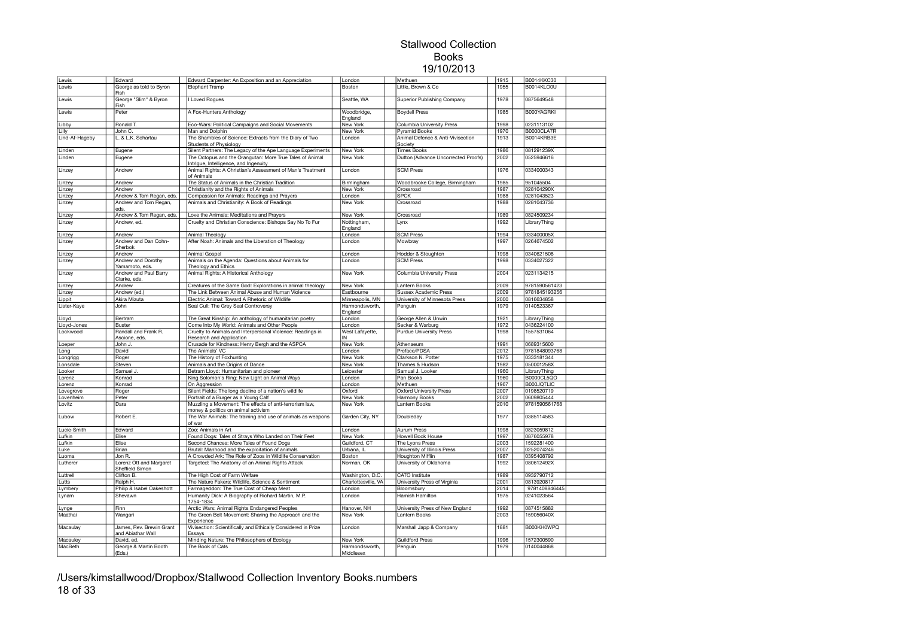| Lewis          | Edward                                        | Edward Carpenter: An Exposition and an Appreciation                                               | London                    | Methuen                                      | 1915 | B0014KKC30    |  |
|----------------|-----------------------------------------------|---------------------------------------------------------------------------------------------------|---------------------------|----------------------------------------------|------|---------------|--|
| Lewis          | George as told to Byron<br>Fish               | Elephant Tramp                                                                                    | Boston                    | Little, Brown & Co                           | 1955 | B0014KLO0U    |  |
| Lewis          | George "Slim" & Byron<br>Fish                 | I Loved Roques                                                                                    | Seattle, WA               | Superior Publishing Company                  | 1978 | 0875649548    |  |
| Lewis          | Peter                                         | A Fox-Hunters Anthology                                                                           | Woodbridge,<br>England    | <b>Boydell Press</b>                         | 1985 | B000YAGRKI    |  |
| Libby          | Ronald T.                                     | Eco-Wars: Political Campaigns and Social Movements                                                | New York                  | Columbia University Press                    | 1998 | 0231113102    |  |
| Lilly          | John C.                                       | Man and Dolphin                                                                                   | New York                  | <b>Pyramid Books</b>                         | 1970 | B0000CLA7R    |  |
| Lind-Af-Hageby | L. & L.K. Schartau                            | The Shambles of Science: Extracts from the Diary of Two<br>Students of Physiology                 | London                    | Animal Defence & Anti-Vivisection<br>Society | 1913 | B0014KRB3E    |  |
| Linden         | Eugene                                        | Silent Partners: The Legacy of the Ape Language Experiments                                       | New York                  | <b>Times Books</b>                           | 1986 | 081291239X    |  |
| Linden         | Eugene                                        | The Octopus and the Orangutan: More True Tales of Animal<br>Intrigue, Intelligence, and Ingenuity | New York                  | Dutton (Advance Uncorrected Proofs)          | 2002 | 0525946616    |  |
| Linzey         | Andrew                                        | Animal Rights: A Christian's Assessment of Man's Treatment<br>of Animals                          | London                    | <b>SCM Press</b>                             | 1976 | 0334000343    |  |
| Linzey         | Andrew                                        | The Status of Animals in the Christian Tradition                                                  | Birmingham                | Woodbrooke College, Birmingham               | 1985 | 951045504     |  |
| Linzey         | Andrew                                        | Christianity and the Rights of Animals                                                            | New York                  | Crossroad                                    | 1987 | 028104290X    |  |
| Linzey         | Andrew & Tom Regan, eds.                      | Compassion for Animals: Readings and Prayers                                                      | London                    | <b>SPCK</b>                                  | 1988 | 0281043523    |  |
| Linzey         | Andrew and Tom Regan,<br>eds.                 | Animals and Christianity: A Book of Readings                                                      | <b>New York</b>           | Crossroad                                    | 1988 | 0281043736    |  |
| Linzey         | Andrew & Tom Regan, eds.                      | Love the Animals: Meditations and Prayers                                                         | <b>New York</b>           | Crossroad                                    | 1989 | 0824509234    |  |
| Linzey         | Andrew, ed.                                   | Cruelty and Christian Conscience: Bishops Say No To Fur                                           | Nottingham,<br>England    | Lynx                                         | 1992 | LibraryThing  |  |
| Linzey         | Andrew                                        | Animal Theology                                                                                   | London                    | <b>SCM Press</b>                             | 1994 | 033400005X    |  |
| Linzey         | Andrew and Dan Cohn-<br>Sherbok               | After Noah: Animals and the Liberation of Theology                                                | London                    | Mowbray                                      | 1997 | 0264674502    |  |
| Linzey         | Andrew                                        | Animal Gospel                                                                                     | London                    | Hodder & Stoughton                           | 1998 | 0340621508    |  |
| Linzey         | Andrew and Dorothy<br>Yamamoto, eds.          | Animals on the Agenda: Questions about Animals for<br>Theology and Ethics                         | London                    | <b>SCM Press</b>                             | 1998 | 0334027322    |  |
| Linzey         | Andrew and Paul Barry<br>Clarke, eds.         | Animal Rights: A Historical Anthology                                                             | New York                  | Columbia University Press                    | 2004 | 0231134215    |  |
| Linzey         | Andrew                                        | Creatures of the Same God: Explorations in animal theology                                        | New York                  | Lantern Books                                | 2009 | 9781590561423 |  |
| Linzey         | Andrew (ed.)                                  | The Link Between Animal Abuse and Human Violence                                                  | Eastbourne                | <b>Sussex Academic Press</b>                 | 2009 | 9781845193256 |  |
| Lippit         | Akira Mizuta                                  | Electric Animal: Toward A Rhetoric of Wildlife                                                    | Minneapolis, MN           | University of Minnesota Press                | 2000 | 0816634858    |  |
| Lister-Kaye    | John                                          | Seal Cull: The Grey Seal Controversy                                                              | Harmondsworth,<br>England | Penguin                                      | 1979 | 0140523367    |  |
| Lloyd          | Bertram                                       | The Great Kinship: An anthology of humanitarian poetry                                            | London                    | George Allen & Unwin                         | 1921 | LibraryThing  |  |
| Lloyd-Jones    | <b>Buster</b>                                 | Come Into My World: Animals and Other People                                                      | London                    | Secker & Warburg                             | 1972 | 0436224100    |  |
| Lockwood       | Randall and Frank R.                          | Cruelty to Animals and Interpersonal Violence: Readings in                                        | West Lafayette,           | <b>Purdue University Press</b>               | 1998 | 1557531064    |  |
|                | Ascione, eds.                                 | Research and Application                                                                          | IN                        |                                              |      |               |  |
| Loeper         | John J.                                       | Crusade for Kindness: Henry Bergh and the ASPCA                                                   | New York                  | Athenaeum                                    | 1991 | 0689315600    |  |
| Long           | David                                         | The Animals' VC                                                                                   | London                    | Preface/PDSA                                 | 2012 | 9781848093768 |  |
| Longrigg       | Roger                                         | The History of Foxhunting                                                                         | New York                  | Clarkson N. Potter                           | 1975 | 0333181344    |  |
| Lonsdale       | Steven                                        | Animals and the Origins of Dance                                                                  | New York                  | Thames & Hudson                              | 1982 | 050001258X    |  |
| Looker         | Samuel J.                                     | Betram Lloyd: Humanitarian and pioneer                                                            | Leicester                 | Samual J. Looker                             | 1960 | LibraryThing  |  |
| Lorenz         | Konrad                                        | King Solomon's Ring: New Light on Animal Ways                                                     | London                    | Pan Books                                    | 1960 | B0000CL5QO    |  |
| Lorenz         | Konrad                                        | On Aggression                                                                                     | London                    | Methuen                                      | 1967 | B000JQTLIC    |  |
| Lovegrove      | Roger                                         | Silent Fields: The long decline of a nation's wildlife                                            | Oxford                    | <b>Oxford University Press</b>               | 2007 | 0198520719    |  |
| Lovenheim      | Peter                                         | Portrait of a Burger as a Young Calf                                                              | New York                  | Harmony Books                                | 2002 | 0609805444    |  |
| Lovitz         | Dara                                          | Muzzling a Movement: The effects of anti-terrorism law,<br>money & politics on animal activism    | New York                  | Lantern Books                                | 2010 | 9781590561768 |  |
| Lubow          | Robert E.                                     | The War Animals: The training and use of animals as weapons<br>of war                             | Garden City, NY           | Doubleday                                    | 1977 | 0385114583    |  |
| Lucie-Smith    | Edward                                        | Zoo: Animals in Art                                                                               | London                    | <b>Aurum Press</b>                           | 1998 | 0823059812    |  |
| Lufkin         | Elise                                         | Found Dogs: Tales of Strays Who Landed on Their Feet                                              | New York                  | <b>Howell Book House</b>                     | 1997 | 0876055978    |  |
| Lufkin         | Elise                                         | Second Chances: More Tales of Found Dogs                                                          | Guildford, CT             | The Lyons Press                              | 2003 | 1592281400    |  |
| Luke           | Brian                                         | Brutal: Manhood and the exploitation of animals                                                   | Urbana, IL                | University of Illinois Press                 | 2007 | 0252074246    |  |
| Luoma          | Jon R.                                        | A Crowded Ark: The Role of Zoos in Wildlife Conservation                                          | Boston                    | Houghton Mifflin                             | 1987 | 0395408792    |  |
| Lutherer       | Lorenz Ott and Margaret<br>Sheffield Simon    | Targeted: The Anatomy of an Animal Rights Attack                                                  | Norman, OK                | University of Oklahoma                       | 1992 | 080612492X    |  |
| Luttrell       | Clifton B.                                    | The High Cost of Farm Welfare                                                                     | Washington, D.C.          | CATO Institute                               | 1989 | 0932790712    |  |
| Lutts          | Ralph H.                                      | The Nature Fakers: Wildlife, Science & Sentiment                                                  | Charlottesville, VA       | University Press of Virginia                 | 2001 | 0813920817    |  |
| Lymbery        | Philip & Isabel Oakeshott                     | Farmageddon: The True Cost of Cheap Meat                                                          | London                    | Bloomsbury                                   | 2014 | 9781408846445 |  |
| Lynam          | Shevawn                                       | Humanity Dick: A Biography of Richard Martin, M.P.<br>1754-1834                                   | London                    | Hamish Hamilton                              | 1975 | 0241023564    |  |
| Lynge          | Finn                                          | Arctic Wars: Animal Rights Endangered Peoples                                                     | Hanover, NH               | University Press of New England              | 1992 | 0874515882    |  |
| Maathai        | Wangari                                       | The Green Belt Movement: Sharing the Approach and the<br>Experience                               | <b>New York</b>           | Lantern Books                                | 2003 | 159056040X    |  |
| Macaulay       | James, Rev. Brewin Grant<br>and Abiathar Wall | Vivisection: Scientifically and Ethically Considered in Prize<br>Essavs                           | London                    | Marshall Japp & Company                      | 1881 | B000KH0WPQ    |  |
| Macauley       | David, ed.                                    | Minding Nature: The Philosophers of Ecology                                                       | <b>New York</b>           | <b>Guildford Press</b>                       | 1996 | 1572300590    |  |
| MacBeth        | George & Martin Booth                         | The Book of Cats                                                                                  | Harmondsworth.            | Penguin                                      | 1979 | 0140044868    |  |
|                | (Eds.)                                        |                                                                                                   | Middlesex                 |                                              |      |               |  |

/Users/kimstallwood/Dropbox/Stallwood Collection Inventory Books.numbers 18 of 33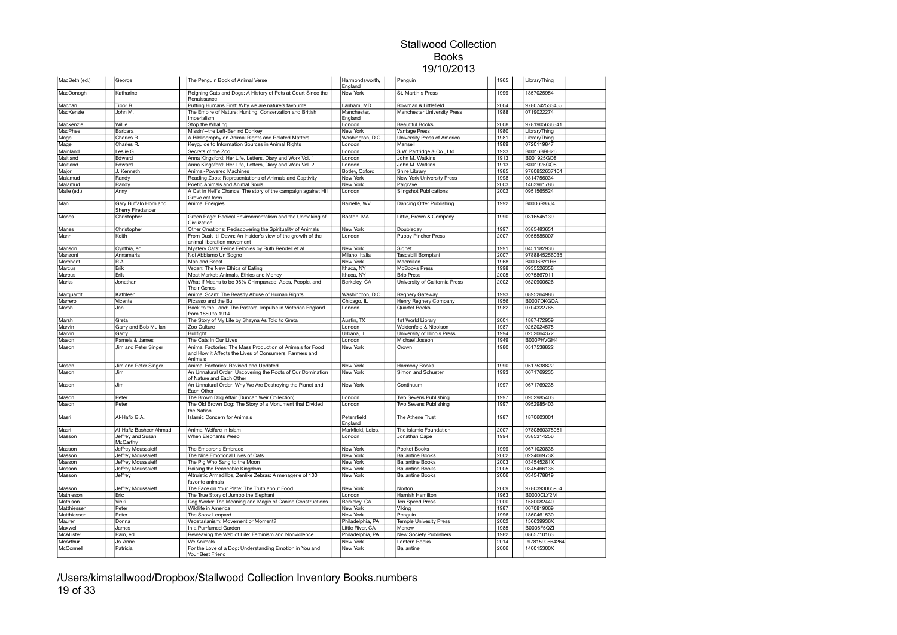| MacBeth (ed.) | George                                            | The Penguin Book of Animal Verse                                                                                               | Harmondsworth,<br>England | Penguin                        | 1965 | LibraryThing  |  |
|---------------|---------------------------------------------------|--------------------------------------------------------------------------------------------------------------------------------|---------------------------|--------------------------------|------|---------------|--|
| MacDonogh     | Katharine                                         | Reigning Cats and Dogs: A History of Pets at Court Since the<br>Renaissance                                                    | New York                  | St. Martin's Press             | 1999 | 1857025954    |  |
| Machan        | Tibor R.                                          | Putting Humans First: Why we are nature's favourite                                                                            | Lanham, MD                | Rowman & Littlefield           | 2004 | 9780742533455 |  |
| MacKenzie     | John M.                                           | The Empire of Nature: Hunting, Conservation and British<br>Imperialism                                                         | Manchester,<br>England    | Manchester University Press    | 1988 | 0719022274    |  |
| Mackenzie     | Willie                                            | Stop the Whaling                                                                                                               | London                    | Beautiful Books                | 2008 | 9781905636341 |  |
| MacPhee       | Barbara                                           | Missin'--the Left-Behind Donkey                                                                                                | New York                  | Vantage Press                  | 1980 | LibraryThing  |  |
| Magel         | Charles R.                                        | A Bibliography on Animal Rights and Related Matters                                                                            | Washington, D.C.          | University Press of America    | 1981 | LibraryThing  |  |
|               | Charles R.                                        | Keyquide to Information Sources in Animal Rights                                                                               |                           | Mansell                        | 1989 | 0720119847    |  |
| Magel         |                                                   |                                                                                                                                | ondon                     |                                |      | B0016BRH26    |  |
| Mainland      | Leslie G.                                         | Secrets of the Zoo                                                                                                             | ondon                     | S.W. Partridge & Co., Ltd.     | 1923 |               |  |
| Maitland      | Edward                                            | Anna Kingsford: Her Life, Letters, Diary and Work Vol. 1                                                                       | London                    | John M. Watkins                | 1913 | B001925GO8    |  |
| Maitland      | Edward                                            | Anna Kingsford: Her Life, Letters, Diary and Work Vol. 2                                                                       | London                    | John M. Watkins                | 1913 | B001925GO8    |  |
| Major         | J. Kenneth                                        | Animal-Powered Machines                                                                                                        | Botley, Oxford            | Shire Library                  | 1985 | 9780852637104 |  |
| Malamud       | Randy                                             | Reading Zoos: Representations of Animals and Captivity                                                                         | New York                  | New York University Press      | 1998 | 0814756034    |  |
| Malamud       | Randy                                             | Poetic Animals and Animal Souls                                                                                                | New York                  | Palgrave                       | 2003 | 1403961786    |  |
| Malle (ed.)   | Anny                                              | A Cat in Hell's Chance: The story of the campaign against Hill<br>Grove cat farm                                               | London                    | <b>Slingshot Publications</b>  | 2002 | 0951565524    |  |
| Man           | Gary Buffalo Horn and<br><b>Sherry Firedancer</b> | Animal Energies                                                                                                                | Rainelle, WV              | Dancing Otter Publishing       | 1992 | B0006R86J4    |  |
| Manes         | Christopher                                       | Green Rage: Radical Environmentalism and the Unmaking of<br>Civilization                                                       | Boston, MA                | Little, Brown & Company        | 1990 | 0316545139    |  |
| Manes         | Christopher                                       | Other Creations: Rediscovering the Spirituality of Animals                                                                     | New York                  | Doubleday                      | 1997 | 0385483651    |  |
| Mann          | Keith                                             | From Dusk 'til Dawn: An insider's view of the growth of the<br>animal liberation movement                                      | London                    | Puppy Pincher Press            | 2007 | 0955585007    |  |
| Manson        | Cynthia, ed.                                      | Mystery Cats: Feline Felonies by Ruth Rendell et al                                                                            | New York                  | Signet                         | 1991 | 0451182936    |  |
| Manzoni       | Annamaria                                         | Noi Abbiamo Un Sogno                                                                                                           | Milano, Italia            | Tascabili Bompiani             | 2007 | 9788845256035 |  |
| Marchant      | R.A.                                              | Man and Beast                                                                                                                  | New York                  | Macmillan                      | 1968 | B0006BY1R6    |  |
| Marcus        | Erik                                              |                                                                                                                                | Ithaca, NY                | <b>McBooks Press</b>           | 1998 | 0935526358    |  |
|               |                                                   | Vegan: The New Ethics of Eating                                                                                                |                           |                                |      |               |  |
| Marcus        | Erik                                              | Meat Market: Animals, Ethics and Money                                                                                         | Ithaca, NY                | <b>Brio Press</b>              | 2005 | 0975867911    |  |
| Marks         | Jonathan                                          | What If Means to be 98% Chimpanzee: Apes, People, and<br><b>Their Genes</b>                                                    | Berkeley, CA              | University of California Press | 2002 | 0520900626    |  |
| Marquardt     | Kathleen                                          | Animal Scam: The Beastly Abuse of Human Rights                                                                                 | Washington, D.C.          | <b>Regnery Gateway</b>         | 1993 | 0895264986    |  |
| Marrero       | Vicente                                           | Picasso and the Bull                                                                                                           | Chicago, IL               | Henry Regnery Company          | 1956 | B0007DKGOA    |  |
| Marsh         | Jan                                               | Back to the Land: The Pastoral Impulse in Victorian England<br>from 1880 to 1914                                               | .ondon                    | Quartet Books                  | 1982 | 0704322765    |  |
| Marsh         | Greta                                             | The Story of My Life by Shayna As Told to Greta                                                                                | Austin, TX                | 1st World Library              | 2001 | 1887472959    |  |
| Marvin        | Garry and Bob Mullan                              | Zoo Culture                                                                                                                    | _ondon                    | Weidenfeld & Nicolson          | 1987 | 0252024575    |  |
| Marvin        | Garry                                             | <b>Bullfight</b>                                                                                                               | Urbana, IL                | University of Illinois Press   | 1994 | 0252064372    |  |
| Mason         | Pamela & James                                    | The Cats In Our Lives                                                                                                          | _ondon                    | Michael Joseph                 | 1949 | B000PHVGH4    |  |
| Mason         | Jim and Peter Singer                              | Animal Factories: The Mass Production of Animals for Food<br>and How it Affects the Lives of Consumers, Farmers and<br>Animals | New York                  | Crown                          | 1980 | 0517538822    |  |
| Mason         | Jim and Peter Singer                              | Animal Factories: Revised and Updated                                                                                          | New York                  | Harmony Books                  | 1990 | 0517538822    |  |
| Mason         | Jim                                               | An Unnatural Order: Uncovering the Roots of Our Domination                                                                     | New York                  | Simon and Schuster             | 1993 | 0671769235    |  |
| Mason         | Jim                                               | of Nature and Each Other<br>An Unnatural Order: Why We Are Destroying the Planet and                                           | New York                  | Continuum                      | 1997 | 0671769235    |  |
| Mason         | Peter                                             | Each Other<br>The Brown Dog Affair (Duncan Weir Collection)                                                                    | London                    | Two Sevens Publishing          | 1997 | 0952985403    |  |
| Mason         | Peter                                             | The Old Brown Dog: The Story of a Monument that Divided                                                                        | London                    | Two Sevens Publishing          | 1997 | 0952985403    |  |
| Masri         | Al-Hafix B.A.                                     | the Nation<br><b>Islamic Concern for Animals</b>                                                                               | Petersfield,              | The Athene Trust               | 1987 | 1870603001    |  |
|               |                                                   |                                                                                                                                | England                   |                                |      |               |  |
| Masri         | Al-Hafiz Basheer Ahmad                            | Animal Welfare in Islam                                                                                                        | Markfield, Leics.         | The Islamic Foundation         | 2007 | 9780860375951 |  |
| Masson        | Jeffrey and Susan<br>McCarthy                     | When Elephants Weep                                                                                                            | London                    | Jonathan Cape                  | 1994 | 0385314256    |  |
| Masson        | Jeffrey Moussaieff                                | The Emperor's Embrace                                                                                                          | New York                  | Pocket Books                   | 1999 | 0671020838    |  |
| Masson        | Jeffrey Moussaieff                                | The Nine Emotional Lives of Cats                                                                                               | New York                  | <b>Ballantine Books</b>        | 2002 | 022406973X    |  |
| Masson        | Jeffrey Moussaieff                                | The Pig Who Sang to the Moon                                                                                                   | New York                  | <b>Ballantine Books</b>        | 2003 | 034545281X    |  |
| Masson        | Jeffrey Moussaieff                                | Raising the Peaceable Kingdom                                                                                                  | New York                  | <b>Ballantine Books</b>        | 2005 | 0345466136    |  |
| Masson        | Jeffrey                                           | Altruistic Armadillos, Zenlike Zebras: A menagerie of 100<br>favorite animals                                                  | New York                  | <b>Ballantine Books</b>        | 2006 | 0345478819    |  |
| Masson        | Jeffrey Moussaieff                                | The Face on Your Plate: The Truth about Food                                                                                   | New York                  | Norton                         | 2009 | 9780393065954 |  |
| Mathieson     | Eric                                              | The True Story of Jumbo the Elephant                                                                                           | London                    | Hamish Hamilton                | 1963 | B0000CLY2M    |  |
| Mathison      | Vicki                                             | Dog Works: The Meaning and Magic of Canine Constructions                                                                       | Berkeley, CA              | <b>Ten Speed Press</b>         | 2000 | 1580082440    |  |
| Matthiessen   | Peter                                             | Wildlife in America                                                                                                            | New York                  | Viking                         | 1987 | 0670819069    |  |
| Matthiessen   | Peter                                             | The Snow Leopard                                                                                                               | New York                  | Penguin                        | 1996 | 1860461530    |  |
| Maurer        | Donna                                             | Vegetarianism: Movement or Moment?                                                                                             | Philadelphia, PA          | <b>Temple Univesity Press</b>  | 2002 | 156639936X    |  |
| Maxwell       | James                                             | In a Purrfumed Garden                                                                                                          | Little River, CA          | Menow                          | 1985 | B0006F5QZI    |  |
|               |                                                   |                                                                                                                                |                           |                                |      |               |  |
| McAllister    | Pam, ed.                                          | Reweaving the Web of Life: Feminism and Nonviolence                                                                            | Philadelphia, PA          | New Society Publishers         | 1982 | 0865710163    |  |
| McArthur      | Jo-Anne                                           | We Animals                                                                                                                     | New York                  | Lantern Books                  | 2014 | 9781590564264 |  |
| McConnell     | Patricia                                          | For the Love of a Dog: Understanding Emotion in You and<br>Your Best Friend                                                    | New York                  | <b>Ballantine</b>              | 2006 | 140015300X    |  |

/Users/kimstallwood/Dropbox/Stallwood Collection Inventory Books.numbers 19 of 33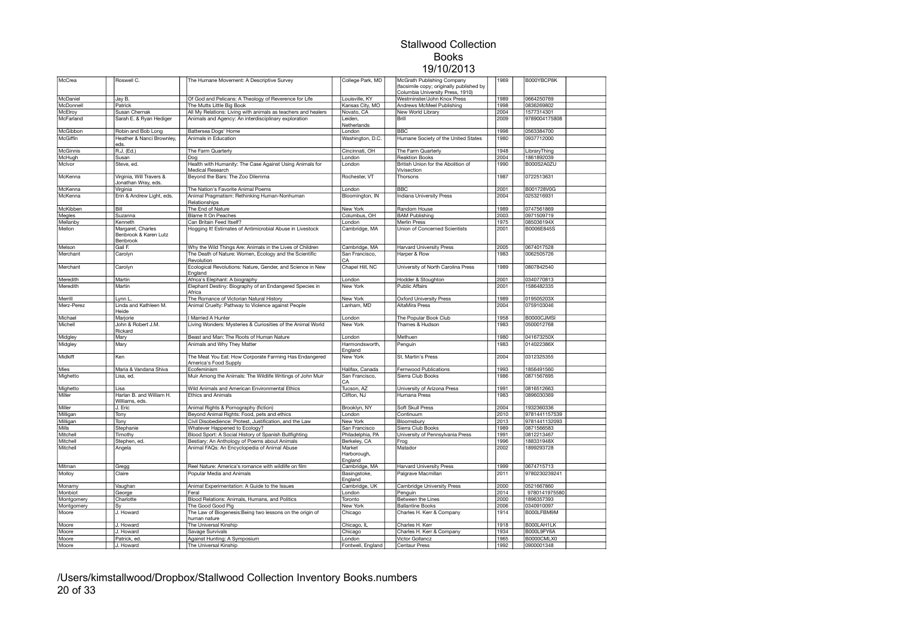| McCrea     | Roswell C.                                      | The Humane Movement: A Descriptive Survey                                       | College Park, MD                 | McGrath Publishing Company<br>(facsimile copy; originally published by | 1969 | B000YBCP8K        |  |
|------------|-------------------------------------------------|---------------------------------------------------------------------------------|----------------------------------|------------------------------------------------------------------------|------|-------------------|--|
|            |                                                 | Of God and Pelicans: A Theology of Reverence for Life                           |                                  | Columbia University Press, 1910)                                       | 1989 | 0664250769        |  |
| McDaniel   | Jay B.                                          |                                                                                 | Louisville, KY                   | Westminster/John Knox Press                                            |      |                   |  |
| McDonnell  | Patrick                                         | The Mutts Little Big Book                                                       | Kansas City, MO                  | Andrews McMeel Publishing                                              | 1998 | 0836269802        |  |
| McElroy    | Susan Chernak                                   | All My Relations: Living with animals as teachers and healers                   | Novato, CA                       | New World Library                                                      | 2004 | 1577314301        |  |
| McFarland  | Sarah E. & Ryan Hediger                         | Animals and Agency: An interdisciplinary exploration                            | Leiden.<br>Netherlands           | Brill                                                                  | 2009 | 9789004175808     |  |
| McGibbon   | Robin and Bob Long                              | Battersea Dogs' Home                                                            | London                           | <b>BBC</b>                                                             | 1998 | 0563384700        |  |
| McGiffin   | Heather & Nanci Brownley,<br>eds.               | Animals in Education                                                            | Washington, D.C.                 | Humane Society of the United States                                    | 1980 | 0937712000        |  |
| McGinnis   | R.J. (Ed.)                                      | The Farm Quarterly                                                              | Cincinnati, OH                   | The Farm Quarterly                                                     | 1948 | LibraryThing      |  |
| McHugh     | Susan                                           | Dog                                                                             | London                           | <b>Reaktion Books</b>                                                  | 2004 | 1861892039        |  |
| McIvor     | Steve, ed.                                      | Health with Humanity: The Case Against Using Animals for<br>Medical Research    | London                           | British Union for the Abolition of<br>Vivisection                      | 1990 | B000S2A0ZU        |  |
| McKenna    | Virginia, Will Travers &<br>Jonathan Wray, eds. | Beyond the Bars: The Zoo Dilemma                                                | Rochester, VT                    | Thorsons                                                               | 1987 | 0722513631        |  |
| McKenna    | Virginia                                        | The Nation's Favorite Animal Poems                                              | London                           | <b>BBC</b>                                                             | 2001 | <b>B001728V0G</b> |  |
| McKenna    | Erin & Andrew Light, eds.                       | Animal Pragmatism: Rethinking Human-Nonhuman<br>Relationships                   | Bloomington, IN                  | <b>Indiana University Press</b>                                        | 2004 | 0253216931        |  |
| McKibben   | Bill                                            | The End of Nature                                                               | New York                         | Random House                                                           | 1989 | 0747561869        |  |
| Megles     | Suzanna                                         | <b>Blame It On Peaches</b>                                                      | Columbus, OH                     | <b>BAM Publishing</b>                                                  | 2003 | 0971509719        |  |
| Mellanby   | Kenneth                                         | Can Britain Feed Itself?                                                        | London                           | Merlin Press                                                           | 1975 | 085036194X        |  |
| Mellon     | Margaret, Charles                               | Hogging It! Estimates of Antimicrobial Abuse in Livestock                       | Cambridge, MA                    | Union of Concerned Scientists                                          | 2001 | B0006E845S        |  |
|            | Benbrook & Karen Lutz<br>Benbrook               |                                                                                 |                                  |                                                                        |      |                   |  |
| Melson     | Gail F.                                         | Why the Wild Things Are: Animals in the Lives of Children                       | Cambridge, MA                    | <b>Harvard University Press</b>                                        | 2005 | 0674017528        |  |
| Merchant   | Carolyn                                         | The Death of Nature: Women, Ecology and the Scientific<br>Revolution            | San Francisco.<br>CA             | Harper & Row                                                           | 1983 | 0062505726        |  |
| Merchant   | Carolyn                                         | Ecological Revolutions: Nature, Gender, and Science in New<br>England           | Chapel Hill, NC                  | University of North Carolina Press                                     | 1989 | 0807842540        |  |
| Meredith   | Martin                                          | Africa's Elephant: A biography                                                  | London                           | Hodder & Stoughton                                                     | 2001 | 0340770813        |  |
| Meredith   | Martin                                          | Elephant Destiny: Biography of an Endangered Species in<br>Africa               | New York                         | <b>Public Affairs</b>                                                  | 2001 | 1586482335        |  |
| Merrill    | Lynn L                                          | The Romance of Victorian Natural History                                        | New York                         | <b>Oxford University Press</b>                                         | 1989 | 019505203X        |  |
| Merz-Perez | Linda and Kathleen M.<br>Heide                  | Animal Cruelty: Pathway to Violence against People                              | Lanham, MD                       | <b>AltaMira Press</b>                                                  | 2004 | 0759103046        |  |
| Michael    | Marjorie                                        | I Married A Hunter                                                              | London                           | The Popular Book Club                                                  | 1958 | B0000CJMSI        |  |
| Michell    | John & Robert J.M.<br>Rickard                   | Living Wonders: Mysteries & Curiosities of the Animal World                     | New York                         | Thames & Hudson                                                        | 1983 | 0500012768        |  |
| Midgley    | Mary                                            | Beast and Man: The Roots of Human Nature                                        | London                           | Methuen                                                                | 1980 | 041673250X        |  |
| Midgley    | Mary                                            | Animals and Why They Matter                                                     | Harmondsworth,<br>England        | Penguin                                                                | 1983 | 014022386X        |  |
| Midkiff    | Ken                                             | The Meat You Eat: How Corporate Farming Has Endangered<br>America's Food Supply | New York                         | St. Martin's Press                                                     | 2004 | 0312325355        |  |
| Mies       | Maria & Vandana Shiva                           | Ecofeminism                                                                     | Halifax, Canada                  | <b>Fernwood Publications</b>                                           | 1993 | 1856491560        |  |
| Mighetto   | Lisa, ed.                                       | Muir Among the Animals: The Wildlife Writings of John Muir                      | San Francisco.<br>CA             | Sierra Club Books                                                      | 1986 | 0871567695        |  |
| Mighetto   | Lisa                                            | Wild Animals and American Environmental Ethics                                  | Tucson, AZ                       | University of Arizona Press                                            | 1991 | 0816512663        |  |
| Miller     | Harlan B. and William H.<br>Williams, eds.      | <b>Ethics and Animals</b>                                                       | Clifton, NJ                      | Humana Press                                                           | 1983 | 0896030369        |  |
| Miller     | J. Eric                                         | Animal Rights & Pornography (fiction)                                           | Brooklyn, NY                     | Soft Skull Press                                                       | 2004 | 1932360336        |  |
| Milligan   | Tony                                            | Beyond Animal Rights: Food, pets and ethics                                     | London                           | Continuum                                                              | 2010 | 9781441157539     |  |
| Milligan   | Tony                                            | Civil Disobedience: Protest, Justification, and the Law                         | New York                         | Bloomsbury                                                             | 2013 | 9781441132093     |  |
| Mills      | Stephanie                                       | Whatever Happened to Ecology?                                                   | San Francisco                    | Sierra Club Books                                                      | 1989 | 0871566583        |  |
| Mitchell   |                                                 | Blood Sport: A Social History of Spanish Bullfighting                           | Philadelphia, PA                 | University of Pennsylvania Press                                       | 1991 | 0812213467        |  |
|            | Timothy                                         |                                                                                 |                                  |                                                                        | 1996 | 188331948X        |  |
| Mitchell   | Stephen, ed.                                    | Bestiary: An Anthology of Poems about Animals                                   | Berkeley, CA                     | Frog                                                                   |      |                   |  |
| Mitchell   | Angela                                          | Animal FAQs: An Encyclopedia of Animal Abuse                                    | Market<br>Harborough,<br>England | Matador                                                                | 2002 | 1899293728        |  |
| Mitman     | Gregg                                           | Reel Nature: America's romance with wildlife on film                            | Cambridge, MA                    | <b>Harvard University Press</b>                                        | 1999 | 0674715713        |  |
| Molloy     | Claire                                          | Popular Media and Animals                                                       | Basingstoke,<br>England          | Palgrave Macmillan                                                     | 2011 | 9780230239241     |  |
| Monamy     | Vaughan                                         | Animal Experimentation: A Guide to the Issues                                   | Cambridge, UK                    | Cambridge University Press                                             | 2000 | 0521667860        |  |
| Monbiot    | George                                          | Feral                                                                           | London                           | Penguin                                                                | 2014 | 9780141975580     |  |
| Montgomery | Charlotte                                       | Blood Relations: Animals, Humans, and Politics                                  | Toronto                          | Between the Lines                                                      | 2000 | 1896357393        |  |
| Montgomery | Sγ                                              | The Good Good Pig                                                               | New York                         | <b>Ballantine Books</b>                                                | 2006 | 0340910097        |  |
| Moore      | J. Howard                                       | The Law of Biogenesis: Being two lessons on the origin of<br>human nature       | Chicago                          | Charles H. Kerr & Company                                              | 1914 | B000LFBM9M        |  |
| Moore      | J. Howard                                       | The Universal Kinship                                                           | Chicago, IL                      | Charles H. Kerr                                                        | 1918 | B000LAH1LK        |  |
| Moore      | J. Howard                                       | Savage Survivals                                                                | Chicago                          | Charles H. Kerr & Company                                              | 1934 | B000L9FY6A        |  |
| Moore      | Patrick, ed.                                    | Against Hunting: A Symposium                                                    | London                           | Victor Gollancz                                                        | 1965 | B0000CMLX0        |  |
|            | J. Howard                                       | The Universal Kinship                                                           | Fontwell, England                | Centaur Press                                                          | 1992 | 0900001348        |  |
| Moore      |                                                 |                                                                                 |                                  |                                                                        |      |                   |  |

/Users/kimstallwood/Dropbox/Stallwood Collection Inventory Books.numbers 20 of 33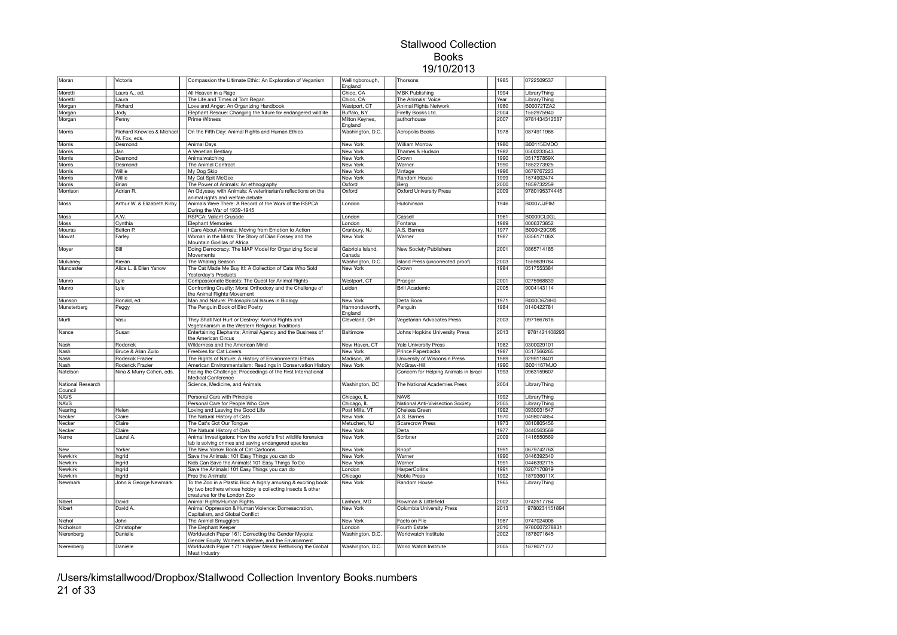| Moran                        | Victoria                                             | Compassion the Ultimate Ethic: An Exploration of Veganism                                                                                                  | Wellingborough,<br>England | Thorsons                              | 1985 | 0722509537        |  |
|------------------------------|------------------------------------------------------|------------------------------------------------------------------------------------------------------------------------------------------------------------|----------------------------|---------------------------------------|------|-------------------|--|
| Moretti                      | Laura A., ed.                                        | All Heaven in a Rage                                                                                                                                       | Chico, CA                  | <b>MBK Publishing</b>                 | 1994 | LibraryThing      |  |
| Moretti                      | Laura                                                | The Life and Times of Tom Regan                                                                                                                            | Chico, CA                  | The Animals' Voice                    | Year | LibraryThing      |  |
| Morgan                       | Richard                                              | Love and Anger: An Organizing Handbook                                                                                                                     | Westport, CT               | Animal Rights Network                 | 1980 | B00072TZA2        |  |
| Morgan                       | Jody                                                 | Elephant Rescue: Changing the future for endangered wildlife                                                                                               | Buffalo, NY                | Firefly Books Ltd.                    | 2004 | 1552975940        |  |
| Morgan                       | Penny                                                | Prime Witness                                                                                                                                              | Milton Keynes,             | authorhouse                           | 2007 | 9781434312587     |  |
|                              |                                                      |                                                                                                                                                            | England                    |                                       |      |                   |  |
| Morris                       | <b>Richard Knowles &amp; Michael</b><br>W. Fox, eds. | On the Fifth Day: Animal Rights and Human Ethics                                                                                                           | Washington, D.C.           | <b>Acropolis Books</b>                | 1978 | 0874911966        |  |
| Morris                       | Desmond                                              | Animal Days                                                                                                                                                | New York                   | <b>William Morrow</b>                 | 1980 | <b>B00115EMDO</b> |  |
| Morris                       | Jan                                                  | A Venetian Bestiary                                                                                                                                        | New York                   | Thames & Hudson                       | 1982 | 0500233543        |  |
| Morris                       | Desmond                                              | Animalwatching                                                                                                                                             | New York                   | Crown                                 | 1990 | 051757859X        |  |
| Morris                       | Desmond                                              | The Animal Contract                                                                                                                                        | New York                   | Warner                                | 1990 | 1852273925        |  |
| Morris                       | Willie                                               | My Dog Skip                                                                                                                                                | New York                   | Vintage                               | 1996 | 0679767223        |  |
| Morris                       | Willie                                               | My Cat Spit McGee                                                                                                                                          | New York                   | Random House                          | 1999 | 1574902474        |  |
| Morris                       | <b>Brian</b>                                         | The Power of Animals: An ethnography                                                                                                                       | Oxford                     | Berg                                  | 2000 | 1859732259        |  |
| Morrison                     | Adrian R.                                            | An Odyssey with Animals: A veterinarian's reflections on the<br>animal rights and welfare debate                                                           | Oxford                     | <b>Oxford University Press</b>        | 2009 | 9780195374445     |  |
| Moss                         | Arthur W. & Elizabeth Kirby                          | Animals Were There: A Record of the Work of the RSPCA<br>During the War of 1939-1945                                                                       | London                     | Hutchinson                            | 1946 | B0007JJPIM        |  |
| Moss                         | A.W.                                                 | RSPCA: Valiant Crusade                                                                                                                                     | London                     | Cassell                               | 1961 | B0000CL0GL        |  |
| Moss                         | Cynthia                                              | <b>Elephant Memories</b>                                                                                                                                   | London                     | Fontana                               | 1989 | 0006373852        |  |
| Mouras                       | Belton P.                                            | Care About Animals: Moving from Emotion to Action                                                                                                          | Cranbury, NJ               | A.S. Barnes                           | 1977 | B000K29C9S        |  |
| Mowat                        | Farley                                               | Woman in the Mists: The Story of Dian Fossey and the                                                                                                       | New York                   | Warner                                | 1987 | 035617106X        |  |
|                              | Bill                                                 | Mountain Gorillas of Africa                                                                                                                                |                            |                                       |      |                   |  |
| Moyer                        |                                                      | Doing Democracy: The MAP Model for Organizing Social<br>Movements                                                                                          | Gabriola Island,<br>Canada | New Society Publishers                | 2001 | 0865714185        |  |
| Mulvaney                     | Kieran                                               | The Whaling Season                                                                                                                                         | Washington, D.C.           | Island Press (uncorrected proof)      | 2003 | 1559639784        |  |
| Muncaster                    | Alice L. & Ellen Yanow                               | The Cat Made Me Buy It!: A Collection of Cats Who Sold<br>Yesterday's Products                                                                             | New York                   | Crown                                 | 1984 | 0517553384        |  |
| Munro                        | Lyle                                                 | Compassionate Beasts: The Quest for Animal Rights                                                                                                          | Westport, CT               | Praeger                               | 2001 | 0275968839        |  |
| Munro                        | Lyle                                                 | Confronting Cruelty: Moral Orthodoxy and the Challenge of<br>the Animal Rights Movement                                                                    | Leiden                     | <b>Brill Academic</b>                 | 2005 | 9004143114        |  |
| Munson                       | Ronald, ed.                                          | Man and Nature: Philosophical Issues in Biology                                                                                                            | New York                   | Delta Book                            | 1971 | B000O6Z8H0        |  |
| Munsterberg                  | Peggy                                                | The Penguin Book of Bird Poetry                                                                                                                            | Harmondsworth,<br>England  | Penguin                               | 1984 | 0140422781        |  |
| Murti                        | Vasu                                                 | They Shall Not Hurt or Destroy: Animal Rights and<br>Vegetarianism in the Western Religious Traditions                                                     | Cleveland, OH              | Vegetarian Advocates Press            | 2003 | 0971667616        |  |
| Nance                        | Susan                                                | Entertaining Elephants: Animal Agency and the Business of<br>the American Circus                                                                           | Baltimore                  | Johns Hopkins University Press        | 2013 | 9781421408293     |  |
| Nash                         | Roderick                                             | Wilderness and the American Mind                                                                                                                           | New Haven, CT              | <b>Yale University Press</b>          | 1982 | 0300029101        |  |
| Nash                         | Bruce & Allan Zullo                                  | Freebies for Cat Lovers                                                                                                                                    | New York                   | Prince Paperbacks                     | 1987 | 0517566265        |  |
| Nash                         | Roderick Frazier                                     | The Rights of Nature: A History of Environmental Ethics                                                                                                    | Madison, WI                | University of Wisconsin Press         | 1989 | 0299118401        |  |
| Nash                         | Roderick Frazier                                     | American Environmentalism: Readings in Conservation History                                                                                                | New York                   | McGraw-Hill                           | 1990 | B001167MJO        |  |
| Natelson                     | Nina & Murry Cohen, eds.                             | Facing the Challenge: Proceedings of the First International                                                                                               |                            | Concern for Helping Animals in Israel | 1993 | 0963159607        |  |
|                              |                                                      | Medical Conference                                                                                                                                         |                            |                                       |      |                   |  |
| National Research<br>Council |                                                      | Science, Medicine, and Animals                                                                                                                             | Washington, DC             | The National Academies Press          | 2004 | LibraryThing      |  |
| <b>NAVS</b>                  |                                                      | Personal Care with Principle                                                                                                                               | Chicago, IL                | <b>NAVS</b>                           | 1992 | LibraryThing      |  |
| <b>NAVS</b>                  |                                                      | Personal Care for People Who Care                                                                                                                          | Chicago, IL                | National Anti-Vivisection Society     | 2005 | LibraryThing      |  |
| Nearing                      | Helen                                                | Loving and Leaving the Good Life                                                                                                                           | Post Mills, VT             | Chelsea Green                         | 1992 | 0930031547        |  |
| Necker                       | Claire                                               | The Natural History of Cats                                                                                                                                | <b>New York</b>            | A.S. Barnes                           | 1970 | 0498074854        |  |
| Necker                       | Claire                                               | The Cat's Got Our Tongue                                                                                                                                   | Metuchen, NJ               | <b>Scarecrow Press</b>                | 1973 | 0810805456        |  |
| Necker                       | Claire                                               | The Natural History of Cats                                                                                                                                | <b>New York</b>            | Delta                                 | 1977 | 0440563569        |  |
| Neme                         | Laurel A.                                            | Animal Investigators: How the world's first wildlife forensics<br>lab is solving crimes and saving endangered species                                      | New York                   | Scribner                              | 2009 | 1416550569        |  |
| New                          | Yorker                                               | The New Yorker Book of Cat Cartoons                                                                                                                        | New York                   | Knopf                                 | 1991 | 067974276X        |  |
| Newkirk                      | Ingrid                                               | Save the Animals: 101 Easy Things you can do                                                                                                               | New York                   | Warner                                | 1990 | 0446392340        |  |
| Newkirk                      | Ingrid                                               | Kids Can Save the Animals! 101 Easy Things To Do                                                                                                           | New York                   | Warner                                | 1991 | 0446392715        |  |
| Newkirk                      | Ingrid                                               | Save the Animals! 101 Easy Things you can do                                                                                                               | London                     | HarperCollins                         | 1991 | 0207170819        |  |
| Newkirk                      | Ingrid                                               | Free the Animals!                                                                                                                                          | Chicago                    | <b>Noble Press</b>                    | 1992 | 187936011X        |  |
| Newmark                      | John & George Newmark                                | To the Zoo in a Plastic Box: A highly amusing & exciting book<br>by two brothers whose hobby is collecting insects & other<br>creatures for the London Zoo | New York                   | Random House                          | 1965 | LibraryThing      |  |
| Nibert                       | David                                                | Animal Rights/Human Rights                                                                                                                                 | Lanham, MD                 | Rowman & Littlefield                  | 2002 | 0742517764        |  |
| Nibert                       | David A.                                             | Animal Oppression & Human Violence: Domesecration,<br>Capitalism, and Global Conflict                                                                      | New York                   | Columbia University Press             | 2013 | 9780231151894     |  |
| Nichol                       | John                                                 | The Animal Smugglers                                                                                                                                       | New York                   | Facts on File                         | 1987 | 0747024006        |  |
| Nicholson                    | Christopher                                          | The Elephant Keeper                                                                                                                                        | London                     | Fourth Estate                         | 2010 | 9780007278831     |  |
| Nierenberg                   | Danielle                                             | Worldwatch Paper 161: Correcting the Gender Myopia:                                                                                                        | Washington, D.C.           | Worldwatch Institute                  | 2002 | 1878071645        |  |
|                              |                                                      | Gender Equity, Women's Welfare, and the Environment                                                                                                        | Washington, D.C.           | World Watch Institute                 | 2005 | 1878071777        |  |
| Nierenberg                   | Danielle                                             | Worldwatch Paper 171: Happier Meals: Rethinking the Global<br>Meat Industry                                                                                |                            |                                       |      |                   |  |

/Users/kimstallwood/Dropbox/Stallwood Collection Inventory Books.numbers 21 of 33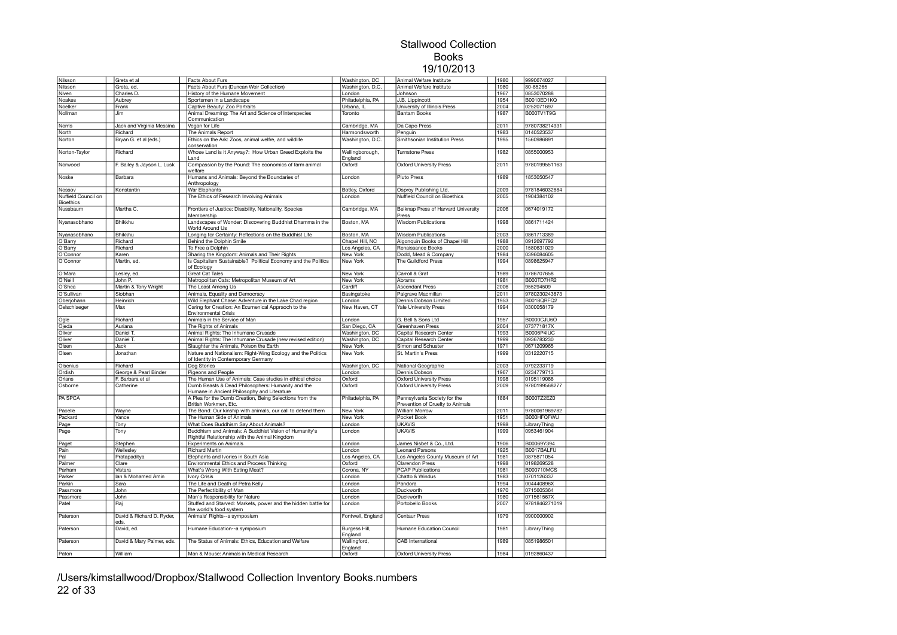| Nilsson             | Greta et al                       | Facts About Furs                                                                                       | Washington, DC             | Animal Welfare Institute                                  | 1980 | 9990674027        |  |
|---------------------|-----------------------------------|--------------------------------------------------------------------------------------------------------|----------------------------|-----------------------------------------------------------|------|-------------------|--|
| Nilsson             | Greta, ed.                        | Facts About Furs (Duncan Weir Collection)                                                              | Washington, D.C.           | Animal Welfare Institute                                  | 1980 | 80-65265          |  |
| Niven               | Charles D.                        | History of the Humane Movement                                                                         | London                     | Johnson                                                   | 1967 | 0853070288        |  |
| Noakes              | Aubrey                            | Sportsmen in a Landscape                                                                               | Philadelphia, PA           | J.B. Lippincott                                           | 1954 | <b>B0010ED1KQ</b> |  |
| Noelker             | Frank                             | Captive Beauty: Zoo Portraits                                                                          | Urbana, IL                 | University of Illinois Press                              | 2004 | 0252071697        |  |
| Nollman             | Jim                               | Animal Dreaming: The Art and Science of Interspecies                                                   | Toronto                    | <b>Bantam Books</b>                                       | 1987 | B000TV1T9G        |  |
|                     |                                   | Communication                                                                                          |                            |                                                           |      |                   |  |
| Norris              | Jack and Virginia Messina         | Vegan for Life                                                                                         | Cambridge, MA              | Da Capo Press                                             | 2011 | 9780738214931     |  |
| North               | Richard                           | The Animals Report                                                                                     | Harmondsworth              | Penguin                                                   | 1983 | 0140523537        |  |
| Norton              | Bryan G. et al (eds.)             | Ethics on the Ark: Zoos, animal welfre, and wildlife                                                   | Washington, D.C.           | Smithsonian Institution Press                             | 1995 | 1560986891        |  |
|                     |                                   | conservation                                                                                           |                            |                                                           |      |                   |  |
| Norton-Taylor       | Richard                           | Whose Land is it Anyway?: How Urban Greed Exploits the<br>Land                                         | Wellingborough,<br>England | <b>Turnstone Press</b>                                    | 1982 | 0855000953        |  |
| Norwood             | F. Bailey & Jayson L. Lusk        | Compassion by the Pound: The economics of farm animal<br>welfare                                       | Oxford                     | <b>Oxford University Press</b>                            | 2011 | 9780199551163     |  |
| Noske               | Barbara                           | Humans and Animals: Beyond the Boundaries of<br>Anthropology                                           | London                     | Pluto Press                                               | 1989 | 1853050547        |  |
| Nossov              | Konstantin                        | War Elephants                                                                                          | Botley, Oxford             | Osprey Publishing Ltd.                                    | 2009 | 9781846032684     |  |
| Nuffield Council on |                                   | The Ethics of Research Involving Animals                                                               | London                     | Nuffield Council on Bioethics                             | 2005 | 1904384102        |  |
| Bioethics           |                                   |                                                                                                        |                            |                                                           |      |                   |  |
| Nussbaum            | Martha C.                         | Frontiers of Justice: Disability, Nationality, Species<br>Membership                                   | Cambridge, MA              | Belknap Press of Harvard University<br>Press              | 2006 | 0674019172        |  |
| Nyanasobhano        | <b>Bhikkhu</b>                    | Landscapes of Wonder: Discovering Buddhist Dhamma in the<br>World Around Us                            | Boston, MA                 | <b>Wisdom Publications</b>                                | 1998 | 0861711424        |  |
| Nyanasobhano        | Bhikkhu                           | Longing for Certainty: Reflections on the Buddhist Life                                                | Boston, MA                 | <b>Wisdom Publications</b>                                | 2003 | 0861713389        |  |
| O'Barry             | Richard                           | Behind the Dolphin Smile                                                                               | Chapel Hill, NC            | Algonquin Books of Chapel Hill                            | 1988 | 0912697792        |  |
| O'Barry             | Richard                           | To Free a Dolphin                                                                                      | Los Angeles, CA            | Renaissance Books                                         | 2000 | 1580631029        |  |
| O'Connor            | Karen                             | Sharing the Kingdom: Animals and Their Rights                                                          | New York                   | Dodd, Mead & Company                                      | 1984 | 0396084605        |  |
| O'Connor            | Martin, ed.                       | Is Capitalism Sustainable? Political Economy and the Politics<br>of Ecology                            | New York                   | The Guildford Press                                       | 1994 | 0898625947        |  |
| O'Mara              | Lesley, ed.                       | <b>Great Cat Tales</b>                                                                                 | New York                   | Carroll & Graf                                            | 1989 | 0786707658        |  |
| O'Neill             | John P.                           | Metropolitan Cats: Metropolitan Museum of Art                                                          | New York                   | Abrams                                                    | 1981 | B000TD7HR2        |  |
| O'Shea              | Martin & Tony Wright              | The Least Among Us                                                                                     | Cardiff                    | <b>Ascendant Press</b>                                    | 2006 | 955294509         |  |
| O'Sullivan          | Siobhan                           | Animals, Equality and Democracy                                                                        | Basingstoke                | Palgrave Macmillan                                        | 2011 | 9780230243873     |  |
| Oberjohann          | Heinrich                          | Wild Elephant Chase: Adventure in the Lake Chad region                                                 | London                     | Dennis Dobson Limited                                     | 953  | B0018QRFQ2        |  |
| Oelschlaeger        | Max                               | Caring for Creation: An Ecumenical Appraoch to the                                                     | New Haven, CT              | Yale University Press                                     | 1994 | 0300058179        |  |
|                     |                                   | <b>Environmental Crisis</b>                                                                            |                            |                                                           |      |                   |  |
| Ogle                | Richard                           | Animals in the Service of Man                                                                          | London                     | G. Bell & Sons Ltd                                        | 1957 | B0000CJU6O        |  |
| Ojeda               | Auriana                           | The Rights of Animals                                                                                  | San Diego, CA              | Greenhaven Press                                          | 2004 | 073771817X        |  |
| Oliver              | Daniel T.                         | Animal Rights: The Inhumane Crusade                                                                    | Washington, DC             | Capital Research Center                                   | 1993 | <b>B0006P4IUC</b> |  |
| Oliver              | Daniel T.                         | Animal Rights: The Inhumane Crusade (new revised edition)                                              | Washington, DC             | Capital Research Center                                   | 1999 | 0936783230        |  |
| Olsen               | Jack                              | Slaughter the Animals, Poison the Earth                                                                | New York                   | Simon and Schuster                                        | 1971 | 0671209965        |  |
| Olsen               | Jonathan                          | Nature and Nationalism: Right-Wing Ecology and the Politics<br>of Identity in Contemporary Germany     | New York                   | St. Martin's Press                                        | 1999 | 0312220715        |  |
| Olsenius            | Richard                           | Dog Stories                                                                                            | Washington, DC             | National Geographic                                       | 2003 | 0792233719        |  |
| Ordish              | George & Pearl Binder             | Pigeons and People                                                                                     | .ondon                     | Dennis Dobson                                             | 1967 | 0234779713        |  |
| Orlans              | F. Barbara et al                  | The Human Use of Animals: Case studies in ethical choice                                               | Oxford                     | <b>Oxford University Press</b>                            | 1998 | 0195119088        |  |
| Osborne             | Catherine                         | Dumb Beasts & Dead Philosophers: Humanity and the                                                      | Oxford                     | <b>Oxford University Press</b>                            | 2009 | 9780199568277     |  |
| PA SPCA             |                                   | Humane in Ancient Philosophy and Literature<br>A Plea for the Dumb Creation, Being Selections from the | Philadelphia, PA           | Pennsylvania Society for the                              | 884  | B000TZ2EZ0        |  |
|                     |                                   | British Workmen, Etc.                                                                                  |                            | Prevention of Cruelty to Animals<br><b>William Morrow</b> |      | 9780061969782     |  |
| Pacelle             | Wayne                             | The Bond: Our kinship with animals, our call to defend them                                            | New York                   |                                                           | 2011 |                   |  |
| Packard             | Vance                             | The Human Side of Animals                                                                              | New York                   | Pocket Book                                               | 1951 | B000HFQFWU        |  |
| Page                | Tony                              | What Does Buddhism Say About Animals?                                                                  | London                     | <b>UKAVIS</b>                                             | 1998 | LibraryThing      |  |
| Page                | Tony                              | Buddhism and Animals: A Buddhist Vision of Humanity's<br>Rightful Relationship with the Animal Kingdom | London                     | <b>UKAVIS</b>                                             | 1999 | 0953461904        |  |
| Paget               | Stephen                           | <b>Experiments on Animals</b>                                                                          | London                     | James Nisbet & Co., Ltd.                                  | 1906 | B00069Y394        |  |
| Pain                | Wellesley                         | <b>Richard Martin</b>                                                                                  | London                     | Leonard Parsons                                           | 1925 | B0017BALFU        |  |
| Pal                 | Pratapaditya                      | Elephants and Ivories in South Asia                                                                    | Los Angeles, CA            | Los Angeles County Museum of Art                          | 1981 | 0875871054        |  |
| Palmer              | Clare                             | Environmental Ethics and Process Thinking                                                              | Oxford                     | Clarendon Press                                           | 1998 | 0198269528        |  |
| Parham              | Vistara                           | What's Wrong With Eating Meat?                                                                         | Corona, NY                 | <b>PCAP Publications</b>                                  | 1981 | B000710MCS        |  |
| Parker              | lan & Mohamed Amin                | <b>Ivory Crisis</b>                                                                                    | London                     | Chatto & Windus                                           | 1983 | 0701126337        |  |
| Parkin              | Sara                              | The Life and Death of Petra Kelly                                                                      | London                     | Pandora                                                   | 1994 | 004440896X        |  |
| Passmore            | John                              | The Perfectibility of Man                                                                              | London                     | Duckworth                                                 | 1970 | 0715605364        |  |
| Passmore            | John                              | Man's Responsibility for Nature                                                                        | London                     | Duckworth                                                 | 1980 | 071561567X        |  |
| Patel               | Raj                               | Stuffed and Starved: Markets, power and the hidden battle for                                          | London                     | Portobello Books                                          | 2007 | 9781846271019     |  |
|                     |                                   | the world's food system                                                                                |                            |                                                           |      |                   |  |
| Paterson            | David & Richard D. Ryder,<br>eds. | Animals' Rights--a symposium                                                                           | Fontwell, England          | Centaur Press                                             | 1979 | 0900000902        |  |
| Paterson            | David, ed.                        | Humane Education--a symposium                                                                          | Burgess Hill,<br>England   | Humane Education Council                                  | 1981 | LibraryThing      |  |
| Paterson            | David & Mary Palmer, eds.         | The Status of Animals: Ethics, Education and Welfare                                                   | Wallingford,<br>England    | CAB International                                         | 1989 | 0851986501        |  |
| Paton               | William                           | Man & Mouse: Animals in Medical Research                                                               | Oxford                     | <b>Oxford University Press</b>                            | 1984 | 0192860437        |  |
|                     |                                   |                                                                                                        |                            |                                                           |      |                   |  |

/Users/kimstallwood/Dropbox/Stallwood Collection Inventory Books.numbers 22 of 33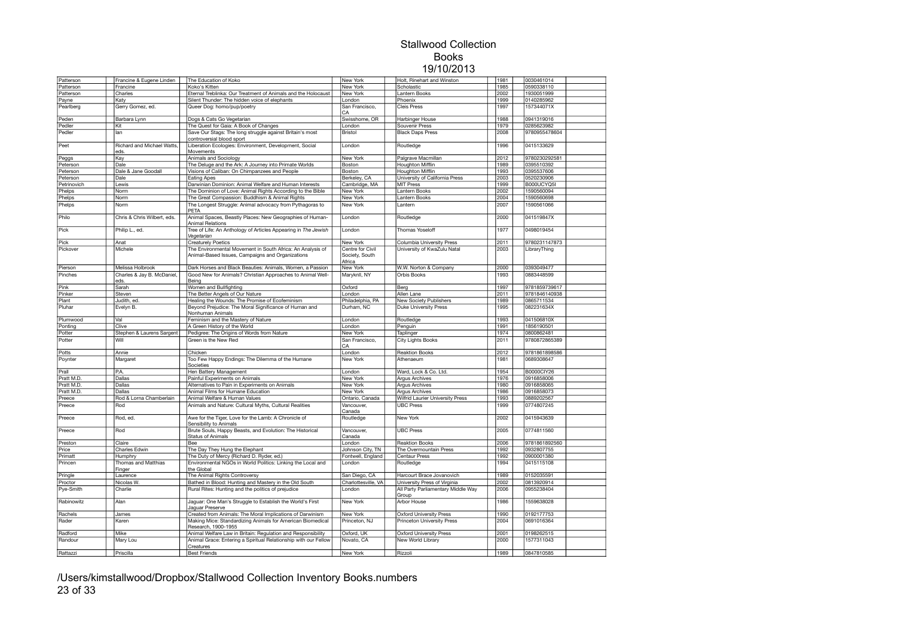| Patterson           | Francine & Eugene Linden           | The Education of Koko                                                                                                   | New York                                     | Holt, Rinehart and Winston                                   | 1981         | 0030461014               |  |
|---------------------|------------------------------------|-------------------------------------------------------------------------------------------------------------------------|----------------------------------------------|--------------------------------------------------------------|--------------|--------------------------|--|
| Patterson           | Francine                           | Koko's Kitten                                                                                                           | New York                                     | Scholastic                                                   | 1985         | 0590338110               |  |
|                     |                                    |                                                                                                                         |                                              |                                                              |              |                          |  |
| Patterson           | Charles                            | Eternal Treblinka: Our Treatment of Animals and the Holocaust                                                           | New York                                     | Lantern Books                                                | 2002         | 1930051999               |  |
| Payne               | Katy                               | Silent Thunder: The hidden voice of elephants                                                                           | London                                       | Phoenix                                                      | 1999         | 0140285962               |  |
| Pearlberg           | Gerry Gomez, ed.                   | Queer Dog: homo/pup/poetry                                                                                              | San Francisco,<br>CA                         | <b>Cleis Press</b>                                           | 1997         | 157344071X               |  |
| Peden               | Barbara Lynn                       | Dogs & Cats Go Vegetarian                                                                                               | Swisshome, OR                                | Harbinger House                                              | 1988         | 0941319016               |  |
| Pedler              | Kit                                | The Quest for Gaia: A Book of Changes                                                                                   | London                                       | Souvenir Press                                               | 1979         | 0285623982               |  |
| Pedler              | lan                                | Save Our Stags: The long struggle against Britain's most                                                                | Bristol                                      | <b>Black Daps Press</b>                                      | 2008         | 9780955478604            |  |
|                     |                                    | controversial blood sport                                                                                               |                                              |                                                              |              |                          |  |
| Peet                | Richard and Michael Watts,<br>eds. | Liberation Ecologies: Environment, Development, Social<br>Movements                                                     | London                                       | Routledge                                                    | 1996         | 0415133629               |  |
| Peggs               | Kay                                | Animals and Sociology                                                                                                   | New York                                     | Palgrave Macmillan                                           | 2012         | 9780230292581            |  |
| Peterson            | Dale                               | The Deluge and the Ark: A Journey into Primate Worlds                                                                   | Boston                                       | <b>Houghton Mifflin</b>                                      | 1989         | 0395510392               |  |
| Peterson            | Dale & Jane Goodall                | Visions of Caliban: On Chimpanzees and People                                                                           | Boston                                       | <b>Houghton Mifflin</b>                                      | 1993         | 0395537606               |  |
| Peterson            | Dale                               | <b>Eating Apes</b>                                                                                                      | Berkeley, CA                                 | University of California Press                               | 2003         | 0520230906               |  |
|                     |                                    |                                                                                                                         |                                              |                                                              |              |                          |  |
| Petrinovich         | Lewis                              | Darwinian Dominion: Animal Welfare and Human Interests                                                                  | Cambridge, MA                                | <b>MIT Press</b>                                             | 1999         | B000UCYQ5I               |  |
| Phelps              | Norm                               | The Dominion of Love: Animal Rights According to the Bible                                                              | New York                                     | Lantern Books                                                | 2002         | 1590560094               |  |
| Phelps              | Norm                               | The Great Compassion: Buddhism & Animal Rights                                                                          | New York                                     | Lantern Books                                                | 2004         | 1590560698               |  |
| Phelps              | Norm                               | The Longest Struggle: Animal advocacy from Pythagoras to<br>PETA                                                        | New York                                     | Lantern                                                      | 2007         | 1590561066               |  |
| Philo               | Chris & Chris Wilbert, eds.        | Animal Spaces, Beastly Places: New Geographies of Human-<br><b>Animal Relations</b>                                     | London                                       | Routledge                                                    | 2000         | 041519847X               |  |
| Pick                | Philip L., ed.                     | Tree of Life: An Anthology of Articles Appearing in The Jewish<br>Vegetarian                                            | London                                       | <b>Thomas Yoseloff</b>                                       | 1977         | 0498019454               |  |
|                     |                                    |                                                                                                                         |                                              |                                                              | 2011         | 9780231147873            |  |
| Pick                | Anat                               | <b>Creaturely Poetics</b>                                                                                               | New York                                     | Columbia University Press                                    |              |                          |  |
| Pickover            | Michele                            | The Environmental Movement in South Africa: An Analysis of<br>Animal-Based Issues, Campaigns and Organizations          | Centre for Civil<br>Society, South<br>Africa | University of KwaZulu Natal                                  | 2003         | LibraryThing             |  |
| Pierson             | Melissa Holbrook                   | Dark Horses and Black Beauties: Animals, Women, a Passion                                                               | New York                                     | W.W. Norton & Company                                        | 2000         | 0393049477               |  |
| Pinches             | Charles & Jay B. McDaniel,<br>eds. | Good New for Animals? Christian Approaches to Animal Well-<br>Being                                                     | Maryknll, NY                                 | Orbis Books                                                  | 1993         | 0883448599               |  |
| Pink                | Sarah                              | Women and Bullfighting                                                                                                  | Oxford                                       | Berg                                                         | 1997         | 9781859739617            |  |
| Pinker              | Steven                             | The Better Angels of Our Nature                                                                                         | London                                       | Allen Lane                                                   | 2011         | 9781846140938            |  |
|                     |                                    |                                                                                                                         |                                              |                                                              |              |                          |  |
| Plant               | Judith, ed.                        | Healing the Wounds: The Promise of Ecofeminism                                                                          | Philadelphia, PA                             | <b>New Society Publishers</b>                                | 1989         | 0865711534               |  |
| Pluhar              | Evelyn B.                          | Beyond Prejudice: The Moral Significance of Human and<br>Nonhuman Animals                                               | Durham, NC                                   | <b>Duke University Press</b>                                 | 1995         | 082231634X               |  |
| Plumwood            | Val                                | Feminism and the Mastery of Nature                                                                                      | London                                       | Routledge                                                    | 1993         | 041506810X               |  |
| Ponting             | Clive                              | A Green History of the World                                                                                            | London                                       | Penguin                                                      | 1991         | 1856190501               |  |
|                     |                                    |                                                                                                                         | New York                                     | Taplinger                                                    | 1974         | 0800862481               |  |
|                     |                                    |                                                                                                                         |                                              |                                                              |              |                          |  |
| Potter<br>Potter    | Stephen & Laurens Sargent<br>Will  | Pedigree: The Origins of Words from Nature<br>Green is the New Red                                                      | San Francisco.                               | <b>City Lights Books</b>                                     | 2011         | 9780872865389            |  |
|                     |                                    |                                                                                                                         | CA                                           |                                                              |              |                          |  |
| Potts               | Annie                              | Chicken                                                                                                                 | London                                       | <b>Reaktion Books</b>                                        | 2012         | 9781861898586            |  |
| Poynter             | Margaret                           | Too Few Happy Endings: The Dilemma of the Humane<br>Societies                                                           | New York                                     | Athenaeum                                                    | 1981         | 0689308647               |  |
| Prall               | P.A.                               | Hen Battery Management                                                                                                  | London                                       | Ward, Lock & Co. Ltd.                                        | 1954         | B0000ClY26               |  |
|                     |                                    |                                                                                                                         |                                              |                                                              | 1976         |                          |  |
| Pratt M.D.          | Dallas                             | Painful Experiments on Animals                                                                                          | New York                                     | <b>Argus Archives</b>                                        |              | 0916858006               |  |
| Pratt M.D.          | Dallas                             | Alternatives to Pain in Experiments on Animals                                                                          | New York                                     | Argus Archives                                               | 1980         | 0916858065               |  |
| Pratt M.D.          | Dallas                             | Animal Films for Humane Education                                                                                       | New York                                     | Argus Archives                                               | 1986         | 0916858073               |  |
| Preece              | Rod & Lorna Chamberlain            | Animal Welfare & Human Values                                                                                           | Ontario, Canada                              | <b>Wilfrid Laurier University Press</b>                      | 1993         | 0889202567               |  |
| Preece              | Rod                                | Animals and Nature: Cultural Myths, Cultural Realities                                                                  | Vancouver,<br>Canada                         | <b>UBC Press</b>                                             | 1999         | 0774807245               |  |
| Preece              | Rod, ed.                           | Awe for the Tiger, Love for the Lamb: A Chronicle of<br>Sensibility to Animals                                          | Routledge                                    | New York                                                     | 2002         | 0415943639               |  |
| Preece              | Rod                                | Brute Souls, Happy Beasts, and Evolution: The Historical<br><b>Status of Animals</b>                                    | Vancouver,<br>Canada                         | <b>UBC Press</b>                                             | 2005         | 0774811560               |  |
|                     |                                    | Bee                                                                                                                     |                                              |                                                              |              | 9781861892560            |  |
| Preston             | Claire                             |                                                                                                                         | London                                       | <b>Reaktion Books</b>                                        | 2006         |                          |  |
| Price               | Charles Edwin                      | The Day They Hung the Elephant                                                                                          | Johnson City, TN                             | The Overmountain Press                                       | 1992         | 0932807755               |  |
| Primatt             | Humphry                            | The Duty of Mercy (Richard D. Ryder, ed.)                                                                               | Fontwell, England                            | Centaur Press                                                | 1992         | 0900001380               |  |
| Princen             | Thomas and Matthias<br>Finger      | Environmental NGOs in World Politics: Linking the Local and<br>the Global                                               | London                                       | Routledge                                                    | 1994         | 0415115108               |  |
| Pringle             | Laurence                           | The Animal Rights Controversy                                                                                           | San Diego, CA                                | Harcourt Brace Jovanovich                                    | 1989         | 0152035591               |  |
| Proctor             | Nicolas W                          | Bathed in Blood: Hunting and Mastery in the Old South                                                                   | Charlottesville, VA                          | University Press of Virginia                                 | 2002         | 0813920914               |  |
| Pye-Smith           | Charlie                            | Rural Rites: Hunting and the politics of prejudice                                                                      | London                                       | All Party Parliamentary Middle Way                           | 2006         | 0955238404               |  |
| Rabinowitz          | Alan                               | Jaquar: One Man's Struggle to Establish the World's First                                                               | New York                                     | Group<br>Arbor House                                         | 1986         | 1559638028               |  |
|                     |                                    | Jaquar Preserve                                                                                                         |                                              |                                                              |              |                          |  |
| Rachels<br>Rader    | James<br>Karen                     | Created from Animals: The Moral Implications of Darwinism<br>Making Mice: Standardizing Animals for American Biomedical | New York<br>Princeton, NJ                    | <b>Oxford University Press</b><br>Princeton University Press | 1990<br>2004 | 0192177753<br>0691016364 |  |
|                     |                                    | Research, 1900-1955                                                                                                     |                                              |                                                              |              |                          |  |
| Radford             | Mike                               | Animal Welfare Law in Britain: Regulation and Responsibility                                                            | Oxford, UK                                   | <b>Oxford University Press</b>                               | 2001         | 0198262515               |  |
| Randour<br>Rattazzi | Mary Lou<br>Priscilla              | Animal Grace: Entering a Spiritual Relationship with our Fellow<br>Creatures<br><b>Best Friends</b>                     | Novato, CA<br>New York                       | New World Library<br>Rizzoli                                 | 2000<br>1989 | 1577311043<br>0847810585 |  |

/Users/kimstallwood/Dropbox/Stallwood Collection Inventory Books.numbers 23 of 33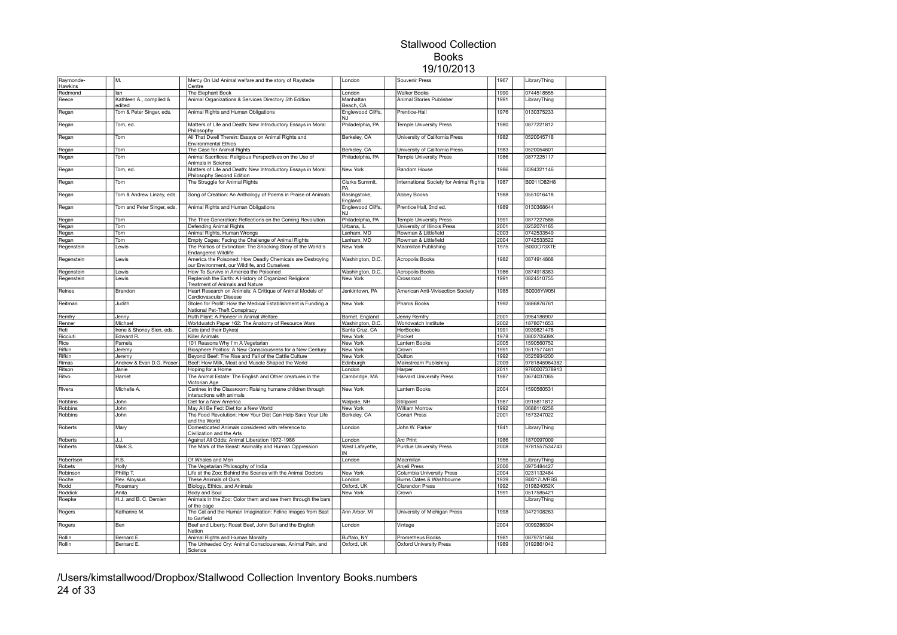| Raymonde-<br>Hawkins | M.                                | Mercy On Us! Animal welfare and the story of Raystede<br>Centre                                           | London                  | Souvenir Press                          | 1967 | LibraryThing               |  |
|----------------------|-----------------------------------|-----------------------------------------------------------------------------------------------------------|-------------------------|-----------------------------------------|------|----------------------------|--|
| Redmond              | lan                               | The Elephant Book                                                                                         | London                  | <b>Walker Books</b>                     | 1990 | 0744518555                 |  |
| Reece                | Kathleen A., compiled &<br>edited | Animal Organizations & Services Directory 5th Edition                                                     | Manhattan<br>Beach, CA  | Animal Stories Publisher                | 1991 | LibraryThing               |  |
| Regan                | Tom & Peter Singer, eds.          | Animal Rights and Human Obligations                                                                       | Englewood Cliffs,<br>NJ | Prentice-Hall                           | 1976 | 0130375233                 |  |
| Regan                | Tom, ed.                          | Matters of Life and Death: New Introductory Essays in Moral<br>Philosophy                                 | Philadelphia, PA        | Temple University Press                 | 1980 | 0877221812                 |  |
| Regan                | Tom                               | All That Dwell Therein: Essays on Animal Rights and<br><b>Environmental Ethics</b>                        | Berkeley, CA            | University of California Press          | 1982 | 0520045718                 |  |
| Regan                | Tom                               | The Case for Animal Rights                                                                                | Berkeley, CA            | University of California Press          | 1983 | 0520054601                 |  |
| Regan                | Tom                               | Animal Sacrifices: Religious Perspectives on the Use of<br>Animals in Science                             | Philadelphia, PA        | Temple University Press                 | 1986 | 0877225117                 |  |
| Regan                | Tom, ed.                          | Matters of Life and Death: New Introductory Essays in Moral<br>Philosophy Second Edition                  | New York                | Random House                            | 1986 | 0394321146                 |  |
| Regan                | Tom                               | The Struggle for Animal Rights                                                                            | Clarks Summit.<br>PA    | International Society for Animal Rights | 1987 | B0011D82H8                 |  |
| Regan                | Tom & Andrew Linzey, eds.         | Song of Creation: An Anthology of Poems in Praise of Animals                                              | Basingstoke,<br>England | <b>Abbey Books</b>                      | 1988 | 0551016418                 |  |
| Regan                | Tom and Peter Singer, eds.        | Animal Rights and Human Obligations                                                                       | Englewood Cliffs,<br>NJ | Prentice Hall, 2nd ed.                  | 1989 | 0130368644                 |  |
| Regan                | Tom                               | The Thee Generation: Reflections on the Coming Revolution                                                 | Philadelphia, PA        | <b>Temple University Press</b>          | 1991 | 0877227586                 |  |
| Regan                | Tom                               | Defending Animal Rights                                                                                   | Urbana, IL              | University of Illinois Press            | 2001 | 0252074165                 |  |
| Regan                | Tom                               | Animal Rights, Human Wrongs                                                                               | Lanham, MD              | Rowman & Littlefield                    | 2003 | 0742533549                 |  |
| Regan                | Tom                               | Empty Cages: Facing the Challenge of Animal Rights                                                        | Lanham, MD              | Rowman & Littlefield                    | 2004 | 0742533522                 |  |
| Regenstein           | Lewis                             | The Politics of Extinction: The Shocking Story of the World's<br><b>Endangered Wildlife</b>               | New York                | Macmillan Publishing                    | 1975 | <b>B000O73XTE</b>          |  |
| Regenstein           | Lewis                             | America the Poisoned: How Deadly Chemicals are Destroying<br>our Environment, our Wildlife, and Ourselves | Washington, D.C.        | <b>Acropolis Books</b>                  | 1982 | 0874914868                 |  |
| Regenstein           | Lewis                             | How To Survive in America the Poisoned                                                                    | Washington, D.C.        | Acropolis Books                         | 1986 | 0874918383                 |  |
| Regenstein           | Lewis                             | Replenish the Earth: A History of Organized Religions'<br>Treatment of Animals and Nature                 | New York                | Crossroad                               | 1991 | 0824510755                 |  |
| Reines               | Brandon                           | Heart Research on Animals: A Critique of Animal Models of<br>Cardiovascular Disease                       | Jenkintown, PA          | American Anti-Vivisection Society       | 1985 | B0006YW05I                 |  |
| Reitman              | Judith                            | Stolen for Profit: How the Medical Establishment is Funding a<br>National Pet-Theft Conspiracy            | New York                | Pharos Books                            | 1992 | 0886876761                 |  |
| Remfry               | Jenny                             | Ruth Plant: A Pioneer in Animal Welfare                                                                   | Barnet, England         | Jenny Remfry                            | 2001 | 0954186907                 |  |
| Renner               | Michael                           | Worldwatch Paper 162: The Anatomy of Resource Wars                                                        | Washington, D.C         | Worldwatch Institute                    | 2002 | 1878071653                 |  |
| Reti                 | Irene & Shoney Sien, eds.         | Cats (and their Dykes)                                                                                    | Santa Cruz, CA          | <b>HerBooks</b>                         | 1991 | 0939821478                 |  |
| Ricciuti             | Edward R.                         | Killer Animals                                                                                            | New York                | Pocket                                  | 1978 | 080270509X                 |  |
| Rice                 | Pamela                            | 101 Reasons Why I'm A Vegetarian                                                                          | New York                | Lantern Books                           | 2005 | 1590560752                 |  |
| Rifkin               | Jeremy                            | Biosphere Politics: A New Consciousness for a New Century                                                 | New York                | Crown                                   | 1991 | 0517577461                 |  |
| Rifkin               | Jeremy                            | Beyond Beef: The Rise and Fall of the Cattle Culture                                                      | New York                | Dutton                                  | 1992 | 0525934200                 |  |
| Rimas                | Andrew & Evan D.G. Fraser         | Beef: How Milk, Meat and Muscle Shaped the World                                                          | Edinburgh               | Mainstream Publishing                   | 2009 | 9781845964382              |  |
| Ritson               | Janie                             | Hoping for a Home                                                                                         | London                  | Harper                                  | 2011 | 9780007378913              |  |
| Ritvo                | Harriet                           | The Animal Estate: The English and Other creatures in the                                                 | Cambridge, MA           | <b>Harvard University Press</b>         | 1987 | 0674037065                 |  |
| Rivera               | Michelle A.                       | Victorian Age<br>Canines in the Classroom: Raising humane children through                                | New York                | Lantern Books                           | 2004 | 1590560531                 |  |
| Robbins              | John                              | interactions with animals<br>Diet for a New America                                                       | Walpole, NH             | Stillpoint                              | 1987 | 0915811812                 |  |
| Robbins              | John                              | May All Be Fed: Diet for a New World                                                                      | New York                | <b>William Morrow</b>                   | 1992 | 0688116256                 |  |
| Robbins              | John                              | The Food Revolution: How Your Diet Can Help Save Your Life<br>and the World                               | Berkeley, CA            | Conari Press                            | 2001 | 1573247022                 |  |
| Roberts              | Mary                              | Domesticated Animals considered with reference to<br>Civilization and the Arts                            | London                  | John W. Parker                          | 1841 | LibraryThing               |  |
| Roberts              | J.J.                              | Against All Odds: Animal Liberation 1972-1986                                                             | London                  | <b>Arc Print</b>                        | 1986 | 1870097009                 |  |
| Roberts              | Mark S.                           | The Mark of the Beast: Animality and Human Oppression                                                     | West Lafayette,<br>IN   | <b>Purdue University Press</b>          | 2008 | 9781557534743              |  |
| Robertson            | R.B.                              | Of Whales and Men                                                                                         | London                  | Macmillan                               | 1956 | LibraryThing               |  |
| Robets               | Holly                             | The Vegetarian Philosophy of India                                                                        |                         | Anjeli Press                            | 2006 | 0975484427                 |  |
| Robinson             | Phillip T.                        | Life at the Zoo: Behind the Scenes with the Animal Doctors                                                | New York                | Columbia University Press               | 2004 | 0231132484                 |  |
| Roche                | Rev. Aloysius                     | These Animals of Ours                                                                                     | London                  | Burns Oates & Washbourne                | 1939 | B0017UVRBS                 |  |
| Rodd                 | Rosemary                          | Biology, Ethics, and Animals                                                                              | Oxford, UK              | <b>Clarendon Press</b>                  | 1992 | 019824052X                 |  |
| Roddick              | Anita                             | Body and Soul                                                                                             | New York                | Crown                                   | 1991 | 0517585421                 |  |
|                      | H.J. and B. C. Demien             |                                                                                                           |                         |                                         |      |                            |  |
| Roepke               | Katharine M.                      | Animals in the Zoo: Color them and see them through the bars<br>of the cage                               | Ann Arbor, MI           |                                         | 1998 | LibraryThing<br>0472108263 |  |
| Rogers               |                                   | The Cat and the Human Imagination: Feline Images from Bast<br>to Garfield                                 |                         | University of Michigan Press            |      | 0099286394                 |  |
| Rogers               | <b>Ben</b>                        | Beef and Liberty: Roast Beef, John Bull and the English<br>Nation                                         | London                  | Vintage                                 | 2004 |                            |  |
| Rollin               | Bernard E.                        | Animal Rights and Human Morality                                                                          | Buffalo, NY             | Prometheus Books                        | 1981 | 0879751584                 |  |
| Rollin               | Bernard E.                        | The Unheeded Cry: Animal Consciousness, Animal Pain, and                                                  | Oxford, UK              | <b>Oxford University Press</b>          | 1989 | 0192861042                 |  |
|                      |                                   | Science                                                                                                   |                         |                                         |      |                            |  |

/Users/kimstallwood/Dropbox/Stallwood Collection Inventory Books.numbers 24 of 33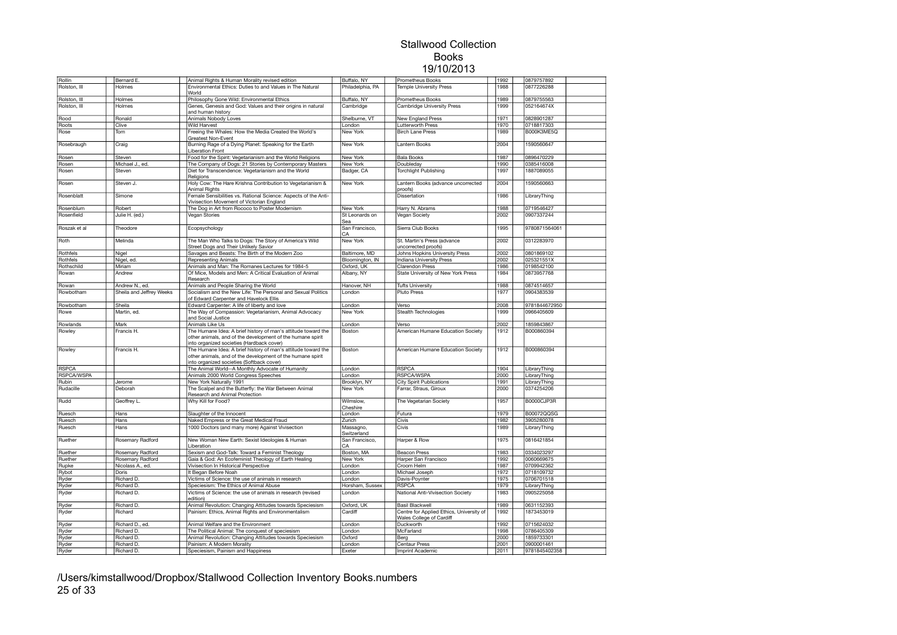| Rollin       | Bernard E.               | Animal Rights & Human Morality revised edition                                                               | Buffalo, NY              | Prometheus Books                                                     | 1992 | 0879757892    |  |
|--------------|--------------------------|--------------------------------------------------------------------------------------------------------------|--------------------------|----------------------------------------------------------------------|------|---------------|--|
| Rolston, III | Holmes                   | Environmental Ethics: Duties to and Values in The Natural<br>World                                           | Philadelphia, PA         | Temple University Press                                              | 1988 | 0877226288    |  |
| Rolston, III | Holmes                   | Philosophy Gone Wild: Environmental Ethics                                                                   | Buffalo, NY              | <b>Prometheus Books</b>                                              | 1989 | 0879755563    |  |
| Rolston, III | Holmes                   | Genes, Genesis and God: Values and their origins in natural<br>and human history                             | Cambridge                | <b>Cambridge University Press</b>                                    | 1999 | 052164674X    |  |
| Rood         | Ronald                   | Animals Nobody Loves                                                                                         | Shelburne, VT            | <b>New England Press</b>                                             | 1971 | 0828901287    |  |
| Roots        | Clive                    | <b>Wild Harvest</b>                                                                                          | London                   | <b>Lutterworth Press</b>                                             | 1970 | 0718817303    |  |
| Rose         | Tom                      | Freeing the Whales: How the Media Created the World's                                                        | New York                 | <b>Birch Lane Press</b>                                              | 1989 | B000K3ME5Q    |  |
|              |                          | Greatest Non-Event                                                                                           | <b>New York</b>          | Lantern Books                                                        | 2004 | 1590560647    |  |
| Rosebraugh   | Craig                    | Burning Rage of a Dying Planet: Speaking for the Earth<br>Liberation Front                                   |                          |                                                                      |      |               |  |
| Rosen        | Steven                   | Food for the Spirit: Vegetarianism and the World Religions                                                   | New York                 | <b>Bala Books</b>                                                    | 1987 | 0896470229    |  |
| Rosen        | Michael J., ed.          | The Company of Dogs: 21 Stories by Contemporary Masters                                                      | New York                 | Doubleday                                                            | 1990 | 0385416008    |  |
| Rosen        | Steven                   | Diet for Transcendence: Vegetarianism and the World<br>Religions                                             | Badger, CA               | <b>Torchlight Publishing</b>                                         | 1997 | 1887089055    |  |
| Rosen        | Steven J.                | Holy Cow: The Hare Krishna Contribution to Vegetarianism &<br>Animal Rights                                  | New York                 | Lantern Books (advance uncorrected<br>proofs)                        | 2004 | 1590560663    |  |
| Rosenblatt   | Simone                   | Female Sensibilities vs. Rational Science: Aspects of the Anti-<br>Vivisection Movement of Victorian England |                          | Dissertation                                                         | 1986 | LibraryThing  |  |
| Rosenblum    | Robert                   | The Dog in Art from Rococo to Poster Modernism                                                               | New York                 | Harry N. Abrams                                                      | 1988 | 0719546427    |  |
| Rosenfield   | Julie H. (ed.)           | Vegan Stories                                                                                                | St Leonards on<br>Sea    | Vegan Society                                                        | 2002 | 0907337244    |  |
| Roszak et al | Theodore                 | Ecopsychology                                                                                                | San Francisco,<br>CA     | Sierra Club Books                                                    | 1995 | 9780871564061 |  |
| Roth         | Melinda                  | The Man Who Talks to Dogs: The Story of America's Wild<br>Street Dogs and Their Unlikely Savior              | <b>New York</b>          | St. Martin's Press (advance<br>uncorrected proofs)                   | 2002 | 0312283970    |  |
| Rothfels     | Nigel                    | Savages and Beasts: The Birth of the Modern Zoo                                                              | Baltimore, MD            | Johns Hopkins University Press                                       | 2002 | 0801869102    |  |
| Rothfels     | Nigel, ed.               | Representing Animals                                                                                         | Bloomington, IN          | Indiana University Press                                             | 2002 | 025321551X    |  |
| Rothschild   | Miriam                   | Animals and Man: The Romanes Lectures for 1984-5                                                             | Oxford, UK               | <b>Clarendon Press</b>                                               | 1986 | 0198542100    |  |
| Rowan        | Andrew                   | Of Mice, Models and Men: A Critical Evaluation of Animal<br>Research                                         | Albany, NY               | State University of New York Press                                   | 1984 | 0873957768    |  |
| Rowan        | Andrew N., ed.           | Animals and People Sharing the World                                                                         | Hanover, NH              | <b>Tufts University</b>                                              | 1988 | 0874514657    |  |
| Rowbotham    | Sheila and Jeffrey Weeks | Socialism and the New Life: The Personal and Sexual Politics<br>of Edward Carpenter and Havelock Ellis       | London                   | <b>Pluto Press</b>                                                   | 1977 | 0904383539    |  |
| Rowbotham    | Sheila                   | Edward Carpenter: A life of liberty and love                                                                 | London                   | Verso                                                                | 2008 | 9781844672950 |  |
| Rowe         | Martin, ed.              | The Way of Compassion: Vegetarianism, Animal Advocacy<br>and Social Justice                                  | New York                 | Stealth Technologies                                                 | 1999 | 0966405609    |  |
| Rowlands     | Mark                     | Animals Like Us                                                                                              | London                   | Verso                                                                | 2002 | 1859843867    |  |
| Rowley       | Francis H.               | The Humane Idea: A brief history of man's attitude toward the                                                | Boston                   | American Humane Education Society                                    | 1912 | B000860394    |  |
|              |                          | other animals, and of the development of the humane spirit<br>into organized societies (Hardback cover)      |                          |                                                                      |      |               |  |
| Rowley       | Francis H.               | The Humane Idea: A brief history of man's attitude toward the                                                | Boston                   | American Humane Education Society                                    | 1912 | B000860394    |  |
|              |                          | other animals, and of the development of the humane spirit<br>into organized societies (Softback cover)      |                          |                                                                      |      |               |  |
| <b>RSPCA</b> |                          | The Animal World--A Monthly Advocate of Humanity                                                             | London                   | <b>RSPCA</b>                                                         | 1904 | LibraryThing  |  |
| RSPCA/WSPA   |                          | Animals 2000 World Congress Speeches                                                                         | London                   | RSPCA/WSPA                                                           | 2000 | LibraryThing  |  |
| Rubin        | Jerome                   | New York Naturally 1991                                                                                      | Brooklyn, NY             | <b>City Spirit Publications</b>                                      | 1991 | LibraryThing  |  |
| Rudacille    | Deborah                  | The Scalpel and the Butterfly: the War Between Animal<br>Research and Animal Protection                      | New York                 | Farrar, Straus, Giroux                                               | 2000 | 0374254206    |  |
| Rudd         | Geoffrey L.              | Why Kill for Food?                                                                                           | Wilmslow.<br>Cheshire    | The Vegetarian Society                                               | 1957 | B0000CJP3R    |  |
| Ruesch       | Hans                     | Slaughter of the Innocent                                                                                    | London                   | Futura                                                               | 1979 | B00072QQSG    |  |
| Ruesch       | Hans                     | Naked Empress or the Great Medical Fraud                                                                     | Zurich                   | Civis                                                                | 1982 | 3905280078    |  |
| Ruesch       | Hans                     | 1000 Doctors (and many more) Against Vivisection                                                             | Massagno,<br>Switzerland | Civis                                                                | 1989 | LibraryThing  |  |
| Ruether      | Rosemary Radford         | New Woman New Earth: Sexist Ideologies & Human<br>Liberation                                                 | San Francisco,<br>CA     | Harper & Row                                                         | 1975 | 0816421854    |  |
| Ruether      | Rosemary Radford         | Sexism and God-Talk: Toward a Feminist Theology                                                              | Boston, MA               | <b>Beacon Press</b>                                                  | 1983 | 0334023297    |  |
| Ruether      | Rosemary Radford         | Gaia & God: An Ecofeminist Theology of Earth Healing                                                         | New York                 | Harper San Francisco                                                 | 1992 | 0060669675    |  |
| Rupke        | Nicolass A., ed.         | Vivisection In Historical Perspective                                                                        | London                   | Croom Helm                                                           | 1987 | 0709942362    |  |
| Rybot        | Doris                    | t Began Before Noah                                                                                          | London                   | Michael Joseph                                                       | 1972 | 0718109732    |  |
| Ryder        | Richard D.               | Victims of Science: the use of animals in research                                                           | London                   | Davis-Poynter                                                        | 1975 | 0706701518    |  |
| Ryder        | Richard D.               | Speciesism: The Ethics of Animal Abuse                                                                       | Horsham, Sussex          | <b>RSPCA</b>                                                         | 1979 | LibraryThing  |  |
| Ryder        | Richard D.               | Victims of Science: the use of animals in research (revised<br>edition)                                      | London                   | National Anti-Vivisection Society                                    | 1983 | 0905225058    |  |
| Ryder        | Richard D.               | Animal Revolution: Changing Attitudes towards Speciesism                                                     | Oxford, UK               | <b>Basil Blackwell</b>                                               | 1989 | 0631152393    |  |
| Ryder        | Richard                  | Painism: Ethics, Animal Rights and Environmentalism                                                          | Cardiff                  | Centre for Applied Ethics, University of<br>Wales College of Cardiff | 1992 | 1873453019    |  |
| Ryder        | Richard D., ed.          | Animal Welfare and the Environment                                                                           | London                   | Duckworth                                                            | 1992 | 0715624032    |  |
| Ryder        | Richard D.               | The Political Animal: The conquest of speciesism                                                             | London                   | McFarland                                                            | 1998 | 0786405309    |  |
| Ryder        | Richard D.               | Animal Revolution: Changing Attitudes towards Speciesism                                                     | Oxford                   | Berg                                                                 | 2000 | 1859733301    |  |
| Ryder        | Richard D.               | Painism: A Modern Morality                                                                                   | London                   | Centaur Press                                                        | 2001 | 0900001461    |  |
| Ryder        | Richard D.               | Speciesism, Painism and Happiness                                                                            | Exeter                   | Imprint Academic                                                     | 2011 | 9781845402358 |  |
|              |                          |                                                                                                              |                          |                                                                      |      |               |  |

/Users/kimstallwood/Dropbox/Stallwood Collection Inventory Books.numbers 25 of 33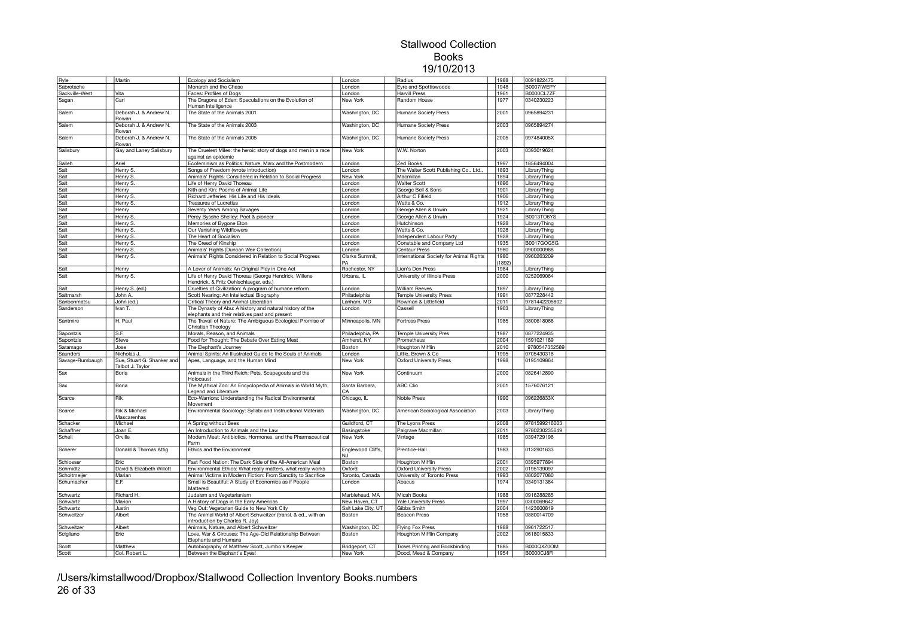| Ryle            | Martin                                         | Ecology and Socialism                                                                                      | London                  | Radius                                  | 1988 | 0091822475        |  |
|-----------------|------------------------------------------------|------------------------------------------------------------------------------------------------------------|-------------------------|-----------------------------------------|------|-------------------|--|
| Sabretache      |                                                | Monarch and the Chase                                                                                      | London                  | Eyre and Spottiswoode                   | 1948 | B0007IWEPY        |  |
| Sackville-West  | Vita                                           | Faces: Profiles of Dogs                                                                                    | London                  | <b>Harvill Press</b>                    | 1961 | <b>B0000CL7ZF</b> |  |
| Sagan           | Carl                                           | The Dragons of Eden: Speculations on the Evolution of<br>Human Intelligence                                | New York                | Random House                            | 1977 | 0340230223        |  |
| Salem           | Deborah J. & Andrew N.<br>Rowan                | The State of the Animals 2001                                                                              | Washington, DC          | <b>Humane Society Press</b>             | 2001 | 0965894231        |  |
| Salem           | Deborah J. & Andrew N.<br>Rowan                | The State of the Animals 2003                                                                              | Washington, DC          | <b>Humane Society Press</b>             | 2003 | 0965894274        |  |
| Salem           | Deborah J. & Andrew N.                         | The State of the Animals 2005                                                                              | Washington, DC          | Humane Society Press                    | 2005 | 097484005X        |  |
| Salisbury       | Rowan<br>Gay and Laney Salisbury               | The Cruelest Miles: the heroic story of dogs and men in a race                                             | New York                | W.W. Norton                             | 2003 | 0393019624        |  |
|                 |                                                | against an epidemic                                                                                        |                         |                                         |      |                   |  |
| Salleh          | Ariel                                          | Ecofeminism as Politics: Nature, Marx and the Postmodern                                                   | London                  | <b>Zed Books</b>                        | 1997 | 1856494004        |  |
| Salt            | Henry S.                                       | Songs of Freedom (wrote introduction)                                                                      | London                  | The Walter Scott Publishing Co., Ltd.,  | 1893 | LibraryThing      |  |
| Salt            | Henry S.                                       | Animals' Rights: Considered in Relation to Social Progress                                                 | New York                | Macmillan                               | 1894 | LibraryThing      |  |
| Salt            | Henry S.                                       | Life of Henry David Thoreau                                                                                | London                  | <b>Walter Scott</b>                     | 1896 | LibraryThing      |  |
| Salt            | Henry                                          | Kith and Kin: Poems of Animal Life                                                                         | London                  | George Bell & Sons                      | 1901 | LibraryThing      |  |
| Salt            | Henry S.                                       | Richard Jefferies: His Life and His Ideals                                                                 | London                  | Arthur C Fifield                        | 1906 | LibraryThing      |  |
| Salt            | Henry S.                                       | Treasures of Lucretius                                                                                     | London                  | Watts & Co.                             | 1912 | LibraryThing      |  |
| Salt            | Henry                                          | Seventy Years Among Savages                                                                                | London                  | George Allen & Unwin                    | 1921 | LibraryThing      |  |
| Salt            | Henry S.                                       | Percy Bysshe Shelley: Poet & pioneer                                                                       | London                  | George Allen & Unwin                    | 1924 | B0013TO6YS        |  |
| Salt            | Henry S.                                       | Memories of Bygone Eton                                                                                    | London                  | Hutchinson                              | 1928 | LibraryThing      |  |
| Salt            | Henry S.                                       | Our Vanishing Wildflowers                                                                                  | London                  | Watts & Co.                             | 1928 | LibraryThing      |  |
| Salt            | Henry S.                                       | The Heart of Socialism                                                                                     | London                  | Independent Labour Party                | 1928 | LibraryThing      |  |
| Salt            | Henry S.                                       | The Creed of Kinship                                                                                       | London                  | Constable and Company Ltd               | 1935 | B0017GOG5G        |  |
| Salt            | Henry S.                                       | Animals' Rights (Duncan Weir Collection)                                                                   | London                  | Centaur Press                           | 1980 | 0900000988        |  |
| Salt            | Henry S.                                       | Animals' Rights Considered in Relation to Social Progress                                                  | Clarks Summit,          | International Society for Animal Rights | 1980 | 0960263209        |  |
|                 |                                                |                                                                                                            | PΔ                      |                                         | 1892 |                   |  |
|                 |                                                |                                                                                                            |                         | Lion's Den Press                        | 1984 |                   |  |
| Salt            | Henry                                          | A Lover of Animals: An Original Play in One Act                                                            | Rochester, NY           |                                         |      | LibraryThing      |  |
| Salt            | Henry S.                                       | Life of Henry David Thoreau (George Hendrick, Willene                                                      | Urbana, IL              | University of Illinois Press            | 2000 | 0252069064        |  |
|                 |                                                | Hendrick, & Fritz Oehlschlaeger, eds.)                                                                     |                         |                                         |      |                   |  |
| Salt            | Henry S. (ed.)                                 | Cruelties of Civilization: A program of humane reform                                                      | London                  | <b>William Reeves</b>                   | 1897 | LibraryThing      |  |
| Saltmarsh       | John A.                                        | Scott Nearing: An Intellectual Biography                                                                   | Philadelphia            | <b>Temple University Press</b>          | 1991 | 0877228442        |  |
| Sanbonmatsu     | John (ed.)                                     | Critical Theory and Animal Liberation                                                                      | anham, MD               | Rowman & Littlefield                    | 2011 | 9781442205802     |  |
| Sanderson       | Ivan T.                                        | The Dynasty of Abu: A history and natural history of the<br>elephants and their relatives past and present | London                  | Cassell                                 | 1963 | LibraryThing      |  |
| Santmire        | H. Paul                                        | The Travail of Nature: The Ambiguous Ecological Promise of<br>Christian Theology                           | Minneapolis, MN         | <b>Fortress Press</b>                   | 1985 | 0800618068        |  |
| Sapontzis       | S.F.                                           | Morals, Reason, and Animals                                                                                | Philadelphia, PA        | <b>Temple University Pres</b>           | 1987 | 0877224935        |  |
| Sapontzis       | <b>Steve</b>                                   | Food for Thought: The Debate Over Eating Meat                                                              | Amherst, NY             | Prometheus                              | 2004 | 1591021189        |  |
| Saramago        | Jose                                           | The Elephant's Journey                                                                                     | Boston                  | <b>Houghton Mifflin</b>                 | 2010 | 9780547352589     |  |
| Saunders        | Nicholas J.                                    | Animal Spirits: An Illustrated Guide to the Souls of Animals                                               | London                  | Little, Brown & Co                      | 1995 | 0705430316        |  |
| Savage-Rumbaugh | Sue, Stuart G. Shanker and<br>Talbot J. Taylor | Apes, Language, and the Human Mind                                                                         | New York                | <b>Oxford University Press</b>          | 1998 | 0195109864        |  |
| Sax             | Boria                                          | Animals in the Third Reich: Pets, Scapegoats and the<br>Holocaust                                          | New York                | Continuum                               | 2000 | 0826412890        |  |
| Sax             | Boria                                          | The Mythical Zoo: An Encyclopedia of Animals in World Myth,<br>Legend and Literature                       | Santa Barbara,<br>CA    | <b>ABC Clio</b>                         | 2001 | 1576076121        |  |
| Scarce          | Rik                                            | Eco-Warriors: Understanding the Radical Environmental<br>Movement                                          | Chicago, IL             | <b>Noble Press</b>                      | 1990 | 096226833X        |  |
| Scarce          | Rik & Michael<br>Mascarenhas                   | Environmental Sociology: Syllabi and Instructional Materials                                               | Washington, DC          | American Sociological Association       | 2003 | LibraryThing      |  |
| Schacker        | Michael                                        | A Spring without Bees                                                                                      | Guildford, CT           | The Lyons Press                         | 2008 | 9781599216003     |  |
| Schaffner       | Joan E.                                        | An Introduction to Animals and the Law                                                                     | Basingstoke             | Palgrave Macmillan                      | 2011 | 9780230235649     |  |
| Schell          | Orville                                        | Modern Meat: Antibiotics, Hormones, and the Pharmaceutical<br>Farm                                         | New York                | Vintage                                 | 1985 | 0394729196        |  |
| Scherer         | Donald & Thomas Attig                          | Ethics and the Environment                                                                                 | Englewood Cliffs,<br>NJ | Prentice-Hall                           | 1983 | 0132901633        |  |
| Schlosser       | Eric                                           | Fast Food Nation: The Dark Side of the All-American Meal                                                   | Boston                  | Houghton Mifflin                        | 2001 | 0395977894        |  |
| Schmidtz        | David & Elizabeth Willott                      | Environmental Ethics: What really matters, what really works                                               | Oxford                  | <b>Oxford University Press</b>          | 2002 | 0195139097        |  |
| Scholtmeijer    | Marian                                         | Animal Victims in Modern Fiction: From Sanctity to Sacrifice                                               | Toronto, Canada         | University of Toronto Press             | 1993 | 0802077080        |  |
| Schumacher      | E.F.                                           | Small is Beautiful: A Study of Economics as if People<br>Mattered                                          | London                  | Abacus                                  | 1974 | 0349131384        |  |
| Schwartz        | Richard H.                                     | Judaism and Vegetarianism                                                                                  | Marblehead, MA          | <b>Micah Books</b>                      | 1988 | 0916288285        |  |
| Schwartz        | Marion                                         | A History of Dogs in the Early Americas                                                                    | New Haven, CT           | Yale University Press                   | 1997 | 0300069642        |  |
| Schwartz        | Justin                                         | Veg Out: Vegetarian Guide to New York City                                                                 | Salt Lake City, UT      | Gibbs Smith                             | 2004 | 1423600819        |  |
| Schweitzer      | Albert                                         | The Animal World of Albert Schweitzer (transl. & ed., with an                                              | Boston                  | <b>Beacon Press</b>                     | 1958 | 0880014709        |  |
|                 |                                                | introduction by Charles R. Joy)                                                                            |                         |                                         |      |                   |  |
| Schweitzer      | Albert                                         | Animals, Nature, and Albert Schweitzer                                                                     | Washington, DC          | <b>Flying Fox Press</b>                 | 1988 | 0961722517        |  |
| Scigliano       | Eric                                           | Love, War & Circuses: The Age-Old Relationship Between                                                     | Boston                  | <b>Houghton Mifflin Company</b>         | 2002 | 0618015833        |  |
|                 |                                                | Elephants and Humans                                                                                       |                         |                                         |      |                   |  |
| Scott           | Matthew                                        | Autobiography of Matthew Scott, Jumbo's Keeper                                                             | Bridgeport, CT          | Trows Printing and Bookbinding          | 1885 | B000QXZ0OM        |  |
| Scott           | Col. Robert L                                  | Between the Elephant's Eyes!                                                                               | New York                | Dood, Mead & Company                    | 1954 | B0000CJ8FI        |  |

/Users/kimstallwood/Dropbox/Stallwood Collection Inventory Books.numbers 26 of 33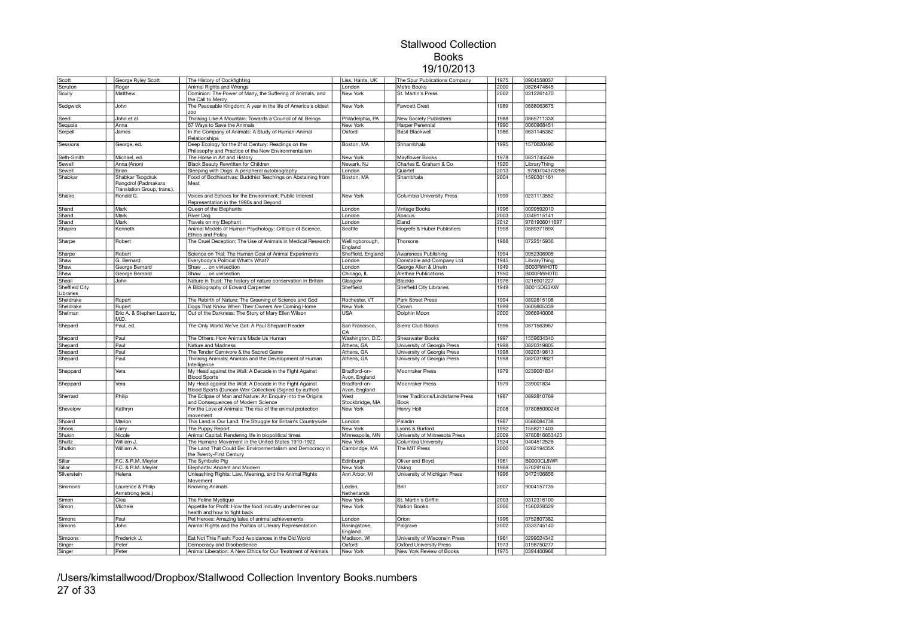| Scott          | George Ryley Scott          | The History of Cockfighting                                    | Liss, Hants, UK    | The Spur Publications Company      | 1975 | 0904558037    |  |
|----------------|-----------------------------|----------------------------------------------------------------|--------------------|------------------------------------|------|---------------|--|
| Scruton        | Roger                       | Animal Rights and Wrongs                                       | London             | Metro Books                        | 2000 | 0826474845    |  |
| Scully         | Matthew                     | Dominion: The Power of Many, the Suffering of Animals, and     | New York           | St. Martin's Press                 | 2002 | 0312261470    |  |
|                |                             | the Call to Mercy                                              |                    |                                    |      |               |  |
|                |                             |                                                                | New York           | Fawcett Crest                      | 1989 | 0688063675    |  |
| Sedgwick       | John                        | The Peaceable Kingdom: A year in the life of America's oldest  |                    |                                    |      |               |  |
|                |                             | zoo                                                            |                    |                                    |      |               |  |
| Seed           | John et al                  | Thinking Like A Mountain: Towards a Council of All Beings      | Philadelphia, PA   | <b>New Society Publishers</b>      | 1988 | 086571133X    |  |
| Sequoia        | Anna                        | 67 Ways to Save the Animals                                    | New York           | Harper Perennial                   | 1990 | 0060968451    |  |
| Serpell        | James                       | In the Company of Animals: A Study of Human-Animal             | Oxford             | <b>Basil Blackwell</b>             | 1986 | 0631145362    |  |
|                |                             | Relationships                                                  |                    |                                    |      |               |  |
| Sessions       | George, ed.                 | Deep Ecology for the 21st Century: Readings on the             | Boston, MA         | Shhambhala                         | 1995 | 1570620490    |  |
|                |                             | Philosophy and Practice of the New Environmentalism            |                    |                                    |      |               |  |
|                |                             |                                                                |                    |                                    |      |               |  |
| Seth-Smith     | Michael, ed.                | The Horse in Art and History                                   | New York           | Mayflower Books                    | 1978 | 0831745509    |  |
| Sewell         | Anna (Anon)                 | Black Beauty Rewritten for Children                            | Newark, NJ         | Charles E. Graham & Co             | 1920 | LibraryThing  |  |
| Sewell         | Brian                       | Sleeping with Dogs: A peripheral autobiography                 | London             | Quartet                            | 2013 | 9780704373259 |  |
| Shabkar        | Shabkar Tsogdruk            | Food of Bodhisattvas: Buddhist Teachings on Abstaining from    | Boston, MA         | Shambhala                          | 2004 | 1590301161    |  |
|                | Rangdrol (Padmakara         | Meat                                                           |                    |                                    |      |               |  |
|                | Translation Group, trans.). |                                                                |                    |                                    |      |               |  |
|                |                             |                                                                |                    |                                    |      |               |  |
| Shaiko         | Ronald G.                   | Voices and Echoes for the Environment: Public Interest         | New York           | Columbia University Press          | 1999 | 0231113552    |  |
|                |                             | Representation in the 1990s and Beyond                         |                    |                                    |      |               |  |
| Shand          | Mark                        | Queen of the Elephants                                         | London             | Vintage Books                      | 1996 | 0099592010    |  |
| Shand          | Mark                        | River Dog                                                      | London             | Abacus                             | 2003 | 0349115141    |  |
| Shand          | Mark                        | Travels on my Elephant                                         | London             | Eland                              | 2012 | 9781906011697 |  |
| Shapiro        | Kenneth                     | Animal Models of Human Psychology: Critique of Science,        | Seattle            | Hogrefe & Huber Publishers         | 1998 | 088937189X    |  |
|                |                             |                                                                |                    |                                    |      |               |  |
|                |                             | <b>Ethics and Policy</b>                                       |                    |                                    |      |               |  |
| Sharpe         | Robert                      | The Cruel Deception: The Use of Animals in Medical Research    | Wellingborough,    | Thorsons                           | 1988 | 0722515936    |  |
|                |                             |                                                                | England            |                                    |      |               |  |
| Sharpe         | Robert                      | Science on Trial: The Human Cost of Animal Experiments         | Sheffield, England | Awareness Publishing               | 1994 | 0952306905    |  |
| Shaw           | G. Bernard                  | Everybody's Political What's What?                             | London             | Constable and Company Ltd          | 1945 | LibraryThing  |  |
| Shaw           | George Bernard              | Shaw  on vivisection                                           | London             | George Allen & Unwin               | 1949 | B000RWH0T0    |  |
|                |                             |                                                                |                    |                                    |      |               |  |
| Shaw           | George Bernard              | Shaw  on vivisection                                           | Chicago, IL        | Alethea Publications               | 1950 | B000RWH0T0    |  |
| Sheail         | John                        | Nature in Trust: The history of nature conservation in Britain | Glasgow            | Blackie                            | 1976 | 0216901227    |  |
| Sheffield City |                             | A Bibliography of Edward Carpenter                             | Sheffield          | <b>Sheffield City Libraries</b>    | 1949 | B0015DG3KW    |  |
| Libraries      |                             |                                                                |                    |                                    |      |               |  |
| Sheldrake      | Rupert                      | The Rebirth of Nature: The Greening of Science and God         | Rochester, VT      | Park Street Press                  | 1994 | 0892815108    |  |
| Sheldrake      | Rupert                      | Dogs That Know When Their Owners Are Coming Home               | New York           | Crown                              | 1999 | 0609805339    |  |
|                |                             |                                                                |                    |                                    |      |               |  |
| Shelman        | Eric A. & Stephen Lazoritz, | Out of the Darkness: The Story of Mary Ellen Wilson            | <b>USA</b>         | Dolphin Moon                       | 2000 | 0966940008    |  |
|                | M.D.                        |                                                                |                    |                                    |      |               |  |
| Shepard        | Paul, ed.                   | The Only World We've Got: A Paul Shepard Reader                | San Francisco.     | Sierra Club Books                  | 1996 | 0871563967    |  |
|                |                             |                                                                | CA                 |                                    |      |               |  |
| Shepard        | Paul                        | The Others: How Animals Made Us Human                          | Washington, D.C.   | Shearwater Books                   | 1997 | 1559634340    |  |
| Shepard        | Paul                        | Nature and Madness                                             | Athens, GA         | University of Georgia Press        | 1998 | 0820319805    |  |
|                | Paul                        |                                                                |                    |                                    | 1998 | 0820319813    |  |
| Shepard        |                             | The Tender Carnivore & the Sacred Game                         | Athens, GA         | University of Georgia Press        |      |               |  |
| Shepard        | Paul                        | Thinking Animals: Animals and the Development of Human         | Athens, GA         | University of Georgia Press        | 1998 | 0820319821    |  |
|                |                             | Intelligence                                                   |                    |                                    |      |               |  |
| Sheppard       | Vera                        | My Head against the Wall: A Decade in the Fight Against        | Bradford-on-       | Moonraker Press                    | 1979 | 0239001834    |  |
|                |                             | <b>Blood Sports</b>                                            | Avon, England      |                                    |      |               |  |
| Sheppard       | Vera                        | My Head against the Wall: A Decade in the Fight Against        | Bradford-on-       | Moonraker Press                    | 1979 | 239001834     |  |
|                |                             | Blood Sports (Duncan Weir Collection) (Signed by author)       | Avon, England      |                                    |      |               |  |
|                |                             | The Eclipse of Man and Nature: An Enquiry into the Origins     | West               | Inner Traditions/Lindisfarne Press | 1987 | 0892810769    |  |
| Sherrard       | Philip                      |                                                                |                    |                                    |      |               |  |
|                |                             | and Consequences of Modern Science                             | Stockbridge, MA    | Book                               |      |               |  |
| Shevelow       | Kathryn                     | For the Love of Animals: The rise of the animal protection     | New York           | Henry Holt                         | 2008 | 978085090246  |  |
|                |                             | movement                                                       |                    |                                    |      |               |  |
| Shoard         | Marion                      | This Land is Our Land: The Struggle for Britain's Countryside  | London             | Paladin                            | 1987 | 0586084738    |  |
| Shook          | Larry                       | The Puppy Report                                               | <b>New York</b>    | Lyons & Burford                    | 1992 | 1558211403    |  |
| Shukin         | Nicole                      | Animal Capital: Rendering life in biopolitical times           | Minneapolis, MN    | University of Minnesota Press      | 2009 | 9780816653423 |  |
|                |                             |                                                                |                    |                                    |      |               |  |
| Shultz         | William J.                  | The Humane Movement in the United States 1910-1922             | New York           | Columbia University                | 1924 | 0404512526    |  |
| Shutkin        | William A.                  | The Land That Could Be: Environmentalism and Democracy in      | Cambridge, MA      | The MIT Press                      | 2000 | 026219435X    |  |
|                |                             | the Twenty-First Century                                       |                    |                                    |      |               |  |
| Sillar         | F.C. & R.M. Meyler          | The Symbolic Pig                                               | Edinburgh          | Oliver and Boyd                    | 1961 | B0000CL8WR    |  |
| Sillar         | F.C. & R.M. Meyler          | Elephants: Ancient and Modern                                  | New York           | Viking                             | 1968 | 670291676     |  |
| Silverstein    | Helena                      |                                                                | Ann Arbor, MI      |                                    | 1996 | 0472106856    |  |
|                |                             | Unleashing Rights: Law, Meaning, and the Animal Rights         |                    | University of Michigan Press       |      |               |  |
|                |                             | Movement                                                       |                    |                                    |      |               |  |
| Simmons        | Laurence & Philip           | <b>Knowing Animals</b>                                         | Leiden,            | Brill                              | 2007 | 9004157735    |  |
|                | Armstrong (eds.)            |                                                                | Netherlands        |                                    |      |               |  |
| Simon          | Clea                        | The Feline Mystique                                            | New York           | St. Martin's Griffin               | 2003 | 0312316100    |  |
| Simon          | Michele                     | Appetite for Profit: How the food industry undermines our      | New York           | Nation Books                       | 2006 | 1560259329    |  |
|                |                             | health and how to fight back                                   |                    |                                    |      |               |  |
| Simons         | Paul                        | Pet Heroes: Amazing tales of animal achievements               | London             | Orion                              | 1996 | 0752807382    |  |
|                |                             |                                                                |                    |                                    |      |               |  |
| Simons         | John                        | Animal Rights and the Politics of Literary Representation      | Basingstoke,       | Palgrave                           | 2002 | 0333745140    |  |
|                |                             |                                                                | England            |                                    |      |               |  |
| Simoons        | Frederick J.                | Eat Not This Flesh: Food Avoidances in the Old World           | Madison, WI        | University of Wisconsin Press      | 1961 | 0299024342    |  |
| Singer         | Peter                       | Democracy and Disobedience                                     | Oxford             | <b>Oxford University Press</b>     | 1973 | 0198750277    |  |
| Singer         | Peter                       | Animal Liberation: A New Ethics for Our Treatment of Animals   | New York           | New York Review of Books           | 1975 | 0394400968    |  |
|                |                             |                                                                |                    |                                    |      |               |  |

/Users/kimstallwood/Dropbox/Stallwood Collection Inventory Books.numbers 27 of 33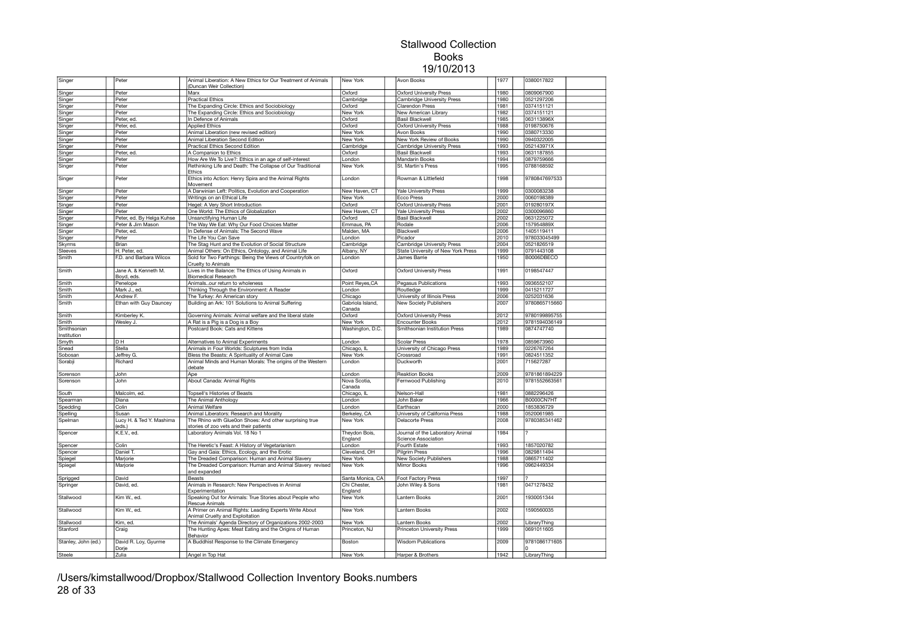| Singer                | Peter                              | Animal Liberation: A New Ethics for Our Treatment of Animals<br>(Duncan Weir Collection)                           | New York                   | Avon Books                                   | 1977         | 0380017822                     |  |
|-----------------------|------------------------------------|--------------------------------------------------------------------------------------------------------------------|----------------------------|----------------------------------------------|--------------|--------------------------------|--|
| Singer                | Peter                              | Marx                                                                                                               | Oxford                     | <b>Oxford University Press</b>               | 1980         | 0809067900                     |  |
| Singer                | Peter                              | <b>Practical Ethics</b>                                                                                            | Cambridge                  | Cambridge University Press                   | 1980         | 0521297206                     |  |
| Singer                | Peter                              | The Expanding Circle: Ethics and Sociobiology                                                                      | Oxford                     | <b>Clarendon Press</b>                       | 1981         | 0374151121                     |  |
| Singer                | Peter                              | The Expanding Circle: Ethics and Sociobiology                                                                      | New York                   | New American Library                         | 1982         | 0374151121                     |  |
| Singer                | Peter, ed.                         | In Defence of Animals                                                                                              | Oxford                     | Basil Blackwell                              | 1985         | 063113896X                     |  |
|                       |                                    | <b>Applied Ethics</b>                                                                                              | Oxford                     | <b>Oxford University Press</b>               | 1988         | 0198750676                     |  |
| Singer                | Peter, ed.                         |                                                                                                                    |                            |                                              |              |                                |  |
| Singer                | Peter                              | Animal Liberation (new revised edition)                                                                            | New York                   | <b>Avon Books</b>                            | 1990         | 0380713330                     |  |
| Singer                | Peter                              | Animal Liberation Second Edition                                                                                   | New York                   | New York Review of Books                     | 1990         | 0940322005                     |  |
| Singer                | Peter                              | Practical Ethics Second Edition                                                                                    | Cambridge                  | Cambridge University Press                   | 1993         | 052143971X                     |  |
| Singer                | Peter, ed.                         | A Companion to Ethics                                                                                              | Oxford                     | <b>Basil Blackwell</b>                       | 1993         | 0631187855                     |  |
| Singer                | Peter                              | How Are We To Live?: Ethics in an age of self-interest                                                             | London                     | Mandarin Books                               | 1994         | 0879759666                     |  |
| Singer                | Peter                              | Rethinking Life and Death: The Collapse of Our Traditional<br><b>Fthics</b>                                        | New York                   | St. Martin's Press                           | 1995         | 0788168592                     |  |
| Singer                | Peter                              | Ethics into Action: Henry Spira and the Animal Rights<br>Movement                                                  | London                     | Rowman & Littlefield                         | 1998         | 9780847697533                  |  |
| Singer                | Peter                              | A Darwinian Left: Politics, Evolution and Cooperation                                                              | New Haven, CT              | <b>Yale University Press</b>                 | 1999         | 0300083238                     |  |
| Singer                | Peter                              | Writings on an Ethical Life                                                                                        | New York                   | Ecco Press                                   | 2000         | 0060198389                     |  |
| Singer                | Peter                              | Hegel: A Very Short Introduction                                                                                   | Oxford                     | <b>Oxford University Press</b>               | 2001         | 019280197X                     |  |
| Singer                | Peter                              | One World: The Ethics of Globalization                                                                             | New Haven, CT              | Yale University Press                        | 2002         | 0300096860                     |  |
| Singer                | Peter, ed. By Helga Kuhse          | Unsanctifying Human Life                                                                                           | Oxford                     | <b>Basil Blackwell</b>                       | 2002         | 0631225072                     |  |
| Singer                | Peter & Jim Mason                  | The Way We Eat: Why Our Food Choices Matter                                                                        | Emmaus, PA                 | Rodale                                       | 2006         | 157954889X                     |  |
| Singer                | Peter, ed.                         | In Defense of Animals: The Second Wave                                                                             | Malden, MA                 | Blackwell                                    | 2006         | 1405119411                     |  |
|                       | Peter                              | The Life You Can Save                                                                                              | London                     | Picador                                      | 2010         | 978033045499                   |  |
| Singer                |                                    |                                                                                                                    |                            |                                              |              |                                |  |
| Skyrms                | Brian                              | The Stag Hunt and the Evolution of Social Structure                                                                | Cambridge                  | Cambridge University Press                   | 2004         | 0521826519                     |  |
| Sleeves               | H. Peter, ed.                      | Animal Others: On Ethics, Ontology, and Animal Life                                                                | Albany, NY                 | State University of New York Press           | 1999         | 0791443108                     |  |
| Smith                 | F.D. and Barbara Wilcox            | Sold for Two Farthings: Being the Views of Countryfolk on<br>Cruelty to Animals                                    | London                     | James Barrie                                 | 1950         | B0006DBECO                     |  |
| Smith                 | Jane A. & Kenneth M.<br>Boyd, eds. | Lives in the Balance: The Ethics of Using Animals in<br><b>Biomedical Research</b>                                 | Oxford                     | <b>Oxford University Press</b>               | 1991         | 0198547447                     |  |
| Smith                 | Penelope                           | Animalsour return to wholeness                                                                                     | Point Reyes, CA            | <b>Pegasus Publications</b>                  | 1993         | 0936552107                     |  |
| Smith                 | Mark J., ed.                       | Thinking Through the Environment: A Reader                                                                         | London                     | Routledge                                    | 1999         | 0415211727                     |  |
| Smith                 | Andrew F.                          | The Turkey: An American story                                                                                      | Chicago                    | University of Illinois Press                 | 2006         | 0252031636                     |  |
| Smith                 | Ethan with Guy Dauncey             | Building an Ark: 101 Solutions to Animal Suffering                                                                 | Gabriola Island,<br>Canada | New Society Publishers                       | 2007         | 9780865715660                  |  |
| Smith                 | Kimberley K.                       | Governing Animals: Animal welfare and the liberal state                                                            | Oxford                     | <b>Oxford University Press</b>               | 2012         | 9780199895755                  |  |
| Smith                 | Wesley J.                          | A Rat is a Pig is a Dog is a Boy                                                                                   | New York                   | <b>Encounter Books</b>                       | 2012         | 9781594036149                  |  |
|                       |                                    |                                                                                                                    |                            |                                              |              |                                |  |
| Smithsonian           |                                    | Postcard Book: Cats and Kittens                                                                                    | Washington, D.C.           | Smithsonian Institution Press                | 1989         | 0874747740                     |  |
| Institution           |                                    |                                                                                                                    |                            |                                              |              |                                |  |
| Smyth                 | DН                                 | Alternatives to Animal Experiments                                                                                 | London                     | Scolar Press                                 | 1978         | 0859673960                     |  |
| Snead                 | Stella                             | Animals in Four Worlds: Sculptures from India                                                                      | Chicago, IL                | University of Chicago Press                  | 1989         | 0226767264                     |  |
| Sobosan<br>Sorabji    | Jeffrey G.<br>Richard              | Bless the Beasts: A Spirituality of Animal Care<br>Animal Minds and Human Morals: The origins of the Western       | New York<br>London         | Crossroad<br>Duckworth                       | 1991<br>2001 | 0824511352<br>715627287        |  |
|                       |                                    | debate                                                                                                             |                            |                                              |              |                                |  |
| Sorenson<br>Sorenson  | John<br>John                       | Ape<br>About Canada: Animal Rights                                                                                 | London<br>Nova Scotia.     | <b>Reaktion Books</b><br>Fernwood Publishing | 2009<br>2010 | 9781861894229<br>9781552663561 |  |
|                       |                                    |                                                                                                                    | Canada                     |                                              |              |                                |  |
| South                 | Malcolm, ed.                       | Topsell's Histories of Beasts                                                                                      | Chicago, IL                | Nelson-Hall                                  | 1981         | 0882296426                     |  |
| Spearman              | Diana                              | The Animal Anthology                                                                                               | London                     | John Baker                                   | 1966         | B0000CN7HT                     |  |
| Spedding              | Colin                              | Animal Welfare                                                                                                     | London                     | Earthscan                                    | 2000         | 1853836729                     |  |
| Spelling              | Susan                              | Animal Liberators: Research and Morality                                                                           | Berkeley, CA               | University of California Press               | 1988         | 0520061985                     |  |
| Spelman               | Lucy H. & Ted Y. Mashima<br>(eds.) | The Rhino with Glue0on Shoes: And other surprising true<br>stories of zoo vets and their patients                  | New York                   | <b>Delacorte Press</b>                       | 2008         | 9780385341462                  |  |
| Spencer               | K.E.V., ed.                        | Laboratory Animals Vol. 18 No 1                                                                                    | Theydon Bois,              | Journal of the Laboratory Animal             | 1984         | $\mathcal{P}$                  |  |
|                       |                                    |                                                                                                                    | England                    | Science Association                          |              |                                |  |
| Spencer               | Colin                              | The Heretic's Feast: A History of Vegetarianism                                                                    | London                     | Fourth Estate                                | 1993         | 1857020782                     |  |
| Spencer               | Daniel T.                          | Gay and Gaia: Ethics, Ecology, and the Erotic                                                                      | Cleveland, OH              | <b>Pilgrim Press</b>                         | 1996         | 0829811494                     |  |
| Spiegel               | Marjorie                           | The Dreaded Comparison: Human and Animal Slavery                                                                   | New York                   | New Society Publishers                       | 1988         | 0865711402                     |  |
| Spiegel               | Marjorie                           | The Dreaded Comparison: Human and Animal Slavery revised<br>and expanded                                           | New York                   | Mirror Books                                 | 1996         | 0962449334                     |  |
| Sprigged              | David                              | Beasts                                                                                                             | Santa Monica, CA           | <b>Foot Factory Press</b>                    | 1997         | 7                              |  |
| Springer              | David, ed.                         | Animals in Research: New Perspectives in Animal<br>Experimentation                                                 | Chi Chester,<br>England    | John Wiley & Sons                            | 1981         | 0471278432                     |  |
| Stallwood             | Kim W., ed.                        | Speaking Out for Animals: True Stories about People who<br>Rescue Animals                                          | New York                   | Lantern Books                                | 2001         | 1930051344                     |  |
| Stallwood             | Kim W., ed.                        | A Primer on Animal Rights: Leading Experts Write About                                                             | New York                   | Lantern Books                                | 2002         | 1590560035                     |  |
|                       |                                    | Animal Cruelty and Exploitation                                                                                    |                            |                                              |              |                                |  |
| Stallwood<br>Stanford | Kim, ed.<br>Craig                  | The Animals' Agenda Directory of Organizations 2002-2003<br>The Hunting Apes: Meat Eating and the Origins of Human | New York<br>Princeton, NJ  | Lantern Books<br>Princeton University Press  | 2002<br>1999 | LibraryThing<br>0691011605     |  |
| Stanley, John (ed.)   | David R. Loy, Gyurme               | <b>Behavior</b><br>A Buddhist Response to the Climate Emergency                                                    | Boston                     | Wisdom Publications                          | 2009         | 9781086171605                  |  |
| Steele                | Dorje<br>Zulia                     | Angel in Top Hat                                                                                                   | New York                   | Harper & Brothers                            | 1942         | LibraryThing                   |  |

/Users/kimstallwood/Dropbox/Stallwood Collection Inventory Books.numbers 28 of 33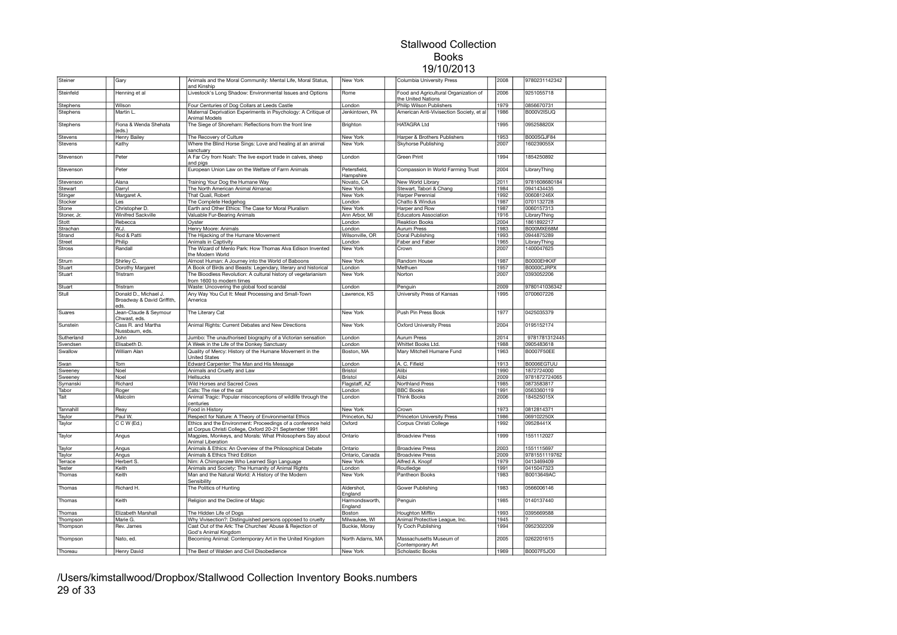| Steiner       | Gary                                                        | Animals and the Moral Community: Mental Life, Moral Status,<br>and Kinship                                             | New York                  | Columbia University Press                                   | 2008 | 9780231142342 |  |
|---------------|-------------------------------------------------------------|------------------------------------------------------------------------------------------------------------------------|---------------------------|-------------------------------------------------------------|------|---------------|--|
| Steinfeld     | Henning et al                                               | Livestock's Long Shadow: Environmental Issues and Options                                                              | Rome                      | Food and Agricultural Organization of<br>the United Nations | 2006 | 9251055718    |  |
| Stephens      | Wilson                                                      | Four Centuries of Dog Collars at Leeds Castle                                                                          | London                    | Philip Wilson Publishers                                    | 1979 | 0856670731    |  |
| Stephens      | Martin L.                                                   | Maternal Deprivation Experiments in Psychology: A Critique of                                                          | Jenkintown, PA            | American Anti-Vivisection Society, et al                    | 1986 | B000V2ISUQ    |  |
|               |                                                             | Animal Models                                                                                                          |                           |                                                             |      |               |  |
| Stephens      | Fiona & Wenda Shehata<br>eds.)                              | The Siege of Shoreham: Reflections from the front line                                                                 | Brighton                  | <b>HATAGRA Ltd</b>                                          | 1995 | 095258820X    |  |
| Stevens       | Henry Bailey                                                | The Recovery of Culture                                                                                                | New York                  | Harper & Brothers Publishers                                | 1953 | B000SGJF84    |  |
| Stevens       | Kathy                                                       | Where the Blind Horse Sings: Love and healing at an animal<br>sanctuary                                                | New York                  | Skyhorse Publishing                                         | 2007 | 160239055X    |  |
| Stevenson     | Peter                                                       | A Far Cry from Noah: The live export trade in calves, sheep<br>and pigs                                                | London                    | <b>Green Print</b>                                          | 1994 | 1854250892    |  |
| Stevenson     | Peter                                                       | European Union Law on the Welfare of Farm Animals                                                                      | Petersfield,<br>Hampshire | Compassion In World Farming Trust                           | 2004 | LibraryThing  |  |
| Stevenson     | Alana                                                       | Training Your Dog the Humane Way                                                                                       | Novato, CA                | New World Library                                           | 2011 | 9781608680184 |  |
| Stewart       | Darryl                                                      | The North American Animal Almanac                                                                                      | <b>New York</b>           | Stewart, Tabori & Chang                                     | 1984 | 0941434435    |  |
| Stinger       | Margaret A.                                                 | That Quail, Robert                                                                                                     | New York                  | Harper Perennial                                            | 1992 | 006081246X    |  |
| Stocker       | Les                                                         | The Complete Hedgehog                                                                                                  | London                    | Chatto & Windus                                             | 1987 | 0701132728    |  |
| Stone         | Christopher D.                                              | Earth and Other Ethics: The Case for Moral Pluralism                                                                   | New York                  | Harper and Row                                              | 1987 | 0060157313    |  |
| Stoner, Jr.   | Winifred Sackville                                          | Valuable Fur-Bearing Animals                                                                                           | Ann Arbor, MI             | <b>Educators Association</b>                                | 1916 | LibraryThing  |  |
| Stott         | Rebecca                                                     | Oyster                                                                                                                 | London                    | <b>Reaktion Books</b>                                       | 2004 | 1861892217    |  |
| Strachan      | W.J.                                                        | Henry Moore: Animals                                                                                                   | London                    | <b>Aurum Press</b>                                          | 1983 | B000MXE68M    |  |
| Strand        | Rod & Patti                                                 | The Hijacking of the Humane Movement                                                                                   | Wilsonville, OR           | Doral Publishing                                            | 1993 | 0944875289    |  |
| Street        | Philip                                                      | Animals in Captivity                                                                                                   | London                    | Faber and Faber                                             | 1965 | LibraryThing  |  |
| <b>Stross</b> | Randall                                                     | The Wizard of Menlo Park: How Thomas Alva Edison Invented<br>the Modern World                                          | New York                  | Crown                                                       | 2007 | 1400047625    |  |
| Strum         | Shirley C.                                                  | Almost Human: A Journey into the World of Baboons                                                                      | New York                  | Random House                                                | 1987 | B0000EHKXF    |  |
| Stuart        | Dorothy Margaret                                            | A Book of Birds and Beasts: Legendary, literary and historical                                                         | London                    | Methuen                                                     | 1957 | B0000CJRPX    |  |
| Stuart        | Tristram                                                    | The Bloodless Revolution: A cultural history of vegetarianism<br>from 1600 to modern times                             | New York                  | Norton                                                      | 2007 | 0393052206    |  |
| Stuart        | Tristram                                                    | Waste: Uncovering the global food scandal                                                                              | London                    | Penguin                                                     | 2009 | 9780141036342 |  |
| Stull         | Donald D., Michael J.<br>Broadway & David Griffith,<br>eds. | Any Way You Cut It: Meat Processing and Small-Town<br>America                                                          | Lawrence, KS              | University Press of Kansas                                  | 1995 | 0700607226    |  |
| Suares        | Jean-Claude & Seymour<br>Chwast, eds.                       | The Literary Cat                                                                                                       | New York                  | Push Pin Press Book                                         | 1977 | 0425035379    |  |
| Sunstein      | Cass R. and Martha<br>Nussbaum, eds.                        | Animal Rights: Current Debates and New Directions                                                                      | New York                  | <b>Oxford University Press</b>                              | 2004 | 0195152174    |  |
| Sutherland    | John                                                        | Jumbo: The unauthorised biography of a Victorian sensation                                                             | London                    | <b>Aurum Press</b>                                          | 2014 | 9781781312445 |  |
| Svendsen      | Elisabeth D.                                                | A Week in the Life of the Donkey Sanctuary                                                                             | London                    | Whittet Books Ltd.                                          | 1988 | 0905483618    |  |
| Swallow       | William Alan                                                | Quality of Mercy: History of the Humane Movement in the<br><b>United States</b>                                        | Boston, MA                | Mary Mitchell Humane Fund                                   | 1963 | B0007F50EE    |  |
| Swan          | Tom                                                         | Edward Carpenter: The Man and His Message                                                                              | London                    | A. C. Fifield                                               | 1913 | B0006EGTUU    |  |
| Sweeney       | Noel                                                        | Animals and Cruelty and Law                                                                                            | <b>Bristol</b>            | Alibi                                                       | 1990 | 1872724000    |  |
| Sweeney       | Noel                                                        | Hellsucks                                                                                                              | <b>Bristol</b>            | Alibi                                                       | 2009 | 9781872724065 |  |
| Symanski      | Richard                                                     | Wild Horses and Sacred Cows                                                                                            | Flagstaff, AZ             | Northland Press                                             | 1985 | 0873583817    |  |
| Tabor         | Roger                                                       | Cats: The rise of the cat                                                                                              | London                    | <b>BBC Books</b>                                            | 1991 | 0563360119    |  |
| Tait          | Malcolm                                                     | Animal Tragic: Popular misconceptions of wildlife through the<br>centuries                                             | London                    | <b>Think Books</b>                                          | 2006 | 184525015X    |  |
| Tannahill     | Reay                                                        | Food in History                                                                                                        | New York                  | Crown                                                       | 1973 | 0812814371    |  |
| Taylor        | Paul W.                                                     | Respect for Nature: A Theory of Environmental Ethics                                                                   | Princeton, NJ             | Princeton University Press                                  | 1986 | 069102250X    |  |
| Taylor        | C C W (Ed.)                                                 | Ethics and the Environment: Proceedings of a conference held<br>at Corpus Christi College, Oxford 20-21 September 1991 | Oxford                    | Corpus Christi College                                      | 1992 | 09528441X     |  |
| Taylor        | Angus                                                       | Magpies, Monkeys, and Morals: What Philosophers Say about<br>Animal Liberation                                         | Ontario                   | <b>Broadview Press</b>                                      | 1999 | 1551112027    |  |
| Taylor        | Angus                                                       | Animals & Ethics: An Overview of the Philosophical Debate                                                              | Ontario                   | <b>Broadview Press</b>                                      | 2003 | 1551115697    |  |
| Taylor        | Angus                                                       | Animals & Ethics Third Edition                                                                                         | Ontario, Canada           | <b>Broadview Press</b>                                      | 2009 | 9781551119762 |  |
| Terrace       | Herbert S.                                                  | Nim: A Chimpanzee Who Learned Sign Language                                                                            | New York                  | Alfred A. Knopf                                             | 1979 | 0413469409    |  |
| Tester        | Keith                                                       | Animals and Society: The Humanity of Animal Rights                                                                     | London                    | Routledge                                                   | 1991 | 0415047323    |  |
| Thomas        | Keith                                                       | Man and the Natural World: A History of the Modern<br>Sensibility                                                      | New York                  | Pantheon Books                                              | 1983 | B0013649AC    |  |
| Thomas        | Richard H.                                                  | The Politics of Hunting                                                                                                | Aldershot,<br>England     | Gower Publishing                                            | 1983 | 0566006146    |  |
| Thomas        | Keith                                                       | Religion and the Decline of Magic                                                                                      | Harmondsworth,<br>England | Penguin                                                     | 1985 | 0140137440    |  |
| Thomas        | Elizabeth Marshall                                          | The Hidden Life of Dogs                                                                                                | Boston                    | Houghton Mifflin                                            | 1993 | 0395669588    |  |
| Thompson      | Marie G                                                     | Why Vivisection?: Distinguished persons opposed to cruelty                                                             | Milwaukee, WI             | Animal Protective League, Inc.                              | 1945 |               |  |
| Thompson      | Rev. James                                                  | Cast Out of the Ark: The Churches' Abuse & Rejection of<br>God's Animal Kingdom                                        | Buckie, Moray             | Ty Coch Publishing                                          | 1994 | 0952302209    |  |
| Thompson      | Nato, ed.                                                   | Becoming Animal: Contemporary Art in the United Kingdom                                                                | North Adams, MA           | Massachusetts Museum of<br>Contemporary Art                 | 2005 | 0262201615    |  |
| Thoreau       | Henry David                                                 | The Best of Walden and Civil Disobedience                                                                              | New York                  | <b>Scholastic Books</b>                                     | 1969 | B0007F5JO0    |  |

/Users/kimstallwood/Dropbox/Stallwood Collection Inventory Books.numbers 29 of 33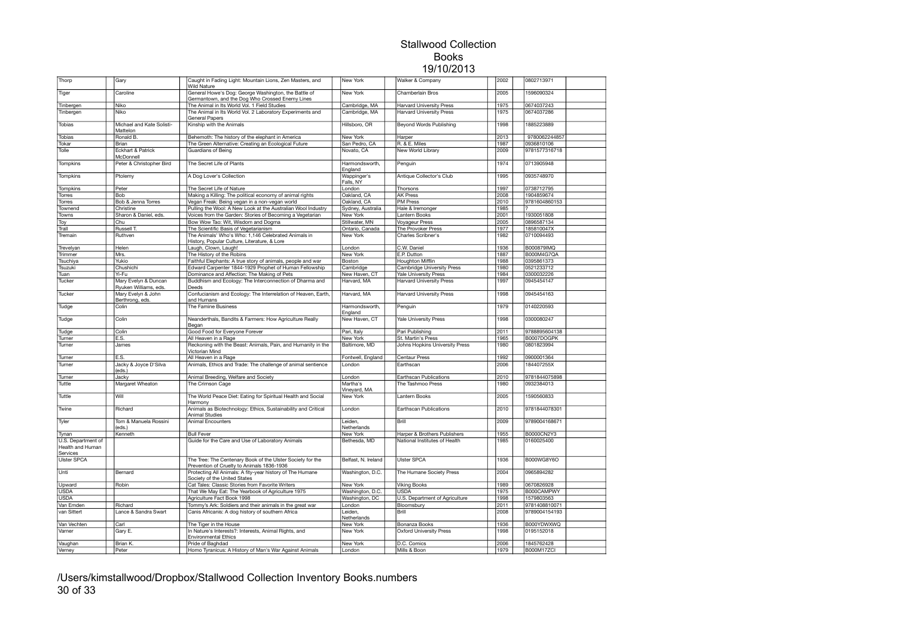| Thorp                                              | Gary                                          | Caught in Fading Light: Mountain Lions, Zen Masters, and<br>Wild Nature                                  | New York                  | Walker & Company                            | 2002         | 0802713971                  |  |
|----------------------------------------------------|-----------------------------------------------|----------------------------------------------------------------------------------------------------------|---------------------------|---------------------------------------------|--------------|-----------------------------|--|
| Tiger                                              | Caroline                                      | General Howe's Dog: George Washington, the Battle of<br>Germantown, and the Dog Who Crossed Enemy Lines  | New York                  | Chamberlain Bros                            | 2005         | 1596090324                  |  |
| Tinbergen                                          | Niko                                          | The Animal in Its World Vol. 1 Field Studies                                                             | Cambridge, MA             | <b>Harvard University Press</b>             | 1975         | 0674037243                  |  |
| Tinbergen                                          | Niko                                          | The Animal in Its World Vol. 2 Laboratory Experiments and<br><b>General Papers</b>                       | Cambridge, MA             | <b>Harvard University Press</b>             | 1975         | 0674037286                  |  |
| Tobias                                             | Michael and Kate Solisti-<br>Mattelon         | Kinship with the Animals                                                                                 | Hillsboro, OR             | Beyond Words Publishing                     | 1998         | 1885223889                  |  |
| <b>Tobias</b>                                      | Ronald B.                                     | Behemoth: The history of the elephant in America                                                         | New York                  | Harper                                      | 2013         | 9780062244857               |  |
| Tokar                                              | Brian                                         | The Green Alternative: Creating an Ecological Future                                                     | San Pedro, CA             | R. & E. Miles                               | 1987         | 0936810106                  |  |
| Tolle                                              | <b>Eckhart &amp; Patrick</b>                  | Guardians of Being                                                                                       | Novato, CA                | New World Library                           | 2009         | 9781577316718               |  |
|                                                    | McDonnell                                     |                                                                                                          |                           |                                             |              |                             |  |
| Tompkins                                           | Peter & Christopher Bird                      | The Secret Life of Plants                                                                                | Harmondsworth,<br>England | Penguin                                     | 1974         | 0713905948                  |  |
| Tompkins                                           | Ptolemy                                       | A Dog Lover's Collection                                                                                 | Wappinger's<br>Falls, NY  | Antique Collector's Club                    | 1995         | 0935748970                  |  |
| Tompkins                                           | Peter                                         | The Secret Life of Nature                                                                                | London                    | Thorsons                                    | 1997         | 0738712795                  |  |
| Torres                                             | Bob                                           | Making a Killing: The political economy of animal rights                                                 | Oakland, CA               | <b>AK Press</b>                             | 2008         | 1904859674                  |  |
| Torres                                             | Bob & Jenna Torres                            | Vegan Freak: Being vegan in a non-vegan world                                                            | Oakland, CA               | <b>PM Press</b>                             | 2010         | 9781604860153               |  |
| Townend                                            | Christine                                     | Pulling the Wool: A New Look at the Australian Wool Industry                                             | Sydney, Australia         | Hale & Iremonger                            | 1985         |                             |  |
| Towns                                              | Sharon & Daniel, eds.                         | Voices from the Garden: Stories of Becoming a Vegetarian                                                 | New York                  | Lantern Books                               | 2001         | 1930051808                  |  |
| Toy                                                | Chu                                           | Bow Wow Tao: Wit, Wisdom and Dogma                                                                       | Stillwater, MN            | <b>Voyageur Press</b>                       | 2005         | 0896587134                  |  |
| Trall                                              | Russell T.                                    | The Scientific Basis of Vegetarianism                                                                    | Ontario, Canada           | The Provoker Press                          | 1977         | 185810047X                  |  |
| Tremain                                            | Ruthven                                       | The Animals' Who's Who: 1,146 Celebrated Animals in                                                      | New York                  | Charles Scribner's                          | 1982         | 0710094493                  |  |
|                                                    |                                               | History, Popular Culture, Literature, & Lore                                                             |                           |                                             |              |                             |  |
| Trevelyan                                          | Helen                                         | Laugh, Clown, Laugh!                                                                                     | London                    | C.W. Daniel                                 | 1936         | <b>B000879IMQ</b>           |  |
| Trimmer                                            | Mrs.                                          | The History of the Robins                                                                                | New York                  | E.P. Dutton                                 | 1887         | <b>B000M4G7QA</b>           |  |
| Tsuchiya                                           | Yukio                                         | Faithful Elephants: A true story of animals, people and war                                              | Boston                    | <b>Houghton Mifflin</b>                     | 1988         | 0395861373                  |  |
| Tsuzuki                                            | Chushichi                                     | Edward Carpenter 1844-1929 Prophet of Human Fellowship                                                   | Cambridge                 | Cambridge University Press                  | 1980         | 0521233712                  |  |
| Tuan                                               | Yi-Fu                                         | Dominance and Affection: The Making of Pets                                                              | New Haven, CT             | Yale University Press                       | 1984         | 0300032226                  |  |
| Tucker                                             | Mary Evelyn & Duncan<br>Ryuken Williams, eds. | Buddhism and Ecology: The Interconnection of Dharma and                                                  | Harvard, MA               | <b>Harvard University Press</b>             | 1997         | 0945454147                  |  |
| Tucker                                             | Mary Evelyn & John<br>Berthrong, eds.         | Deeds<br>Confucianism and Ecology: The Interrelation of Heaven, Earth,<br>and Humans                     | Harvard, MA               | <b>Harvard University Press</b>             | 1998         | 0945454163                  |  |
| Tudge                                              | Colin                                         | The Famine Business                                                                                      | Harmondsworth,<br>England | Penguin                                     | 1979         | 0140220593                  |  |
| Tudge                                              | Colin                                         | Neanderthals, Bandits & Farmers: How Agriculture Really<br>Began                                         | New Haven, CT             | <b>Yale University Press</b>                | 1998         | 0300080247                  |  |
| Tudge                                              | Colin                                         | Good Food for Everyone Forever                                                                           | Pari, Italy               | Pari Publishing                             | 2011         | 9788895604138               |  |
| Turner                                             | E.S.                                          | All Heaven in a Rage                                                                                     | New York                  | St. Martin's Press                          | 1965         | B0007DOGPK                  |  |
| Turner                                             | James                                         | Reckoning with the Beast: Animals, Pain, and Humanity in the<br>Victorian Mind                           | Baltimore, MD             | Johns Hopkins University Press              | 1980         | 0801823994                  |  |
| Turner                                             | E.S.                                          | All Heaven in a Rage                                                                                     | Fontwell, England         | <b>Centaur Press</b>                        | 1992         | 0900001364                  |  |
| Turner                                             | Jacky & Joyce D'Silva                         | Animals, Ethics and Trade: The challenge of animal sentience                                             | London                    | Earthscan                                   | 2006         | 184407255X                  |  |
|                                                    | (eds.)                                        |                                                                                                          |                           |                                             |              |                             |  |
| Turner<br>Tuttle                                   | Jacky<br>Margaret Wheaton                     | Animal Breeding, Welfare and Society<br>The Crimson Cage                                                 | London<br>Martha's        | Earthscan Publications<br>The Tashmoo Press | 2010<br>1980 | 9781844075898<br>0932384013 |  |
| Tuttle                                             | Will                                          | The World Peace Diet: Eating for Spiritual Health and Social                                             | Vineyard, MA<br>New York  | Lantern Books                               | 2005         | 1590560833                  |  |
| Twine                                              | Richard                                       | Harmony<br>Animals as Biotechnology: Ethics, Sustainability and Critical                                 | London                    | Earthscan Publications                      | 2010         | 9781844078301               |  |
|                                                    |                                               | Animal Studies                                                                                           |                           |                                             |              |                             |  |
| Tyler                                              | Tom & Manuela Rossini<br>(eds.)               | <b>Animal Encounters</b>                                                                                 | Leiden,<br>Netherlands    | Brill                                       | 2009         | 9789004168671               |  |
| Tynan                                              | Kenneth                                       | <b>Bull Fever</b>                                                                                        | New York                  | Harper & Brothers Publishers                | 1955         | B0000CN2Y3                  |  |
| U.S. Department of<br>Health and Human<br>Services |                                               | Guide for the Care and Use of Laboratory Animals                                                         | Bethesda, MD              | National Institutes of Health               | 1985         | 0160025400                  |  |
| Ulster SPCA                                        |                                               | The Tree: The Centenary Book of the Ulster Society for the<br>Prevention of Cruelty to Animals 1836-1936 | Belfast, N. Ireland       | <b>Ulster SPCA</b>                          | 1936         | <b>B000WG8Y6O</b>           |  |
| Unti                                               | Bernard                                       | Protecting All Animals: A fity-year history of The Humane<br>Society of the United States                | Washington, D.C.          | The Humane Society Press                    | 2004         | 0965894282                  |  |
| Upward                                             | Robin                                         | Cat Tales: Classic Stories from Favorite Writers                                                         | New York                  | <b>Viking Books</b>                         | 1989         | 0670826928                  |  |
|                                                    |                                               | That We May Eat: The Yearbook of Agriculture 1975                                                        |                           |                                             | 1975         | B000CAMPWY                  |  |
| <b>USDA</b>                                        |                                               |                                                                                                          | Washington, D.C.          | <b>USDA</b>                                 |              |                             |  |
| <b>USDA</b>                                        |                                               | Agriculture Fact Book 1998                                                                               | Washington, DC            | U.S. Department of Agriculture              | 1998         | 1579803563                  |  |
| Van Emden                                          | Richard                                       | Tommy's Ark: Soldiers and their animals in the great war                                                 | London                    | Bloomsbury                                  | 2011         | 9781408810071               |  |
| van Sittert                                        | Lance & Sandra Swart                          | Canis Africanis: A dog history of southern Africa                                                        | Leiden,<br>Netherlands    | Brill                                       | 2008         | 9789004154193               |  |
| Van Vechten                                        | Carl                                          | The Tiger in the House                                                                                   | New York                  | Bonanza Books                               | 1936         | B000YDWXWQ                  |  |
| Varner                                             | Gary E.                                       | In Nature's Interests?: Interests, Animal Rights, and<br><b>Environmental Ethics</b>                     | New York                  | <b>Oxford University Press</b>              | 1998         | 0195152018                  |  |
|                                                    | Brian K                                       |                                                                                                          |                           | D.C. Comics                                 | 2006         | 1845762428                  |  |
| Vaughan                                            |                                               | Pride of Baghdad                                                                                         | New York                  |                                             |              |                             |  |
| Verney                                             | Peter                                         | Homo Tyranicus: A History of Man's War Against Animals                                                   | London                    | Mills & Boon                                | 1979         | B000M17ZCI                  |  |

/Users/kimstallwood/Dropbox/Stallwood Collection Inventory Books.numbers 30 of 33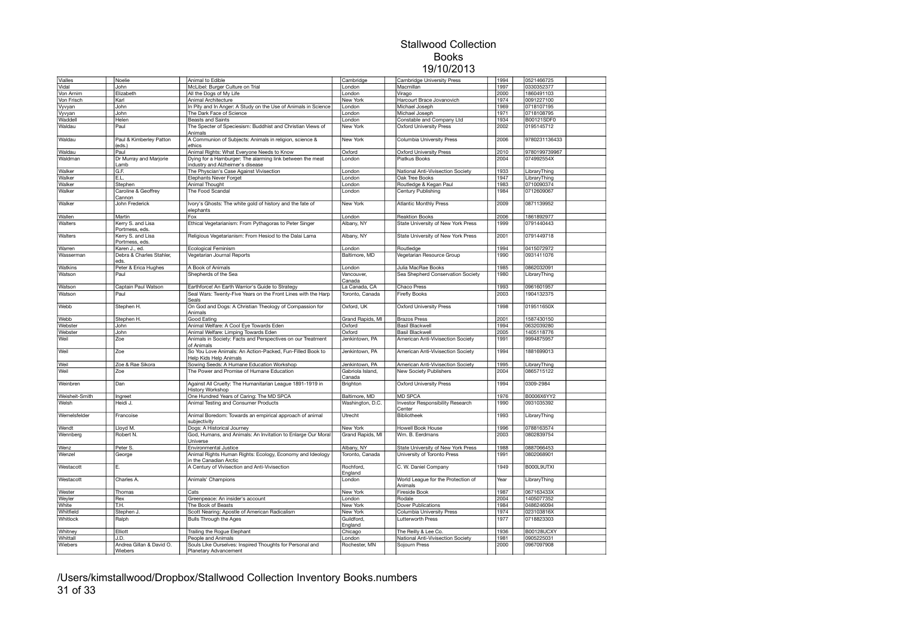| Vialles        | Noelie                              | Animal to Edible                                                                              | Cambridge                  | Cambridge University Press                    | 1994 | 0521466725        |  |
|----------------|-------------------------------------|-----------------------------------------------------------------------------------------------|----------------------------|-----------------------------------------------|------|-------------------|--|
| Vidal          | John                                | McLibel: Burger Culture on Trial                                                              | London                     | Macmillan                                     | 1997 | 0330352377        |  |
| Von Arnim      | Elizabeth                           | All the Dogs of My Life                                                                       | London                     | Virago                                        | 2000 | 1860491103        |  |
| Von Frisch     | Karl                                | Animal Architecture                                                                           | New York                   | Harcourt Brace Jovanovich                     | 1974 | 0091227100        |  |
| Vyvyan         | John                                | In Pity and In Anger: A Study on the Use of Animals in Science                                | London                     | Michael Joseph                                | 1969 | 0718107195        |  |
| Vyvyan         | John                                | The Dark Face of Science                                                                      | London                     | Michael Joseph                                | 1971 | 0718108795        |  |
| Waddell        | Helen                               | <b>Beasts and Saints</b>                                                                      | London                     | Constable and Company Ltd                     | 1934 | <b>B00121SDF0</b> |  |
| Waldau         | Paul                                | The Specter of Speciesism: Buddhist and Christian Views of<br>Animals                         | New York                   | <b>Oxford University Press</b>                | 2002 | 0195145712        |  |
| Waldau         | Paul & Kimberley Patton<br>(eds.)   | A Communion of Subjects: Animals in religion, science &<br>ethics                             | New York                   | Columbia University Press                     | 2006 | 9780231136433     |  |
| Waldau         | Paul                                | Animal Rights: What Everyone Needs to Know                                                    | Oxford                     | <b>Oxford University Press</b>                | 2010 | 9780199739967     |  |
| Waldman        | Dr Murray and Marjorie<br>Lamb      | Dying for a Hamburger: The alarming link between the meat<br>industry and Alzheimer's disease | London                     | Piatkus Books                                 | 2004 | 074992554X        |  |
| Walker         | G.F.                                | The Physcian's Case Against Vivisection                                                       | London                     | National Anti-Vivisection Society             | 1933 | LibraryThing      |  |
| Walker         | E.L                                 | <b>Elephants Never Forget</b>                                                                 | London                     | Oak Tree Books                                | 1947 | LibraryThing      |  |
| Walker         | Stephen                             | Animal Thought                                                                                | London                     | Routledge & Kegan Paul                        | 1983 | 0710090374        |  |
| Walker         | Caroline & Geoffrey<br>Cannon       | The Food Scandal                                                                              | London                     | Century Publishing                            | 1984 | 0712609067        |  |
| Walker         | John Frederick                      | Ivory's Ghosts: The white gold of history and the fate of<br>elephants                        | New York                   | <b>Atlantic Monthly Press</b>                 | 2009 | 0871139952        |  |
| Wallen         | Martin                              | Fox                                                                                           | London                     | <b>Reaktion Books</b>                         | 2006 | 1861892977        |  |
| Walters        | Kerry S. and Lisa<br>Portmess, eds. | Ethical Vegetarianism: From Pythagoras to Peter Singer                                        | Albany, NY                 | State University of New York Press            | 1999 | 0791440443        |  |
| Walters        | Kerry S. and Lisa<br>Portmess, eds. | Religious Vegetarianism: From Hesiod to the Dalai Lama                                        | Albany, NY                 | State University of New York Press            | 2001 | 0791449718        |  |
| Warren         | Karen J., ed.                       | Ecological Feminism                                                                           | London                     | Routledge                                     | 1994 | 0415072972        |  |
| Wasserman      | Debra & Charles Stahler,<br>eds.    | Vegetarian Journal Reports                                                                    | Baltimore, MD              | Vegetarian Resource Group                     | 1990 | 0931411076        |  |
| Watkins        | Peter & Erica Hughes                | A Book of Animals                                                                             | London                     | Julia MacRae Books                            | 1985 | 0862032091        |  |
| Watson         | Paul                                | Shepherds of the Sea                                                                          | Vancouver.<br>Canada       | Sea Shepherd Conservation Society             | 1980 | LibraryThing      |  |
| Watson         | Captain Paul Watson                 | Earthforce! An Earth Warrior's Guide to Strategy                                              | La Canada, CA              | <b>Chaco Press</b>                            | 1993 | 0961601957        |  |
| Watson         | Paul                                | Seal Wars: Twenty-Five Years on the Front Lines with the Harp<br>Seals                        | Toronto, Canada            | <b>Firefly Books</b>                          | 2003 | 1904132375        |  |
| Webb           | Stephen H.                          | On God and Dogs: A Christian Theology of Compassion for                                       | Oxford, UK                 | <b>Oxford University Press</b>                | 1998 | 019511650X        |  |
| Webb           | Stephen H.                          | Animals<br>Good Eating                                                                        | Grand Rapids, MI           | <b>Brazos Press</b>                           | 2001 | 1587430150        |  |
| Webster        | John                                | Animal Welfare: A Cool Eye Towards Eden                                                       | Oxford                     | <b>Basil Blackwell</b>                        | 1994 | 0632039280        |  |
| Webster        | John                                | Animal Welfare: Limping Towards Eden                                                          | Oxford                     | <b>Basil Blackwell</b>                        | 2005 | 1405118776        |  |
| Weil           | Zoe                                 | Animals in Society: Facts and Perspectives on our Treatment                                   | Jenkintown, PA             | American Anti-Vivisection Society             | 1991 | 9994875957        |  |
|                |                                     | of Animals                                                                                    |                            |                                               |      |                   |  |
| Weil           | Zoe                                 | So You Love Animals: An Action-Packed, Fun-Filled Book to<br>Help Kids Help Animals           | Jenkintown, PA             | American Anti-Vivisection Society             | 1994 | 1881699013        |  |
| Weil           | Zoe & Rae Sikora                    | Sowing Seeds: A Humane Education Workshop                                                     | Jenkintown, PA             | American Anti-Vivisection Society             | 1995 | LibraryThing      |  |
| Weil           | Zoe                                 | The Power and Promise of Humane Education                                                     | Gabriola Island,<br>Canada | New Society Publishers                        | 2004 | 0865715122        |  |
| Weinbren       | Dan                                 | Against All Cruelty: The Humanitarian League 1891-1919 in<br><b>History Workshop</b>          | Brighton                   | <b>Oxford University Press</b>                | 1994 | 0309-2984         |  |
| Weisheit-Smith | Ingreet                             | One Hundred Years of Caring: The MD SPCA                                                      | Baltimore, MD              | <b>MD SPCA</b>                                | 1976 | B0006X6YY2        |  |
| Welsh          | Heidi J.                            | Animal Testing and Consumer Products                                                          | Washington, D.C.           | Investor Responsibility Research<br>Center    | 1990 | 0931035392        |  |
| Wemelsfelder   | Francoise                           | Animal Boredom: Towards an empirical approach of animal<br>subjectivity                       | Utrecht                    | Bibliotheek                                   | 1993 | LibraryThing      |  |
| Wendt          | Lloyd M                             | Dogs: A Historical Journey                                                                    | New York                   | Howell Book House                             | 1996 | 0788163574        |  |
| Wennberg       | Robert N.                           | God, Humans, and Animals: An Invitation to Enlarge Our Moral<br>Universe                      | Grand Rapids, MI           | Wm. B. Eerdmans                               | 2003 | 0802839754        |  |
| Wenz           | Peter S                             | Environmental Justice                                                                         | Albany, NY                 | State University of New York Press            | 1988 | 0887066453        |  |
| Wenzel         | George                              | Animal Rights Human Rights: Ecology, Economy and Ideology<br>in the Canadian Arctic           | Toronto, Canada            | University of Toronto Press                   | 1991 | 0802068901        |  |
| Westacott      | F.                                  | A Century of Vivisection and Anti-Vivisection                                                 | Rochford,<br>England       | C. W. Daniel Company                          | 1949 | B000L9UTXI        |  |
| Westacott      | Charles A.                          | Animals' Champions                                                                            | London                     | World League for the Protection of<br>Animals | Year | LibraryThing      |  |
| Wester         | Thomas                              | Cats                                                                                          | New York                   | Fireside Book                                 | 1987 | 067163433X        |  |
| Weyler         | Rex                                 | Greenpeace: An insider's account                                                              | London                     | Rodale                                        | 2004 | 1405077352        |  |
| White          | T.H.                                | The Book of Beasts                                                                            | New York                   | <b>Dover Publications</b>                     | 1984 | 0486246094        |  |
| Whitfield      | Stephen J.                          | Scott Nearing: Apostle of American Radicalism                                                 | New York                   | Columbia University Press                     | 1974 | 023103816X        |  |
| Whitlock       | Ralph                               | Bulls Through the Ages                                                                        | Guildford,<br>England      | Lutterworth Press                             | 1977 | 0718823303        |  |
| Whitney        | Elliott                             | Trailing the Rogue Elephant                                                                   | Chicago                    | The Reilly & Lee Co.                          | 1936 | B00128UCXY        |  |
| Whittall       | J.D.                                | People and Animals                                                                            | London                     | National Anti-Vivisection Society             | 1981 | 0905225031        |  |
| Wiebers        | Andrea Gillan & David O.            | Souls Like Ourselves: Inspired Thoughts for Personal and                                      | Rochester, MN              | Sojourn Press                                 | 2000 | 0967097908        |  |
|                | Wiebers                             | Planetary Advancement                                                                         |                            |                                               |      |                   |  |

/Users/kimstallwood/Dropbox/Stallwood Collection Inventory Books.numbers 31 of 33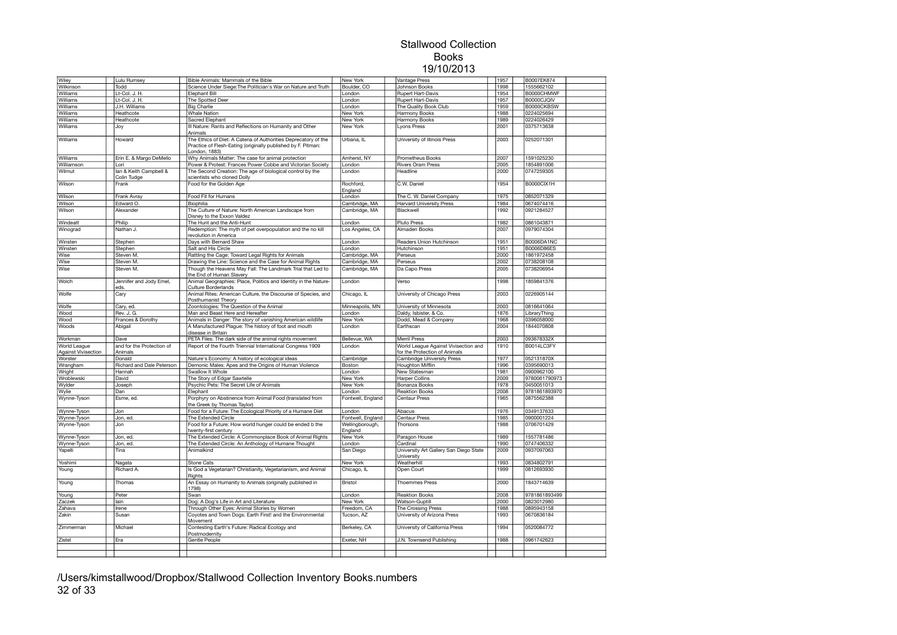| Wiley                          | Lulu Rumsey                           | Bible Animals: Mammals of the Bible                                                                                                       | New York                   | Vantage Press                                               | 1957 | B0007EK874        |  |
|--------------------------------|---------------------------------------|-------------------------------------------------------------------------------------------------------------------------------------------|----------------------------|-------------------------------------------------------------|------|-------------------|--|
| Wilkinson                      | Todd                                  | Science Under Siege: The Politician's War on Nature and Truth                                                                             | Boulder, CO                | Johnson Books                                               | 1998 | 1555662102        |  |
| Williams                       | Lt-Col. J. H.                         | Elephant Bill                                                                                                                             | London                     | Rupert Hart-Davis                                           | 1954 | B0000CHMWF        |  |
| Williams                       | Lt-Col. J. H.                         | The Spotted Deer                                                                                                                          | London                     | Rupert Hart-Davis                                           | 1957 | B0000CJQIV        |  |
| Williams                       | J.H. Williams                         | <b>Big Charlie</b>                                                                                                                        | London                     | The Quality Book Club                                       | 1959 | B0000CKBSW        |  |
| Williams                       | Heathcote                             | <b>Whale Nation</b>                                                                                                                       | New York                   | Harmony Books                                               | 1988 | 0224025694        |  |
| Williams                       | Heathcote                             | Sacred Elephant                                                                                                                           | New York                   | Harmony Books                                               | 1989 | 0224026429        |  |
| Williams                       | Joy                                   | Ill Nature: Rants and Reflections on Humanity and Other                                                                                   | New York                   | Lyons Press                                                 | 2001 | 0375713638        |  |
| Williams                       | Howard                                | Animals<br>The Ethics of Diet: A Catena of Authorities Deprecatory of the<br>Practice of Flesh-Eating (originally published by F. Pitman: | Urbana, IL                 | University of Illinois Press                                | 2003 | 0252071301        |  |
|                                |                                       | London, 1883)                                                                                                                             |                            |                                                             |      |                   |  |
| Williams                       | Erin E. & Margo DeMello               | Why Animals Matter: The case for animal protection                                                                                        | Amherst, NY                | <b>Prometheus Books</b>                                     | 2007 | 1591025230        |  |
| Williamson                     | Lori                                  | Power & Protest: Frances Power Cobbe and Victorian Society                                                                                | London                     | <b>Rivers Oram Press</b>                                    | 2005 | 1854891006        |  |
| Wilmut                         | lan & Keith Campbell &<br>Colin Tudge | The Second Creation: The age of biological control by the<br>scientists who cloned Dolly                                                  | London                     | Headline                                                    | 2000 | 0747259305        |  |
| Wilson                         | Frank                                 | Food for the Golden Age                                                                                                                   | Rochford.<br>England       | C.W. Daniel                                                 | 1954 | B0000CIX1H        |  |
| Wilson                         | Frank Avray                           | Food Fit for Humans                                                                                                                       | London                     | The C. W. Daniel Company                                    | 1975 | 0852071329        |  |
| Wilson                         | Edward O.                             | Biophilia                                                                                                                                 | Cambridge, MA              | <b>Harvard University Press</b>                             | 1984 | 0674074416        |  |
| Wilson                         | Alexander                             | The Culture of Nature: North American Landscape from<br>Disney to the Exxon Valdez                                                        | Cambridge, MA              | Blackwell                                                   | 1992 | 0921284527        |  |
| Windeatt                       | Philip                                | The Hunt and the Anti-Hunt                                                                                                                | London                     | <b>Pluto Press</b>                                          | 1982 | 0861043871        |  |
| Winograd                       | Nathan J.                             | Redemption: The myth of pet overpopulation and the no kill<br>revolution in America                                                       | Los Angeles, CA            | Almaden Books                                               | 2007 | 0979074304        |  |
| Winsten                        | Stephen                               | Days with Bernard Shaw                                                                                                                    | London                     | Readers Union Hutchinson                                    | 1951 | <b>B0006DA1NC</b> |  |
| Winsten                        | Stephen                               | Salt and His Circle                                                                                                                       | London                     | Hutchinson                                                  | 1951 | B0006D86ES        |  |
| Wise                           | Steven M                              | Rattling the Cage: Toward Legal Rights for Animals                                                                                        | Cambridge, MA              | Perseus                                                     | 2000 | 1861972458        |  |
| Wise                           | Steven M.                             | Drawing the Line: Science and the Case for Animal Rights                                                                                  | Cambridge, MA              | Perseus                                                     | 2002 | 0738208108        |  |
| Wise                           | Steven M.                             | Though the Heavens May Fall: The Landmark Trial that Led to<br>the End of Human Slavery                                                   | Cambridge, MA              | Da Capo Press                                               | 2005 | 0738206954        |  |
| Wolch                          | Jennifer and Jody Emel,<br>eds.       | Animal Geographies: Place, Politics and Identity in the Nature-<br>Culture Borderlands                                                    | London                     | Verso                                                       | 1998 | 1859841376        |  |
| Wolfe                          | Cary                                  | Animal Rites: American Culture, the Discourse of Species, and<br>Posthumanist Theory                                                      | Chicago, IL                | University of Chicago Press                                 | 2003 | 0226905144        |  |
| Wolfe                          | Cary, ed.                             | Zoontologies: The Question of the Animal                                                                                                  | Minneapolis, MN            | University of Minnesota                                     | 2003 | 0816641064        |  |
| Wood                           | Rev. J. G.                            | Man and Beast Here and Hereafter                                                                                                          | London                     | Daldy, Isbister, & Co.                                      | 1876 | LibraryThing      |  |
| Wood                           | Frances & Dorothy                     | Animals in Danger: The story of vanishing American wildlife                                                                               | New York                   | Dodd, Mead & Company                                        | 1968 | 0396058000        |  |
| Woods                          | Abigail                               | A Manufactured Plague: The history of foot and mouth<br>disease in Britain                                                                | London                     | Earthscan                                                   | 2004 | 1844070808        |  |
| Workman                        | Dave                                  | PETA Files: The dark side of the animal rights movement                                                                                   | Bellevue, WA               | Merril Press                                                | 2003 | 093678332X        |  |
| World League                   | and for the Protection of             | Report of the Fourth Triennial International Congress 1909                                                                                | London                     | World League Against Vivisection and                        | 1910 | B0014LC3FY        |  |
| Against Vivisection<br>Worster | Animals<br>Donald                     | Nature's Economy: A history of ecological ideas                                                                                           | Cambridge                  | for the Protection of Animals<br>Cambridge University Press | 1977 | 052131870X        |  |
| Wrangham                       | Richard and Dale Peterson             | Demonic Males: Apes and the Origins of Human Violence                                                                                     | Boston                     | <b>Houghton Mifflin</b>                                     | 1996 | 0395690013        |  |
| Wright                         | Hannah                                | Swallow It Whole                                                                                                                          | London                     | <b>New Statesman</b>                                        | 1981 | 0900962100        |  |
| Wroblewski                     | David                                 | The Story of Edgar Sawtelle                                                                                                               | New York                   | <b>Harper Collins</b>                                       | 2009 | 9780061790973     |  |
| Wylder                         | Joseph                                | Psychic Pets: The Secret Life of Animals                                                                                                  | New York                   | Bonanza Books                                               | 1978 | 0450051013        |  |
| Wvlie                          | Dan                                   | Elephant                                                                                                                                  | London                     | <b>Reaktion Books</b>                                       | 2008 | 9781861893970     |  |
| Wynne-Tyson                    | Esme, ed.                             | Porphyry on Abstinence from Animal Food (translated from<br>the Greek by Thomas Taylor)                                                   | Fontwell, England          | <b>Centaur Press</b>                                        | 1965 | 0875562388        |  |
| Wynne-Tyson                    | Jon                                   | Food for a Future: The Ecological Priority of a Humane Diet                                                                               | London                     | Abacus                                                      | 1976 | 0349137633        |  |
| Wynne-Tyson                    | Jon, ed.                              | The Extended Circle                                                                                                                       | Fontwell, England          | Centaur Press                                               | 1985 | 0900001224        |  |
| Wynne-Tyson                    | Jon                                   | Food for a Future: How world hunger could be ended b the<br>twenty-first century                                                          | Wellingborough,<br>England | Thorsons                                                    | 1988 | 0706701429        |  |
| Wynne-Tyson                    | Jon, ed.                              | The Extended Circle: A Commonplace Book of Animal Rights                                                                                  | New York                   | Paragon House                                               | 1989 | 1557781486        |  |
| Wynne-Tyson                    | Jon, ed.                              | The Extended Circle: An Anthology of Humane Thought                                                                                       | London                     | Cardinal                                                    | 1990 | 0747406332        |  |
| Yapelli                        | Tina                                  | Animalkind                                                                                                                                | San Diego                  | University Art Gallery San Diego State<br>University        | 2009 | 0937097063        |  |
| Yoshimi                        | Nagata                                | <b>Stone Cats</b>                                                                                                                         | New York                   | Weatherhill                                                 | 1993 | 0834802791        |  |
| Young                          | Richard A.                            | Is God a Vegetarian? Christianity, Vegetarianism, and Animal<br>Rights                                                                    | Chicago, IL                | Open Court                                                  | 1999 | 0812693930        |  |
| Young                          | Thomas                                | An Essay on Humanity to Animals (originally published in<br>1798)                                                                         | Bristol                    | <b>Thoemmes Press</b>                                       | 2000 | 1843714639        |  |
| Young                          | Peter                                 | Swan                                                                                                                                      | London                     | <b>Reaktion Books</b>                                       | 2008 | 9781861893499     |  |
| Zaczek                         | lain                                  | Dog: A Dog's Life in Art and Literature                                                                                                   | New York                   | <b>Watson-Guptill</b>                                       | 2000 | 0823012980        |  |
| Zahava                         | Irene                                 | Through Other Eyes: Animal Stories by Women                                                                                               | Freedom, CA                | The Crossing Press                                          | 1988 | 0895943158        |  |
| Zakin                          | Susan                                 | Coyotes and Town Dogs: Earth First! and the Environmental<br>Movement                                                                     | Tucson, AZ                 | University of Arizona Press                                 | 1993 | 0670836184        |  |
| Zimmerman                      | Michael                               | Contesting Earth's Future: Radical Ecology and<br>Postmodernity                                                                           | Berkeley, CA               | University of California Press                              | 1994 | 0520084772        |  |
| Zistel                         | Era                                   | Gentle People                                                                                                                             | Exeter, NH                 | J.N. Townsend Publishing                                    | 1988 | 0961742623        |  |
|                                |                                       |                                                                                                                                           |                            |                                                             |      |                   |  |
|                                |                                       |                                                                                                                                           |                            |                                                             |      |                   |  |

/Users/kimstallwood/Dropbox/Stallwood Collection Inventory Books.numbers 32 of 33